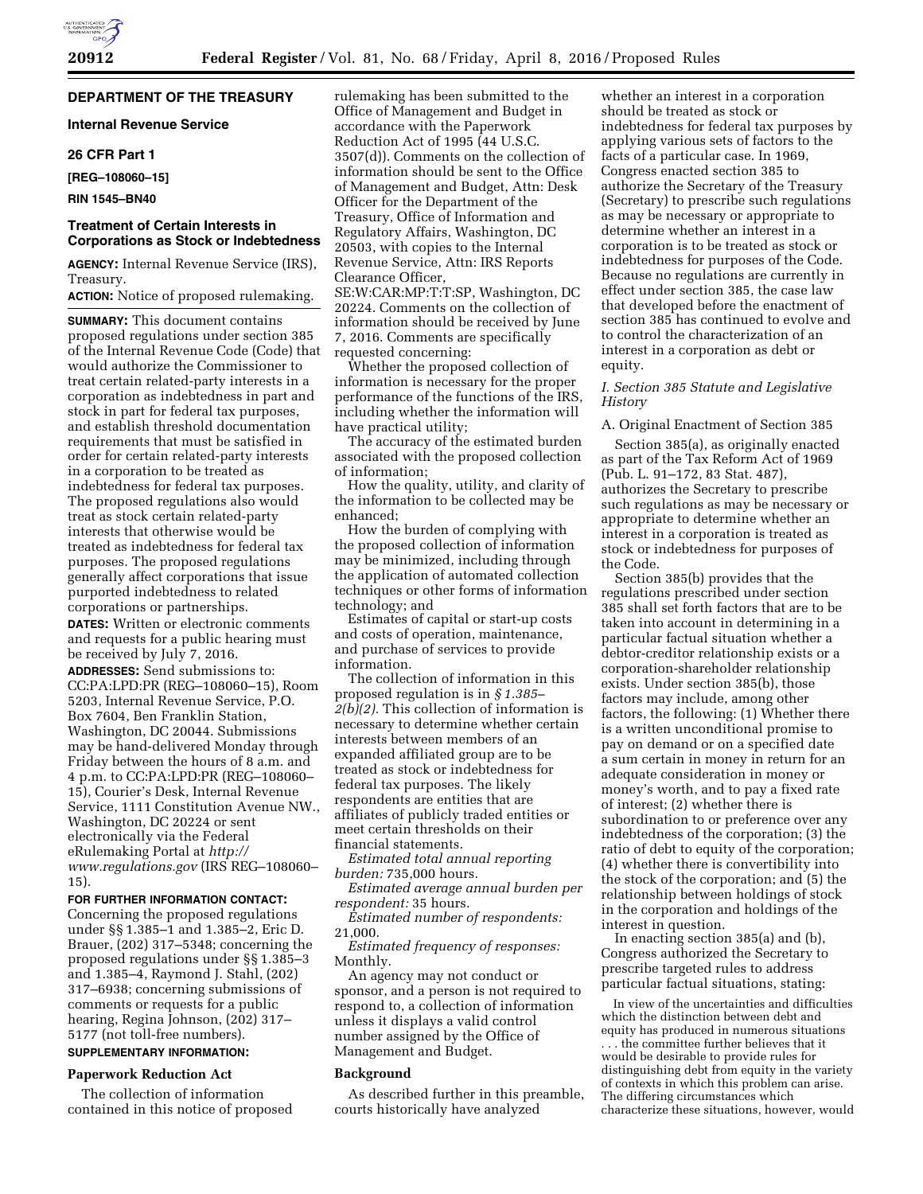# **DEPARTMENT OF THE TREASURY**

# **Internal Revenue Service**

# **26 CFR Part 1**

**[REG–108060–15]** 

# **RIN 1545–BN40**

# **Treatment of Certain Interests in Corporations as Stock or Indebtedness**

**AGENCY:** Internal Revenue Service (IRS), Treasury.

**ACTION:** Notice of proposed rulemaking.

**SUMMARY:** This document contains proposed regulations under section 385 of the Internal Revenue Code (Code) that would authorize the Commissioner to treat certain related-party interests in a corporation as indebtedness in part and stock in part for federal tax purposes, and establish threshold documentation requirements that must be satisfied in order for certain related-party interests in a corporation to be treated as indebtedness for federal tax purposes. The proposed regulations also would treat as stock certain related-party interests that otherwise would be treated as indebtedness for federal tax purposes. The proposed regulations generally affect corporations that issue purported indebtedness to related corporations or partnerships. **DATES:** Written or electronic comments

and requests for a public hearing must be received by July 7, 2016.

**ADDRESSES:** Send submissions to: CC:PA:LPD:PR (REG–108060–15), Room 5203, Internal Revenue Service, P.O. Box 7604, Ben Franklin Station, Washington, DC 20044. Submissions may be hand-delivered Monday through Friday between the hours of 8 a.m. and 4 p.m. to CC:PA:LPD:PR (REG–108060– 15), Courier's Desk, Internal Revenue Service, 1111 Constitution Avenue NW., Washington, DC 20224 or sent electronically via the Federal eRulemaking Portal at *[http://](http://www.regulations.gov) [www.regulations.gov](http://www.regulations.gov)* (IRS REG–108060– 15).

#### **FOR FURTHER INFORMATION CONTACT:**

Concerning the proposed regulations under §§ 1.385–1 and 1.385–2, Eric D. Brauer, (202) 317–5348; concerning the proposed regulations under §§ 1.385–3 and 1.385–4, Raymond J. Stahl, (202) 317–6938; concerning submissions of comments or requests for a public hearing, Regina Johnson, (202) 317– 5177 (not toll-free numbers).

# **SUPPLEMENTARY INFORMATION:**

# **Paperwork Reduction Act**

The collection of information contained in this notice of proposed rulemaking has been submitted to the Office of Management and Budget in accordance with the Paperwork Reduction Act of 1995 (44 U.S.C. 3507(d)). Comments on the collection of information should be sent to the Office of Management and Budget, Attn: Desk Officer for the Department of the Treasury, Office of Information and Regulatory Affairs, Washington, DC 20503, with copies to the Internal Revenue Service, Attn: IRS Reports Clearance Officer,

SE:W:CAR:MP:T:T:SP, Washington, DC 20224. Comments on the collection of information should be received by June 7, 2016. Comments are specifically requested concerning:

Whether the proposed collection of information is necessary for the proper performance of the functions of the IRS, including whether the information will have practical utility;

The accuracy of the estimated burden associated with the proposed collection of information;

How the quality, utility, and clarity of the information to be collected may be enhanced;

How the burden of complying with the proposed collection of information may be minimized, including through the application of automated collection techniques or other forms of information technology; and

Estimates of capital or start-up costs and costs of operation, maintenance, and purchase of services to provide information.

The collection of information in this proposed regulation is in *§ 1.385– 2(b)(2).* This collection of information is necessary to determine whether certain interests between members of an expanded affiliated group are to be treated as stock or indebtedness for federal tax purposes. The likely respondents are entities that are affiliates of publicly traded entities or meet certain thresholds on their financial statements.

*Estimated total annual reporting burden:* 735,000 hours.

*Estimated average annual burden per respondent:* 35 hours.

*Estimated number of respondents:*  21,000.

*Estimated frequency of responses:*  Monthly.

An agency may not conduct or sponsor, and a person is not required to respond to, a collection of information unless it displays a valid control number assigned by the Office of Management and Budget.

#### **Background**

As described further in this preamble, courts historically have analyzed

whether an interest in a corporation should be treated as stock or indebtedness for federal tax purposes by applying various sets of factors to the facts of a particular case. In 1969, Congress enacted section 385 to authorize the Secretary of the Treasury (Secretary) to prescribe such regulations as may be necessary or appropriate to determine whether an interest in a corporation is to be treated as stock or indebtedness for purposes of the Code. Because no regulations are currently in effect under section 385, the case law that developed before the enactment of section 385 has continued to evolve and to control the characterization of an interest in a corporation as debt or equity.

# *I. Section 385 Statute and Legislative History*

#### A. Original Enactment of Section 385

Section 385(a), as originally enacted as part of the Tax Reform Act of 1969 (Pub. L. 91–172, 83 Stat. 487), authorizes the Secretary to prescribe such regulations as may be necessary or appropriate to determine whether an interest in a corporation is treated as stock or indebtedness for purposes of the Code.

Section 385(b) provides that the regulations prescribed under section 385 shall set forth factors that are to be taken into account in determining in a particular factual situation whether a debtor-creditor relationship exists or a corporation-shareholder relationship exists. Under section 385(b), those factors may include, among other factors, the following: (1) Whether there is a written unconditional promise to pay on demand or on a specified date a sum certain in money in return for an adequate consideration in money or money's worth, and to pay a fixed rate of interest; (2) whether there is subordination to or preference over any indebtedness of the corporation; (3) the ratio of debt to equity of the corporation; (4) whether there is convertibility into the stock of the corporation; and (5) the relationship between holdings of stock in the corporation and holdings of the interest in question.

In enacting section 385(a) and (b), Congress authorized the Secretary to prescribe targeted rules to address particular factual situations, stating:

In view of the uncertainties and difficulties which the distinction between debt and equity has produced in numerous situations . . . the committee further believes that it would be desirable to provide rules for distinguishing debt from equity in the variety of contexts in which this problem can arise. The differing circumstances which characterize these situations, however, would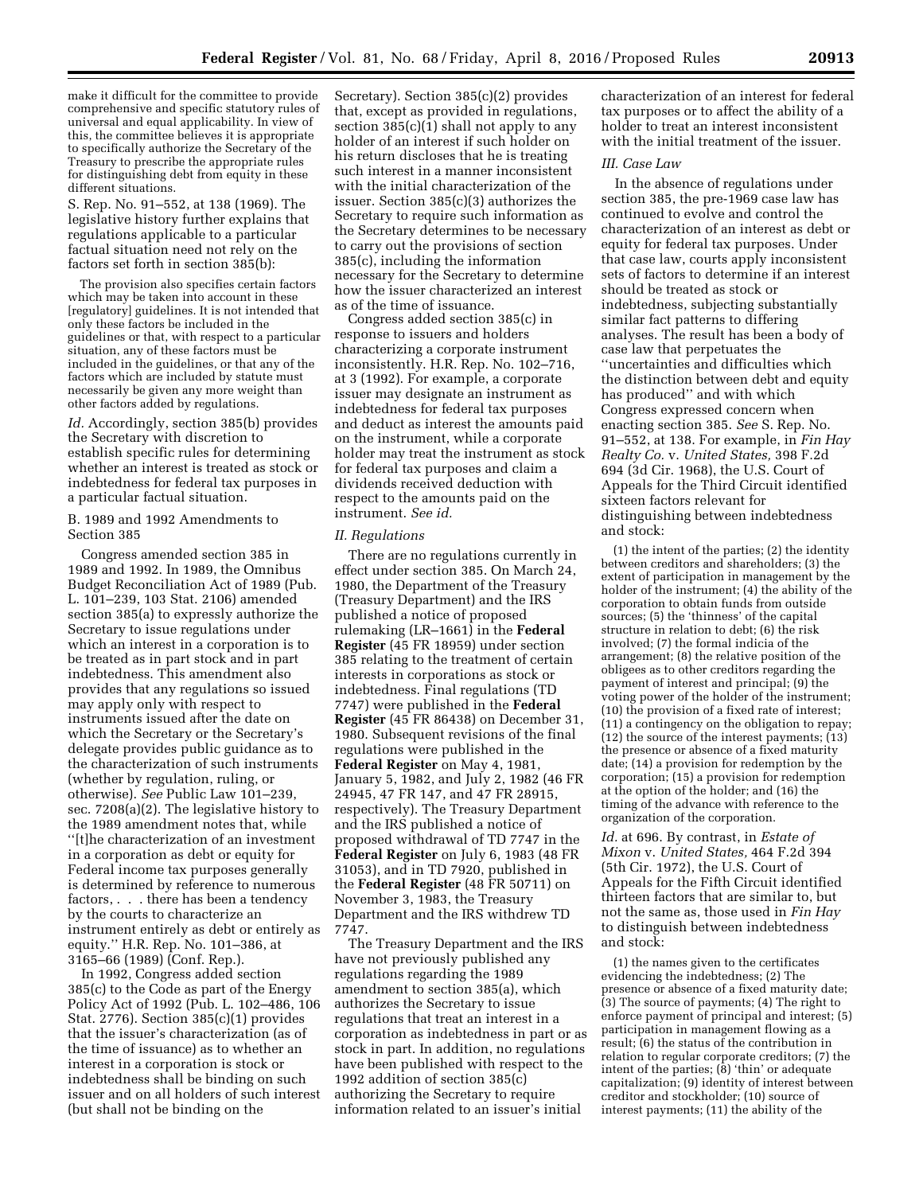make it difficult for the committee to provide comprehensive and specific statutory rules of universal and equal applicability. In view of this, the committee believes it is appropriate to specifically authorize the Secretary of the Treasury to prescribe the appropriate rules for distinguishing debt from equity in these different situations.

S. Rep. No. 91–552, at 138 (1969). The legislative history further explains that regulations applicable to a particular factual situation need not rely on the factors set forth in section 385(b):

The provision also specifies certain factors which may be taken into account in these [regulatory] guidelines. It is not intended that only these factors be included in the guidelines or that, with respect to a particular situation, any of these factors must be included in the guidelines, or that any of the factors which are included by statute must necessarily be given any more weight than other factors added by regulations.

*Id.* Accordingly, section 385(b) provides the Secretary with discretion to establish specific rules for determining whether an interest is treated as stock or indebtedness for federal tax purposes in a particular factual situation.

# B. 1989 and 1992 Amendments to Section 385

Congress amended section 385 in 1989 and 1992. In 1989, the Omnibus Budget Reconciliation Act of 1989 (Pub. L. 101–239, 103 Stat. 2106) amended section 385(a) to expressly authorize the Secretary to issue regulations under which an interest in a corporation is to be treated as in part stock and in part indebtedness. This amendment also provides that any regulations so issued may apply only with respect to instruments issued after the date on which the Secretary or the Secretary's delegate provides public guidance as to the characterization of such instruments (whether by regulation, ruling, or otherwise). *See* Public Law 101–239, sec. 7208(a)(2). The legislative history to the 1989 amendment notes that, while ''[t]he characterization of an investment in a corporation as debt or equity for Federal income tax purposes generally is determined by reference to numerous factors, . . . there has been a tendency by the courts to characterize an instrument entirely as debt or entirely as equity.'' H.R. Rep. No. 101–386, at 3165–66 (1989) (Conf. Rep.).

In 1992, Congress added section 385(c) to the Code as part of the Energy Policy Act of 1992 (Pub. L. 102–486, 106 Stat. 2776). Section 385(c)(1) provides that the issuer's characterization (as of the time of issuance) as to whether an interest in a corporation is stock or indebtedness shall be binding on such issuer and on all holders of such interest (but shall not be binding on the

Secretary). Section 385(c)(2) provides that, except as provided in regulations, section  $385(c)(1)$  shall not apply to any holder of an interest if such holder on his return discloses that he is treating such interest in a manner inconsistent with the initial characterization of the issuer. Section 385(c)(3) authorizes the Secretary to require such information as the Secretary determines to be necessary to carry out the provisions of section 385(c), including the information necessary for the Secretary to determine how the issuer characterized an interest as of the time of issuance.

Congress added section 385(c) in response to issuers and holders characterizing a corporate instrument inconsistently. H.R. Rep. No. 102–716, at 3 (1992). For example, a corporate issuer may designate an instrument as indebtedness for federal tax purposes and deduct as interest the amounts paid on the instrument, while a corporate holder may treat the instrument as stock for federal tax purposes and claim a dividends received deduction with respect to the amounts paid on the instrument. *See id.* 

# *II. Regulations*

There are no regulations currently in effect under section 385. On March 24, 1980, the Department of the Treasury (Treasury Department) and the IRS published a notice of proposed rulemaking (LR–1661) in the **Federal Register** (45 FR 18959) under section 385 relating to the treatment of certain interests in corporations as stock or indebtedness. Final regulations (TD 7747) were published in the **Federal Register** (45 FR 86438) on December 31, 1980. Subsequent revisions of the final regulations were published in the **Federal Register** on May 4, 1981, January 5, 1982, and July 2, 1982 (46 FR 24945, 47 FR 147, and 47 FR 28915, respectively). The Treasury Department and the IRS published a notice of proposed withdrawal of TD 7747 in the **Federal Register** on July 6, 1983 (48 FR 31053), and in TD 7920, published in the **Federal Register** (48 FR 50711) on November 3, 1983, the Treasury Department and the IRS withdrew TD 7747.

The Treasury Department and the IRS have not previously published any regulations regarding the 1989 amendment to section 385(a), which authorizes the Secretary to issue regulations that treat an interest in a corporation as indebtedness in part or as stock in part. In addition, no regulations have been published with respect to the 1992 addition of section 385(c) authorizing the Secretary to require information related to an issuer's initial

characterization of an interest for federal tax purposes or to affect the ability of a holder to treat an interest inconsistent with the initial treatment of the issuer.

# *III. Case Law*

In the absence of regulations under section 385, the pre-1969 case law has continued to evolve and control the characterization of an interest as debt or equity for federal tax purposes. Under that case law, courts apply inconsistent sets of factors to determine if an interest should be treated as stock or indebtedness, subjecting substantially similar fact patterns to differing analyses. The result has been a body of case law that perpetuates the ''uncertainties and difficulties which the distinction between debt and equity has produced'' and with which Congress expressed concern when enacting section 385. *See* S. Rep. No. 91–552, at 138. For example, in *Fin Hay Realty Co.* v. *United States,* 398 F.2d 694 (3d Cir. 1968), the U.S. Court of Appeals for the Third Circuit identified sixteen factors relevant for distinguishing between indebtedness and stock:

(1) the intent of the parties; (2) the identity between creditors and shareholders; (3) the extent of participation in management by the holder of the instrument; (4) the ability of the corporation to obtain funds from outside sources; (5) the 'thinness' of the capital structure in relation to debt; (6) the risk involved; (7) the formal indicia of the arrangement; (8) the relative position of the obligees as to other creditors regarding the payment of interest and principal; (9) the voting power of the holder of the instrument; (10) the provision of a fixed rate of interest; (11) a contingency on the obligation to repay;  $(12)$  the source of the interest payments;  $(13)$ the presence or absence of a fixed maturity date; (14) a provision for redemption by the corporation; (15) a provision for redemption at the option of the holder; and (16) the timing of the advance with reference to the organization of the corporation.

*Id.* at 696. By contrast, in *Estate of Mixon* v. *United States,* 464 F.2d 394 (5th Cir. 1972), the U.S. Court of Appeals for the Fifth Circuit identified thirteen factors that are similar to, but not the same as, those used in *Fin Hay*  to distinguish between indebtedness and stock:

(1) the names given to the certificates evidencing the indebtedness; (2) The presence or absence of a fixed maturity date; (3) The source of payments; (4) The right to enforce payment of principal and interest; (5) participation in management flowing as a result; (6) the status of the contribution in relation to regular corporate creditors; (7) the intent of the parties;  $(\tilde{8})$  'thin' or adequate capitalization; (9) identity of interest between creditor and stockholder; (10) source of interest payments; (11) the ability of the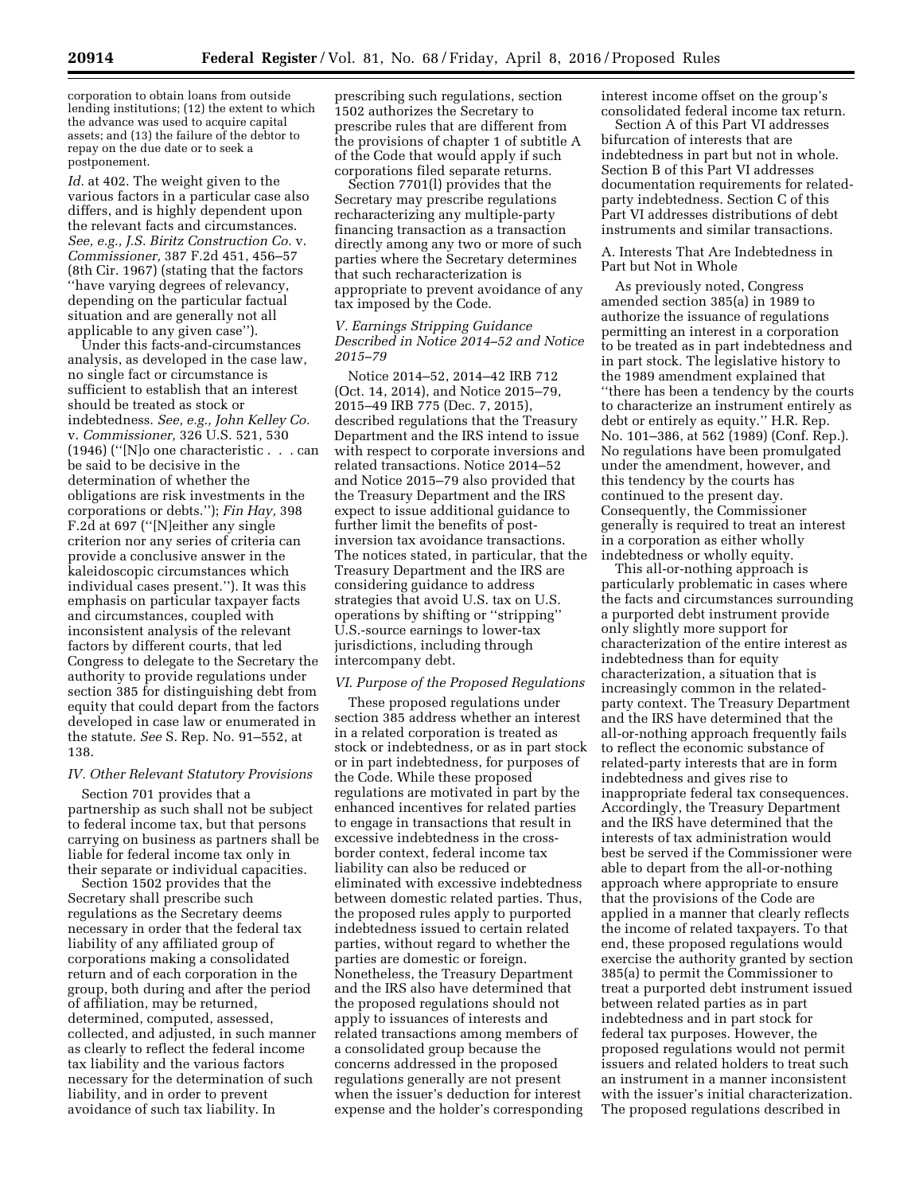corporation to obtain loans from outside lending institutions; (12) the extent to which the advance was used to acquire capital assets; and (13) the failure of the debtor to repay on the due date or to seek a postponement.

*Id.* at 402. The weight given to the various factors in a particular case also differs, and is highly dependent upon the relevant facts and circumstances. *See, e.g., J.S. Biritz Construction Co.* v. *Commissioner,* 387 F.2d 451, 456–57 (8th Cir. 1967) (stating that the factors ''have varying degrees of relevancy, depending on the particular factual situation and are generally not all applicable to any given case'').

Under this facts-and-circumstances analysis, as developed in the case law, no single fact or circumstance is sufficient to establish that an interest should be treated as stock or indebtedness. *See, e.g., John Kelley Co.*  v. *Commissioner,* 326 U.S. 521, 530 (1946) (''[N]o one characteristic . . . can be said to be decisive in the determination of whether the obligations are risk investments in the corporations or debts.''); *Fin Hay,* 398 F.2d at 697 (''[N]either any single criterion nor any series of criteria can provide a conclusive answer in the kaleidoscopic circumstances which individual cases present.''). It was this emphasis on particular taxpayer facts and circumstances, coupled with inconsistent analysis of the relevant factors by different courts, that led Congress to delegate to the Secretary the authority to provide regulations under section 385 for distinguishing debt from equity that could depart from the factors developed in case law or enumerated in the statute. *See* S. Rep. No. 91–552, at 138.

#### *IV. Other Relevant Statutory Provisions*

Section 701 provides that a partnership as such shall not be subject to federal income tax, but that persons carrying on business as partners shall be liable for federal income tax only in their separate or individual capacities.

Section 1502 provides that the Secretary shall prescribe such regulations as the Secretary deems necessary in order that the federal tax liability of any affiliated group of corporations making a consolidated return and of each corporation in the group, both during and after the period of affiliation, may be returned, determined, computed, assessed, collected, and adjusted, in such manner as clearly to reflect the federal income tax liability and the various factors necessary for the determination of such liability, and in order to prevent avoidance of such tax liability. In

prescribing such regulations, section 1502 authorizes the Secretary to prescribe rules that are different from the provisions of chapter 1 of subtitle A of the Code that would apply if such corporations filed separate returns.

Section 7701(l) provides that the Secretary may prescribe regulations recharacterizing any multiple-party financing transaction as a transaction directly among any two or more of such parties where the Secretary determines that such recharacterization is appropriate to prevent avoidance of any tax imposed by the Code.

# *V. Earnings Stripping Guidance Described in Notice 2014–52 and Notice 2015–79*

Notice 2014–52, 2014–42 IRB 712 (Oct. 14, 2014), and Notice 2015–79, 2015–49 IRB 775 (Dec. 7, 2015), described regulations that the Treasury Department and the IRS intend to issue with respect to corporate inversions and related transactions. Notice 2014–52 and Notice 2015–79 also provided that the Treasury Department and the IRS expect to issue additional guidance to further limit the benefits of postinversion tax avoidance transactions. The notices stated, in particular, that the Treasury Department and the IRS are considering guidance to address strategies that avoid U.S. tax on U.S. operations by shifting or ''stripping'' U.S.-source earnings to lower-tax jurisdictions, including through intercompany debt.

#### *VI. Purpose of the Proposed Regulations*

These proposed regulations under section 385 address whether an interest in a related corporation is treated as stock or indebtedness, or as in part stock or in part indebtedness, for purposes of the Code. While these proposed regulations are motivated in part by the enhanced incentives for related parties to engage in transactions that result in excessive indebtedness in the crossborder context, federal income tax liability can also be reduced or eliminated with excessive indebtedness between domestic related parties. Thus, the proposed rules apply to purported indebtedness issued to certain related parties, without regard to whether the parties are domestic or foreign. Nonetheless, the Treasury Department and the IRS also have determined that the proposed regulations should not apply to issuances of interests and related transactions among members of a consolidated group because the concerns addressed in the proposed regulations generally are not present when the issuer's deduction for interest expense and the holder's corresponding

interest income offset on the group's consolidated federal income tax return.

Section A of this Part VI addresses bifurcation of interests that are indebtedness in part but not in whole. Section B of this Part VI addresses documentation requirements for relatedparty indebtedness. Section C of this Part VI addresses distributions of debt instruments and similar transactions.

A. Interests That Are Indebtedness in Part but Not in Whole

As previously noted, Congress amended section 385(a) in 1989 to authorize the issuance of regulations permitting an interest in a corporation to be treated as in part indebtedness and in part stock. The legislative history to the 1989 amendment explained that ''there has been a tendency by the courts to characterize an instrument entirely as debt or entirely as equity.'' H.R. Rep. No. 101–386, at 562 (1989) (Conf. Rep.). No regulations have been promulgated under the amendment, however, and this tendency by the courts has continued to the present day. Consequently, the Commissioner generally is required to treat an interest in a corporation as either wholly indebtedness or wholly equity.

This all-or-nothing approach is particularly problematic in cases where the facts and circumstances surrounding a purported debt instrument provide only slightly more support for characterization of the entire interest as indebtedness than for equity characterization, a situation that is increasingly common in the relatedparty context. The Treasury Department and the IRS have determined that the all-or-nothing approach frequently fails to reflect the economic substance of related-party interests that are in form indebtedness and gives rise to inappropriate federal tax consequences. Accordingly, the Treasury Department and the IRS have determined that the interests of tax administration would best be served if the Commissioner were able to depart from the all-or-nothing approach where appropriate to ensure that the provisions of the Code are applied in a manner that clearly reflects the income of related taxpayers. To that end, these proposed regulations would exercise the authority granted by section 385(a) to permit the Commissioner to treat a purported debt instrument issued between related parties as in part indebtedness and in part stock for federal tax purposes. However, the proposed regulations would not permit issuers and related holders to treat such an instrument in a manner inconsistent with the issuer's initial characterization. The proposed regulations described in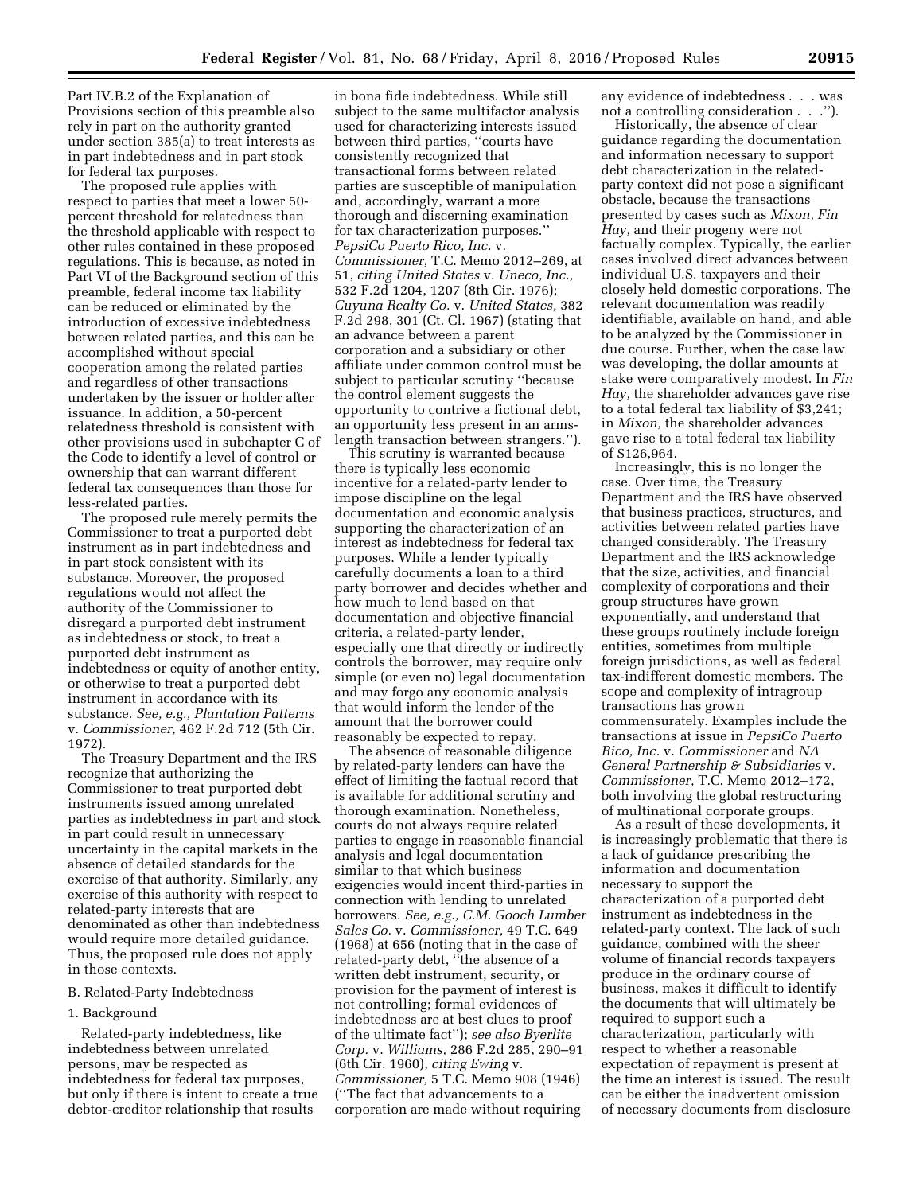Part IV.B.2 of the Explanation of Provisions section of this preamble also rely in part on the authority granted under section 385(a) to treat interests as in part indebtedness and in part stock for federal tax purposes.

The proposed rule applies with respect to parties that meet a lower 50 percent threshold for relatedness than the threshold applicable with respect to other rules contained in these proposed regulations. This is because, as noted in Part VI of the Background section of this preamble, federal income tax liability can be reduced or eliminated by the introduction of excessive indebtedness between related parties, and this can be accomplished without special cooperation among the related parties and regardless of other transactions undertaken by the issuer or holder after issuance. In addition, a 50-percent relatedness threshold is consistent with other provisions used in subchapter C of the Code to identify a level of control or ownership that can warrant different federal tax consequences than those for less-related parties.

The proposed rule merely permits the Commissioner to treat a purported debt instrument as in part indebtedness and in part stock consistent with its substance. Moreover, the proposed regulations would not affect the authority of the Commissioner to disregard a purported debt instrument as indebtedness or stock, to treat a purported debt instrument as indebtedness or equity of another entity, or otherwise to treat a purported debt instrument in accordance with its substance. *See, e.g., Plantation Patterns*  v. *Commissioner,* 462 F.2d 712 (5th Cir. 1972).

The Treasury Department and the IRS recognize that authorizing the Commissioner to treat purported debt instruments issued among unrelated parties as indebtedness in part and stock in part could result in unnecessary uncertainty in the capital markets in the absence of detailed standards for the exercise of that authority. Similarly, any exercise of this authority with respect to related-party interests that are denominated as other than indebtedness would require more detailed guidance. Thus, the proposed rule does not apply in those contexts.

#### B. Related-Party Indebtedness

#### 1. Background

Related-party indebtedness, like indebtedness between unrelated persons, may be respected as indebtedness for federal tax purposes, but only if there is intent to create a true debtor-creditor relationship that results

in bona fide indebtedness. While still subject to the same multifactor analysis used for characterizing interests issued between third parties, ''courts have consistently recognized that transactional forms between related parties are susceptible of manipulation and, accordingly, warrant a more thorough and discerning examination for tax characterization purposes.'' *PepsiCo Puerto Rico, Inc.* v. *Commissioner,* T.C. Memo 2012–269, at 51, *citing United States* v. *Uneco, Inc.,*  532 F.2d 1204, 1207 (8th Cir. 1976); *Cuyuna Realty Co.* v. *United States,* 382 F.2d 298, 301 (Ct. Cl. 1967) (stating that an advance between a parent corporation and a subsidiary or other affiliate under common control must be subject to particular scrutiny ''because the control element suggests the opportunity to contrive a fictional debt, an opportunity less present in an armslength transaction between strangers.'').

This scrutiny is warranted because there is typically less economic incentive for a related-party lender to impose discipline on the legal documentation and economic analysis supporting the characterization of an interest as indebtedness for federal tax purposes. While a lender typically carefully documents a loan to a third party borrower and decides whether and how much to lend based on that documentation and objective financial criteria, a related-party lender, especially one that directly or indirectly controls the borrower, may require only simple (or even no) legal documentation and may forgo any economic analysis that would inform the lender of the amount that the borrower could reasonably be expected to repay.

The absence of reasonable diligence by related-party lenders can have the effect of limiting the factual record that is available for additional scrutiny and thorough examination. Nonetheless, courts do not always require related parties to engage in reasonable financial analysis and legal documentation similar to that which business exigencies would incent third-parties in connection with lending to unrelated borrowers. *See, e.g., C.M. Gooch Lumber Sales Co.* v. *Commissioner,* 49 T.C. 649 (1968) at 656 (noting that in the case of related-party debt, ''the absence of a written debt instrument, security, or provision for the payment of interest is not controlling; formal evidences of indebtedness are at best clues to proof of the ultimate fact''); *see also Byerlite Corp.* v. *Williams,* 286 F.2d 285, 290–91 (6th Cir. 1960), *citing Ewing* v. *Commissioner,* 5 T.C. Memo 908 (1946) (''The fact that advancements to a corporation are made without requiring

any evidence of indebtedness . . . was not a controlling consideration . . .'').

Historically, the absence of clear guidance regarding the documentation and information necessary to support debt characterization in the relatedparty context did not pose a significant obstacle, because the transactions presented by cases such as *Mixon, Fin Hay,* and their progeny were not factually complex. Typically, the earlier cases involved direct advances between individual U.S. taxpayers and their closely held domestic corporations. The relevant documentation was readily identifiable, available on hand, and able to be analyzed by the Commissioner in due course. Further, when the case law was developing, the dollar amounts at stake were comparatively modest. In *Fin Hay,* the shareholder advances gave rise to a total federal tax liability of \$3,241; in *Mixon,* the shareholder advances gave rise to a total federal tax liability of \$126,964.

Increasingly, this is no longer the case. Over time, the Treasury Department and the IRS have observed that business practices, structures, and activities between related parties have changed considerably. The Treasury Department and the IRS acknowledge that the size, activities, and financial complexity of corporations and their group structures have grown exponentially, and understand that these groups routinely include foreign entities, sometimes from multiple foreign jurisdictions, as well as federal tax-indifferent domestic members. The scope and complexity of intragroup transactions has grown commensurately. Examples include the transactions at issue in *PepsiCo Puerto Rico, Inc.* v. *Commissioner* and *NA General Partnership & Subsidiaries* v. *Commissioner,* T.C. Memo 2012–172, both involving the global restructuring of multinational corporate groups.

As a result of these developments, it is increasingly problematic that there is a lack of guidance prescribing the information and documentation necessary to support the characterization of a purported debt instrument as indebtedness in the related-party context. The lack of such guidance, combined with the sheer volume of financial records taxpayers produce in the ordinary course of business, makes it difficult to identify the documents that will ultimately be required to support such a characterization, particularly with respect to whether a reasonable expectation of repayment is present at the time an interest is issued. The result can be either the inadvertent omission of necessary documents from disclosure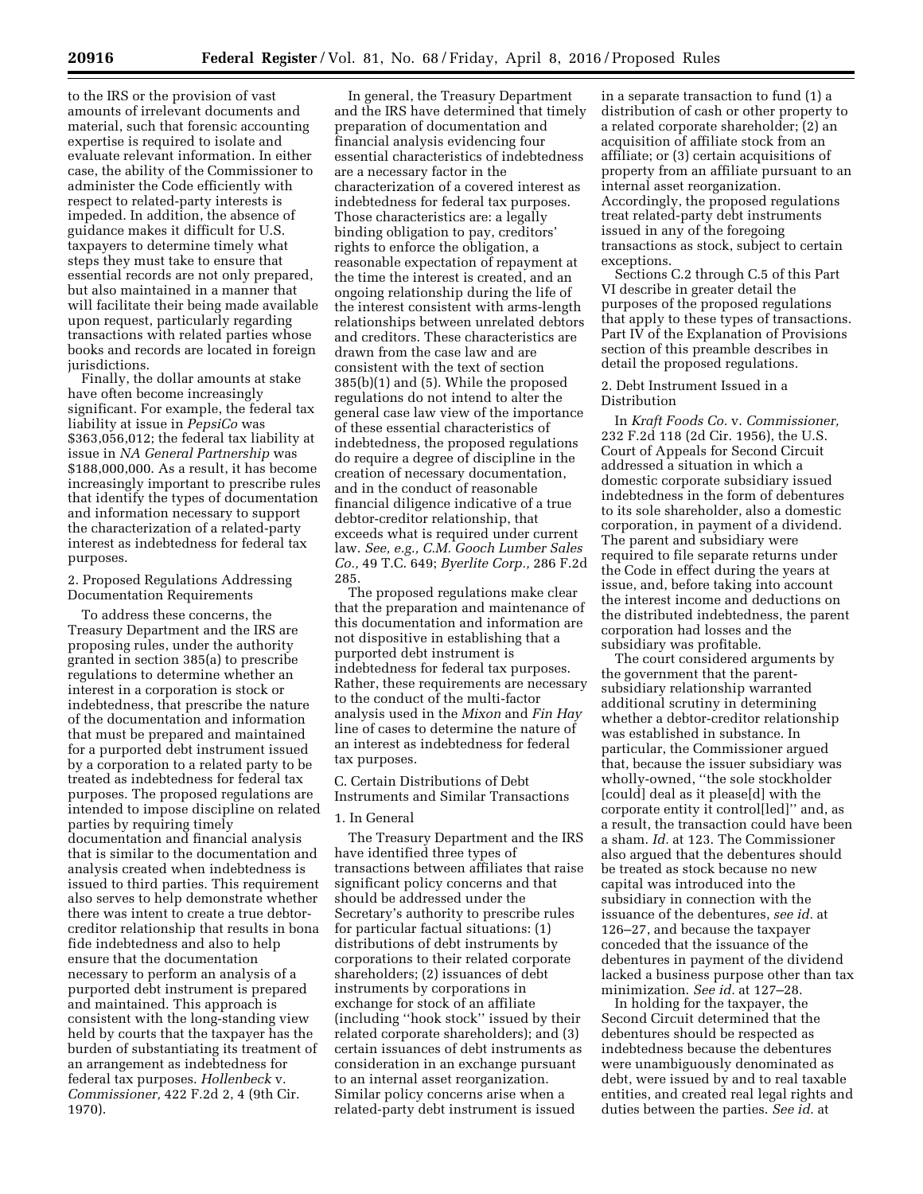to the IRS or the provision of vast amounts of irrelevant documents and material, such that forensic accounting expertise is required to isolate and evaluate relevant information. In either case, the ability of the Commissioner to administer the Code efficiently with respect to related-party interests is impeded. In addition, the absence of guidance makes it difficult for U.S. taxpayers to determine timely what steps they must take to ensure that essential records are not only prepared, but also maintained in a manner that will facilitate their being made available upon request, particularly regarding transactions with related parties whose books and records are located in foreign jurisdictions.

Finally, the dollar amounts at stake have often become increasingly significant. For example, the federal tax liability at issue in *PepsiCo* was \$363,056,012; the federal tax liability at issue in *NA General Partnership* was \$188,000,000. As a result, it has become increasingly important to prescribe rules that identify the types of documentation and information necessary to support the characterization of a related-party interest as indebtedness for federal tax purposes.

# 2. Proposed Regulations Addressing Documentation Requirements

To address these concerns, the Treasury Department and the IRS are proposing rules, under the authority granted in section 385(a) to prescribe regulations to determine whether an interest in a corporation is stock or indebtedness, that prescribe the nature of the documentation and information that must be prepared and maintained for a purported debt instrument issued by a corporation to a related party to be treated as indebtedness for federal tax purposes. The proposed regulations are intended to impose discipline on related parties by requiring timely documentation and financial analysis that is similar to the documentation and analysis created when indebtedness is issued to third parties. This requirement also serves to help demonstrate whether there was intent to create a true debtorcreditor relationship that results in bona fide indebtedness and also to help ensure that the documentation necessary to perform an analysis of a purported debt instrument is prepared and maintained. This approach is consistent with the long-standing view held by courts that the taxpayer has the burden of substantiating its treatment of an arrangement as indebtedness for federal tax purposes. *Hollenbeck* v. *Commissioner,* 422 F.2d 2, 4 (9th Cir. 1970).

In general, the Treasury Department and the IRS have determined that timely preparation of documentation and financial analysis evidencing four essential characteristics of indebtedness are a necessary factor in the characterization of a covered interest as indebtedness for federal tax purposes. Those characteristics are: a legally binding obligation to pay, creditors' rights to enforce the obligation, a reasonable expectation of repayment at the time the interest is created, and an ongoing relationship during the life of the interest consistent with arms-length relationships between unrelated debtors and creditors. These characteristics are drawn from the case law and are consistent with the text of section 385(b)(1) and (5). While the proposed regulations do not intend to alter the general case law view of the importance of these essential characteristics of indebtedness, the proposed regulations do require a degree of discipline in the creation of necessary documentation, and in the conduct of reasonable financial diligence indicative of a true debtor-creditor relationship, that exceeds what is required under current law. *See, e.g., C.M. Gooch Lumber Sales Co.,* 49 T.C. 649; *Byerlite Corp.,* 286 F.2d 285.

The proposed regulations make clear that the preparation and maintenance of this documentation and information are not dispositive in establishing that a purported debt instrument is indebtedness for federal tax purposes. Rather, these requirements are necessary to the conduct of the multi-factor analysis used in the *Mixon* and *Fin Hay*  line of cases to determine the nature of an interest as indebtedness for federal tax purposes.

C. Certain Distributions of Debt Instruments and Similar Transactions

# 1. In General

The Treasury Department and the IRS have identified three types of transactions between affiliates that raise significant policy concerns and that should be addressed under the Secretary's authority to prescribe rules for particular factual situations: (1) distributions of debt instruments by corporations to their related corporate shareholders; (2) issuances of debt instruments by corporations in exchange for stock of an affiliate (including ''hook stock'' issued by their related corporate shareholders); and (3) certain issuances of debt instruments as consideration in an exchange pursuant to an internal asset reorganization. Similar policy concerns arise when a related-party debt instrument is issued

in a separate transaction to fund (1) a distribution of cash or other property to a related corporate shareholder; (2) an acquisition of affiliate stock from an affiliate; or (3) certain acquisitions of property from an affiliate pursuant to an internal asset reorganization. Accordingly, the proposed regulations treat related-party debt instruments issued in any of the foregoing transactions as stock, subject to certain exceptions.

Sections C.2 through C.5 of this Part VI describe in greater detail the purposes of the proposed regulations that apply to these types of transactions. Part IV of the Explanation of Provisions section of this preamble describes in detail the proposed regulations.

# 2. Debt Instrument Issued in a Distribution

In *Kraft Foods Co.* v. *Commissioner,*  232 F.2d 118 (2d Cir. 1956), the U.S. Court of Appeals for Second Circuit addressed a situation in which a domestic corporate subsidiary issued indebtedness in the form of debentures to its sole shareholder, also a domestic corporation, in payment of a dividend. The parent and subsidiary were required to file separate returns under the Code in effect during the years at issue, and, before taking into account the interest income and deductions on the distributed indebtedness, the parent corporation had losses and the subsidiary was profitable.

The court considered arguments by the government that the parentsubsidiary relationship warranted additional scrutiny in determining whether a debtor-creditor relationship was established in substance. In particular, the Commissioner argued that, because the issuer subsidiary was wholly-owned, ''the sole stockholder [could] deal as it please[d] with the corporate entity it control[led]'' and, as a result, the transaction could have been a sham. *Id.* at 123. The Commissioner also argued that the debentures should be treated as stock because no new capital was introduced into the subsidiary in connection with the issuance of the debentures, *see id.* at 126–27, and because the taxpayer conceded that the issuance of the debentures in payment of the dividend lacked a business purpose other than tax minimization. *See id.* at 127–28.

In holding for the taxpayer, the Second Circuit determined that the debentures should be respected as indebtedness because the debentures were unambiguously denominated as debt, were issued by and to real taxable entities, and created real legal rights and duties between the parties. *See id.* at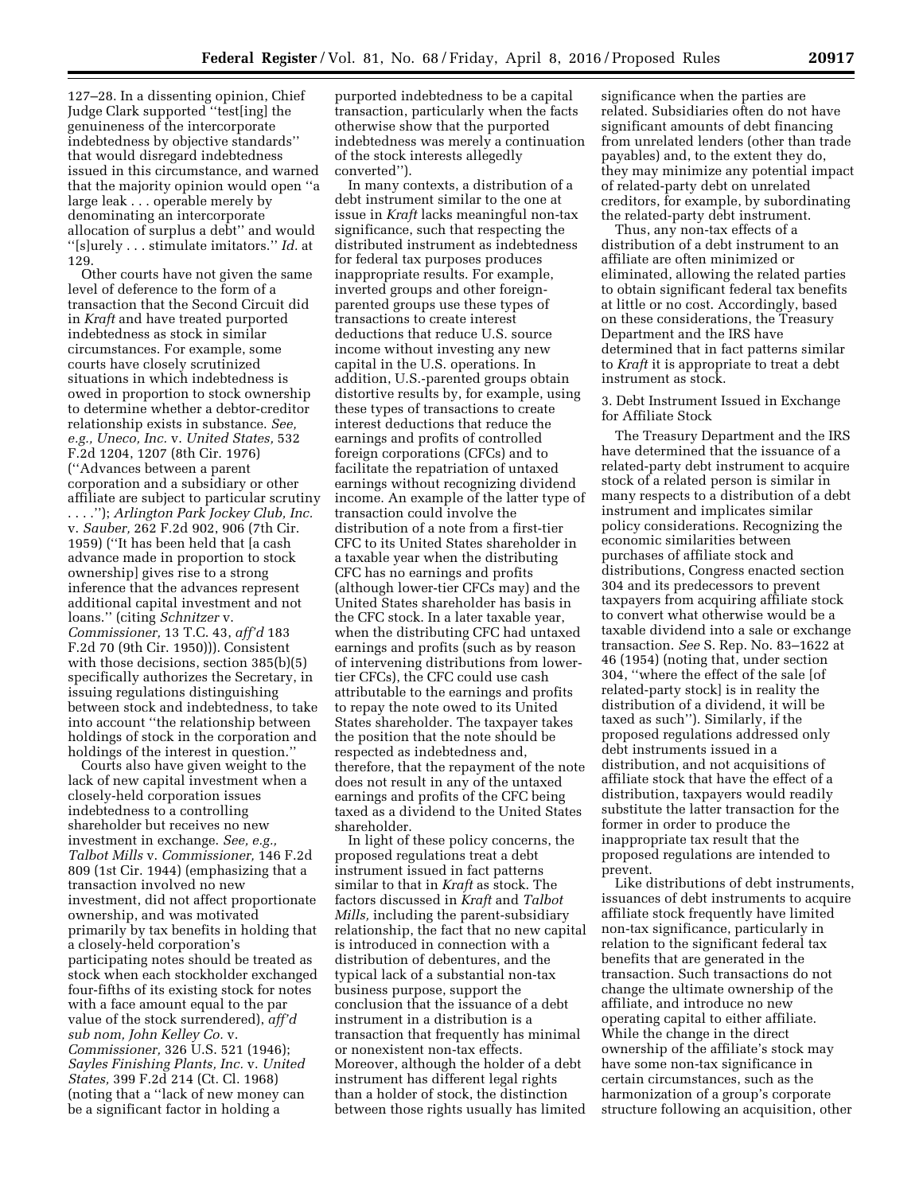127–28. In a dissenting opinion, Chief Judge Clark supported ''test[ing] the genuineness of the intercorporate indebtedness by objective standards'' that would disregard indebtedness issued in this circumstance, and warned that the majority opinion would open ''a large leak . . . operable merely by denominating an intercorporate allocation of surplus a debt'' and would ''[s]urely . . . stimulate imitators.'' *Id.* at 129.

Other courts have not given the same level of deference to the form of a transaction that the Second Circuit did in *Kraft* and have treated purported indebtedness as stock in similar circumstances. For example, some courts have closely scrutinized situations in which indebtedness is owed in proportion to stock ownership to determine whether a debtor-creditor relationship exists in substance. *See, e.g., Uneco, Inc.* v. *United States,* 532 F.2d 1204, 1207 (8th Cir. 1976) (''Advances between a parent corporation and a subsidiary or other affiliate are subject to particular scrutiny . . . .''); *Arlington Park Jockey Club, Inc.*  v. *Sauber,* 262 F.2d 902, 906 (7th Cir. 1959) (''It has been held that [a cash advance made in proportion to stock ownership] gives rise to a strong inference that the advances represent additional capital investment and not loans.'' (citing *Schnitzer* v. *Commissioner,* 13 T.C. 43, *aff'd* 183 F.2d 70 (9th Cir. 1950))). Consistent with those decisions, section 385(b)(5) specifically authorizes the Secretary, in issuing regulations distinguishing between stock and indebtedness, to take into account ''the relationship between holdings of stock in the corporation and holdings of the interest in question.''

Courts also have given weight to the lack of new capital investment when a closely-held corporation issues indebtedness to a controlling shareholder but receives no new investment in exchange. *See, e.g., Talbot Mills* v. *Commissioner,* 146 F.2d 809 (1st Cir. 1944) (emphasizing that a transaction involved no new investment, did not affect proportionate ownership, and was motivated primarily by tax benefits in holding that a closely-held corporation's participating notes should be treated as stock when each stockholder exchanged four-fifths of its existing stock for notes with a face amount equal to the par value of the stock surrendered), *aff'd sub nom, John Kelley Co.* v. *Commissioner,* 326 U.S. 521 (1946); *Sayles Finishing Plants, Inc.* v. *United States,* 399 F.2d 214 (Ct. Cl. 1968) (noting that a ''lack of new money can be a significant factor in holding a

purported indebtedness to be a capital transaction, particularly when the facts otherwise show that the purported indebtedness was merely a continuation of the stock interests allegedly converted'').

In many contexts, a distribution of a debt instrument similar to the one at issue in *Kraft* lacks meaningful non-tax significance, such that respecting the distributed instrument as indebtedness for federal tax purposes produces inappropriate results. For example, inverted groups and other foreignparented groups use these types of transactions to create interest deductions that reduce U.S. source income without investing any new capital in the U.S. operations. In addition, U.S.-parented groups obtain distortive results by, for example, using these types of transactions to create interest deductions that reduce the earnings and profits of controlled foreign corporations (CFCs) and to facilitate the repatriation of untaxed earnings without recognizing dividend income. An example of the latter type of transaction could involve the distribution of a note from a first-tier CFC to its United States shareholder in a taxable year when the distributing CFC has no earnings and profits (although lower-tier CFCs may) and the United States shareholder has basis in the CFC stock. In a later taxable year, when the distributing CFC had untaxed earnings and profits (such as by reason of intervening distributions from lowertier CFCs), the CFC could use cash attributable to the earnings and profits to repay the note owed to its United States shareholder. The taxpayer takes the position that the note should be respected as indebtedness and, therefore, that the repayment of the note does not result in any of the untaxed earnings and profits of the CFC being taxed as a dividend to the United States shareholder.

In light of these policy concerns, the proposed regulations treat a debt instrument issued in fact patterns similar to that in *Kraft* as stock. The factors discussed in *Kraft* and *Talbot Mills,* including the parent-subsidiary relationship, the fact that no new capital is introduced in connection with a distribution of debentures, and the typical lack of a substantial non-tax business purpose, support the conclusion that the issuance of a debt instrument in a distribution is a transaction that frequently has minimal or nonexistent non-tax effects. Moreover, although the holder of a debt instrument has different legal rights than a holder of stock, the distinction between those rights usually has limited

significance when the parties are related. Subsidiaries often do not have significant amounts of debt financing from unrelated lenders (other than trade payables) and, to the extent they do, they may minimize any potential impact of related-party debt on unrelated creditors, for example, by subordinating the related-party debt instrument.

Thus, any non-tax effects of a distribution of a debt instrument to an affiliate are often minimized or eliminated, allowing the related parties to obtain significant federal tax benefits at little or no cost. Accordingly, based on these considerations, the Treasury Department and the IRS have determined that in fact patterns similar to *Kraft* it is appropriate to treat a debt instrument as stock.

3. Debt Instrument Issued in Exchange for Affiliate Stock

The Treasury Department and the IRS have determined that the issuance of a related-party debt instrument to acquire stock of a related person is similar in many respects to a distribution of a debt instrument and implicates similar policy considerations. Recognizing the economic similarities between purchases of affiliate stock and distributions, Congress enacted section 304 and its predecessors to prevent taxpayers from acquiring affiliate stock to convert what otherwise would be a taxable dividend into a sale or exchange transaction. *See* S. Rep. No. 83–1622 at 46 (1954) (noting that, under section 304, ''where the effect of the sale [of related-party stock] is in reality the distribution of a dividend, it will be taxed as such''). Similarly, if the proposed regulations addressed only debt instruments issued in a distribution, and not acquisitions of affiliate stock that have the effect of a distribution, taxpayers would readily substitute the latter transaction for the former in order to produce the inappropriate tax result that the proposed regulations are intended to prevent.

Like distributions of debt instruments, issuances of debt instruments to acquire affiliate stock frequently have limited non-tax significance, particularly in relation to the significant federal tax benefits that are generated in the transaction. Such transactions do not change the ultimate ownership of the affiliate, and introduce no new operating capital to either affiliate. While the change in the direct ownership of the affiliate's stock may have some non-tax significance in certain circumstances, such as the harmonization of a group's corporate structure following an acquisition, other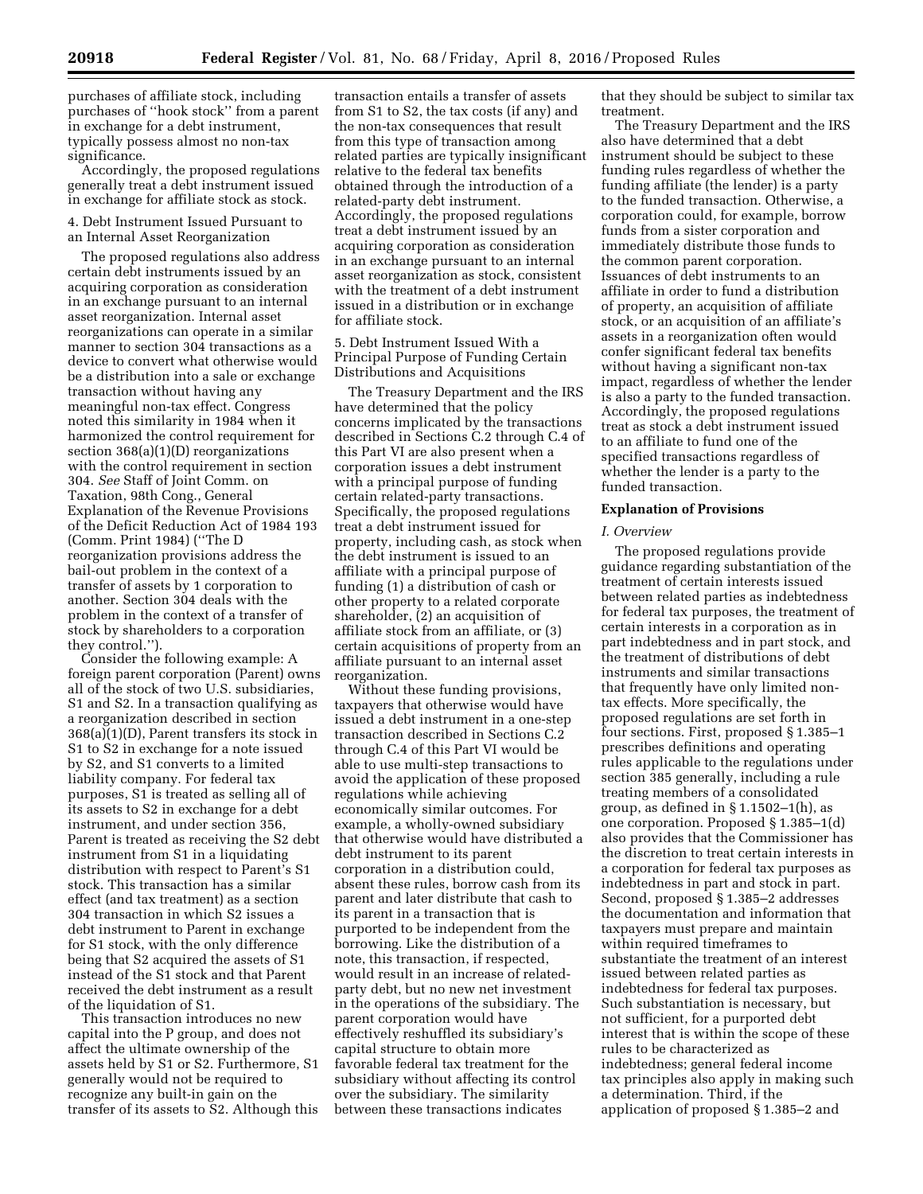purchases of affiliate stock, including purchases of ''hook stock'' from a parent in exchange for a debt instrument, typically possess almost no non-tax significance.

Accordingly, the proposed regulations generally treat a debt instrument issued in exchange for affiliate stock as stock.

4. Debt Instrument Issued Pursuant to an Internal Asset Reorganization

The proposed regulations also address certain debt instruments issued by an acquiring corporation as consideration in an exchange pursuant to an internal asset reorganization. Internal asset reorganizations can operate in a similar manner to section 304 transactions as a device to convert what otherwise would be a distribution into a sale or exchange transaction without having any meaningful non-tax effect. Congress noted this similarity in 1984 when it harmonized the control requirement for section 368(a)(1)(D) reorganizations with the control requirement in section 304. *See* Staff of Joint Comm. on Taxation, 98th Cong., General Explanation of the Revenue Provisions of the Deficit Reduction Act of 1984 193 (Comm. Print 1984) (''The D reorganization provisions address the bail-out problem in the context of a transfer of assets by 1 corporation to another. Section 304 deals with the problem in the context of a transfer of stock by shareholders to a corporation they control.'').

Consider the following example: A foreign parent corporation (Parent) owns all of the stock of two U.S. subsidiaries, S1 and S2. In a transaction qualifying as a reorganization described in section 368(a)(1)(D), Parent transfers its stock in S1 to S2 in exchange for a note issued by S2, and S1 converts to a limited liability company. For federal tax purposes, S1 is treated as selling all of its assets to S2 in exchange for a debt instrument, and under section 356, Parent is treated as receiving the S2 debt instrument from S1 in a liquidating distribution with respect to Parent's S1 stock. This transaction has a similar effect (and tax treatment) as a section 304 transaction in which S2 issues a debt instrument to Parent in exchange for S1 stock, with the only difference being that S2 acquired the assets of S1 instead of the S1 stock and that Parent received the debt instrument as a result of the liquidation of S1.

This transaction introduces no new capital into the P group, and does not affect the ultimate ownership of the assets held by S1 or S2. Furthermore, S1 generally would not be required to recognize any built-in gain on the transfer of its assets to S2. Although this

transaction entails a transfer of assets from S1 to S2, the tax costs (if any) and the non-tax consequences that result from this type of transaction among related parties are typically insignificant relative to the federal tax benefits obtained through the introduction of a related-party debt instrument. Accordingly, the proposed regulations treat a debt instrument issued by an acquiring corporation as consideration in an exchange pursuant to an internal asset reorganization as stock, consistent with the treatment of a debt instrument issued in a distribution or in exchange for affiliate stock.

5. Debt Instrument Issued With a Principal Purpose of Funding Certain Distributions and Acquisitions

The Treasury Department and the IRS have determined that the policy concerns implicated by the transactions described in Sections C.2 through C.4 of this Part VI are also present when a corporation issues a debt instrument with a principal purpose of funding certain related-party transactions. Specifically, the proposed regulations treat a debt instrument issued for property, including cash, as stock when the debt instrument is issued to an affiliate with a principal purpose of funding (1) a distribution of cash or other property to a related corporate shareholder, (2) an acquisition of affiliate stock from an affiliate, or (3) certain acquisitions of property from an affiliate pursuant to an internal asset reorganization.

Without these funding provisions, taxpayers that otherwise would have issued a debt instrument in a one-step transaction described in Sections C.2 through C.4 of this Part VI would be able to use multi-step transactions to avoid the application of these proposed regulations while achieving economically similar outcomes. For example, a wholly-owned subsidiary that otherwise would have distributed a debt instrument to its parent corporation in a distribution could, absent these rules, borrow cash from its parent and later distribute that cash to its parent in a transaction that is purported to be independent from the borrowing. Like the distribution of a note, this transaction, if respected, would result in an increase of relatedparty debt, but no new net investment in the operations of the subsidiary. The parent corporation would have effectively reshuffled its subsidiary's capital structure to obtain more favorable federal tax treatment for the subsidiary without affecting its control over the subsidiary. The similarity between these transactions indicates

that they should be subject to similar tax treatment.

The Treasury Department and the IRS also have determined that a debt instrument should be subject to these funding rules regardless of whether the funding affiliate (the lender) is a party to the funded transaction. Otherwise, a corporation could, for example, borrow funds from a sister corporation and immediately distribute those funds to the common parent corporation. Issuances of debt instruments to an affiliate in order to fund a distribution of property, an acquisition of affiliate stock, or an acquisition of an affiliate's assets in a reorganization often would confer significant federal tax benefits without having a significant non-tax impact, regardless of whether the lender is also a party to the funded transaction. Accordingly, the proposed regulations treat as stock a debt instrument issued to an affiliate to fund one of the specified transactions regardless of whether the lender is a party to the funded transaction.

## **Explanation of Provisions**

#### *I. Overview*

The proposed regulations provide guidance regarding substantiation of the treatment of certain interests issued between related parties as indebtedness for federal tax purposes, the treatment of certain interests in a corporation as in part indebtedness and in part stock, and the treatment of distributions of debt instruments and similar transactions that frequently have only limited nontax effects. More specifically, the proposed regulations are set forth in four sections. First, proposed § 1.385–1 prescribes definitions and operating rules applicable to the regulations under section 385 generally, including a rule treating members of a consolidated group, as defined in  $\S 1.1502-1(h)$ , as one corporation. Proposed § 1.385–1(d) also provides that the Commissioner has the discretion to treat certain interests in a corporation for federal tax purposes as indebtedness in part and stock in part. Second, proposed § 1.385–2 addresses the documentation and information that taxpayers must prepare and maintain within required timeframes to substantiate the treatment of an interest issued between related parties as indebtedness for federal tax purposes. Such substantiation is necessary, but not sufficient, for a purported debt interest that is within the scope of these rules to be characterized as indebtedness; general federal income tax principles also apply in making such a determination. Third, if the application of proposed § 1.385–2 and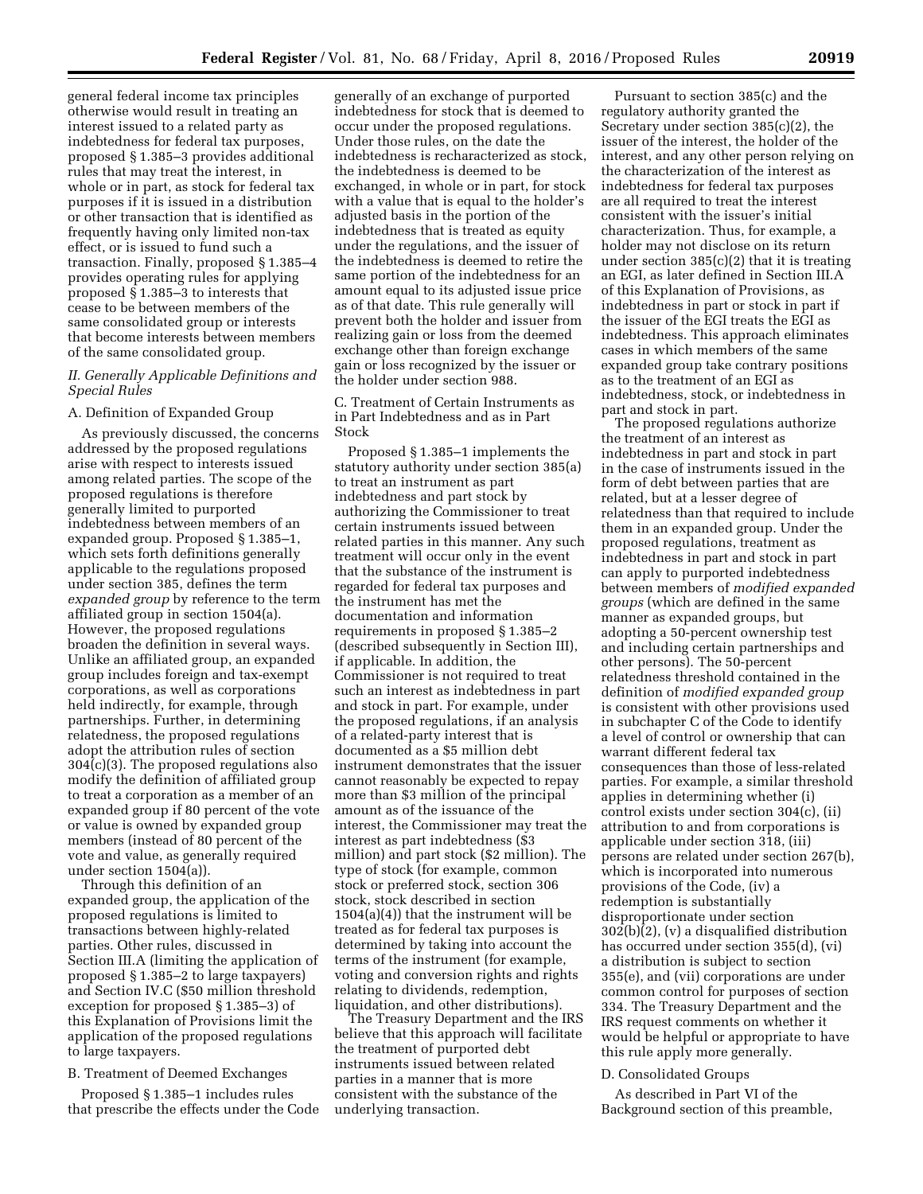general federal income tax principles otherwise would result in treating an interest issued to a related party as indebtedness for federal tax purposes, proposed § 1.385–3 provides additional rules that may treat the interest, in whole or in part, as stock for federal tax purposes if it is issued in a distribution or other transaction that is identified as frequently having only limited non-tax effect, or is issued to fund such a transaction. Finally, proposed § 1.385–4 provides operating rules for applying proposed § 1.385–3 to interests that cease to be between members of the same consolidated group or interests that become interests between members of the same consolidated group.

# *II. Generally Applicable Definitions and Special Rules*

## A. Definition of Expanded Group

As previously discussed, the concerns addressed by the proposed regulations arise with respect to interests issued among related parties. The scope of the proposed regulations is therefore generally limited to purported indebtedness between members of an expanded group. Proposed § 1.385–1, which sets forth definitions generally applicable to the regulations proposed under section 385, defines the term *expanded group* by reference to the term affiliated group in section 1504(a). However, the proposed regulations broaden the definition in several ways. Unlike an affiliated group, an expanded group includes foreign and tax-exempt corporations, as well as corporations held indirectly, for example, through partnerships. Further, in determining relatedness, the proposed regulations adopt the attribution rules of section 304(c)(3). The proposed regulations also modify the definition of affiliated group to treat a corporation as a member of an expanded group if 80 percent of the vote or value is owned by expanded group members (instead of 80 percent of the vote and value, as generally required under section 1504(a)).

Through this definition of an expanded group, the application of the proposed regulations is limited to transactions between highly-related parties. Other rules, discussed in Section III.A (limiting the application of proposed § 1.385–2 to large taxpayers) and Section IV.C (\$50 million threshold exception for proposed § 1.385–3) of this Explanation of Provisions limit the application of the proposed regulations to large taxpayers.

# B. Treatment of Deemed Exchanges

Proposed § 1.385–1 includes rules that prescribe the effects under the Code

generally of an exchange of purported indebtedness for stock that is deemed to occur under the proposed regulations. Under those rules, on the date the indebtedness is recharacterized as stock, the indebtedness is deemed to be exchanged, in whole or in part, for stock with a value that is equal to the holder's adjusted basis in the portion of the indebtedness that is treated as equity under the regulations, and the issuer of the indebtedness is deemed to retire the same portion of the indebtedness for an amount equal to its adjusted issue price as of that date. This rule generally will prevent both the holder and issuer from realizing gain or loss from the deemed exchange other than foreign exchange gain or loss recognized by the issuer or the holder under section 988.

# C. Treatment of Certain Instruments as in Part Indebtedness and as in Part Stock

Proposed § 1.385–1 implements the statutory authority under section 385(a) to treat an instrument as part indebtedness and part stock by authorizing the Commissioner to treat certain instruments issued between related parties in this manner. Any such treatment will occur only in the event that the substance of the instrument is regarded for federal tax purposes and the instrument has met the documentation and information requirements in proposed § 1.385–2 (described subsequently in Section III), if applicable. In addition, the Commissioner is not required to treat such an interest as indebtedness in part and stock in part. For example, under the proposed regulations, if an analysis of a related-party interest that is documented as a \$5 million debt instrument demonstrates that the issuer cannot reasonably be expected to repay more than \$3 million of the principal amount as of the issuance of the interest, the Commissioner may treat the interest as part indebtedness (\$3 million) and part stock (\$2 million). The type of stock (for example, common stock or preferred stock, section 306 stock, stock described in section  $1504(a)(4)$  that the instrument will be treated as for federal tax purposes is determined by taking into account the terms of the instrument (for example, voting and conversion rights and rights relating to dividends, redemption, liquidation, and other distributions).

The Treasury Department and the IRS believe that this approach will facilitate the treatment of purported debt instruments issued between related parties in a manner that is more consistent with the substance of the underlying transaction.

Pursuant to section 385(c) and the regulatory authority granted the Secretary under section 385(c)(2), the issuer of the interest, the holder of the interest, and any other person relying on the characterization of the interest as indebtedness for federal tax purposes are all required to treat the interest consistent with the issuer's initial characterization. Thus, for example, a holder may not disclose on its return under section 385(c)(2) that it is treating an EGI, as later defined in Section III.A of this Explanation of Provisions, as indebtedness in part or stock in part if the issuer of the EGI treats the EGI as indebtedness. This approach eliminates cases in which members of the same expanded group take contrary positions as to the treatment of an EGI as indebtedness, stock, or indebtedness in part and stock in part.

The proposed regulations authorize the treatment of an interest as indebtedness in part and stock in part in the case of instruments issued in the form of debt between parties that are related, but at a lesser degree of relatedness than that required to include them in an expanded group. Under the proposed regulations, treatment as indebtedness in part and stock in part can apply to purported indebtedness between members of *modified expanded groups* (which are defined in the same manner as expanded groups, but adopting a 50-percent ownership test and including certain partnerships and other persons). The 50-percent relatedness threshold contained in the definition of *modified expanded group*  is consistent with other provisions used in subchapter C of the Code to identify a level of control or ownership that can warrant different federal tax consequences than those of less-related parties. For example, a similar threshold applies in determining whether (i) control exists under section 304(c), (ii) attribution to and from corporations is applicable under section 318, (iii) persons are related under section 267(b), which is incorporated into numerous provisions of the Code, (iv) a redemption is substantially disproportionate under section 302(b)(2), (v) a disqualified distribution has occurred under section 355(d), (vi) a distribution is subject to section 355(e), and (vii) corporations are under common control for purposes of section 334. The Treasury Department and the IRS request comments on whether it would be helpful or appropriate to have this rule apply more generally.

#### D. Consolidated Groups

As described in Part VI of the Background section of this preamble,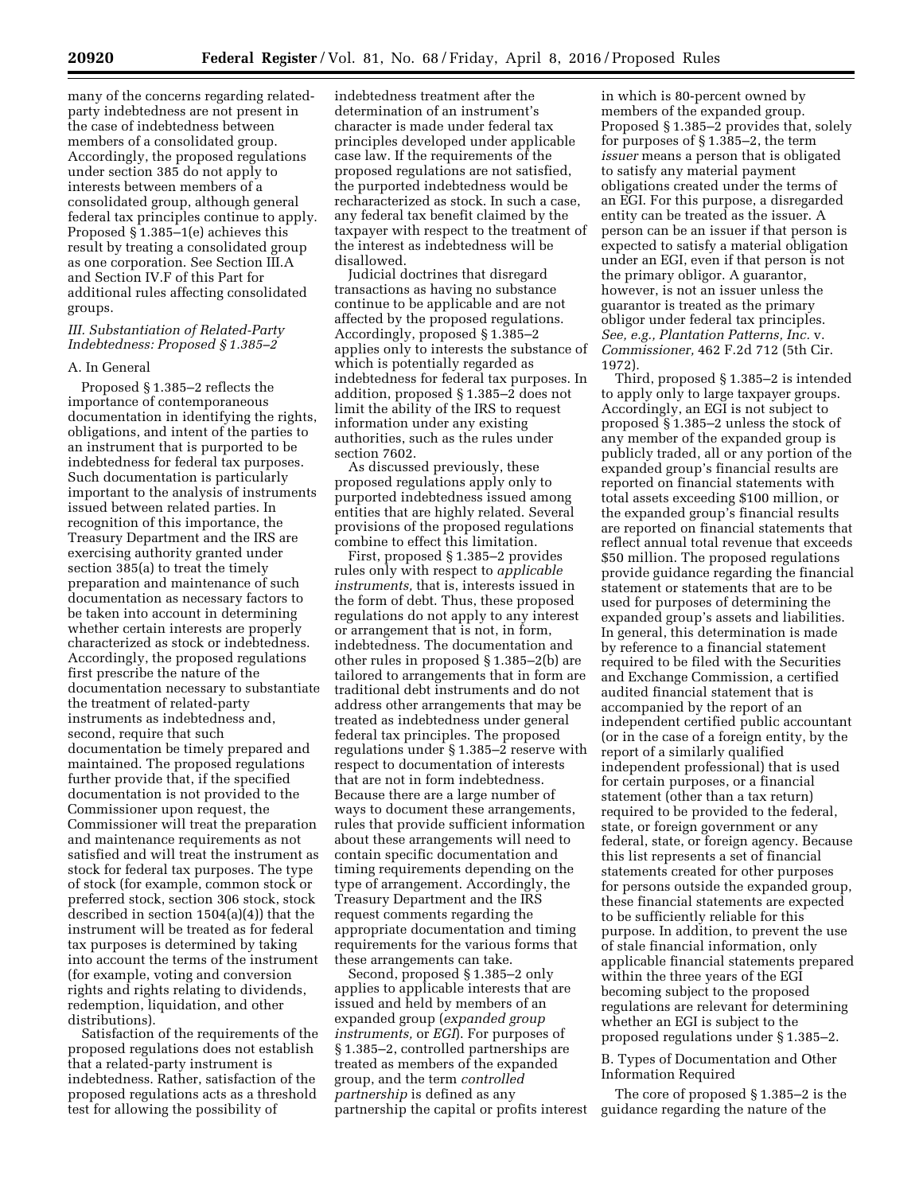many of the concerns regarding relatedparty indebtedness are not present in the case of indebtedness between members of a consolidated group. Accordingly, the proposed regulations under section 385 do not apply to interests between members of a consolidated group, although general federal tax principles continue to apply. Proposed § 1.385–1(e) achieves this result by treating a consolidated group as one corporation. See Section III.A and Section IV.F of this Part for additional rules affecting consolidated groups.

# *III. Substantiation of Related-Party Indebtedness: Proposed § 1.385–2*

#### A. In General

Proposed § 1.385–2 reflects the importance of contemporaneous documentation in identifying the rights, obligations, and intent of the parties to an instrument that is purported to be indebtedness for federal tax purposes. Such documentation is particularly important to the analysis of instruments issued between related parties. In recognition of this importance, the Treasury Department and the IRS are exercising authority granted under section 385(a) to treat the timely preparation and maintenance of such documentation as necessary factors to be taken into account in determining whether certain interests are properly characterized as stock or indebtedness. Accordingly, the proposed regulations first prescribe the nature of the documentation necessary to substantiate the treatment of related-party instruments as indebtedness and, second, require that such documentation be timely prepared and maintained. The proposed regulations further provide that, if the specified documentation is not provided to the Commissioner upon request, the Commissioner will treat the preparation and maintenance requirements as not satisfied and will treat the instrument as stock for federal tax purposes. The type of stock (for example, common stock or preferred stock, section 306 stock, stock described in section 1504(a)(4)) that the instrument will be treated as for federal tax purposes is determined by taking into account the terms of the instrument (for example, voting and conversion rights and rights relating to dividends, redemption, liquidation, and other distributions).

Satisfaction of the requirements of the proposed regulations does not establish that a related-party instrument is indebtedness. Rather, satisfaction of the proposed regulations acts as a threshold test for allowing the possibility of

indebtedness treatment after the determination of an instrument's character is made under federal tax principles developed under applicable case law. If the requirements of the proposed regulations are not satisfied, the purported indebtedness would be recharacterized as stock. In such a case, any federal tax benefit claimed by the taxpayer with respect to the treatment of the interest as indebtedness will be disallowed.

Judicial doctrines that disregard transactions as having no substance continue to be applicable and are not affected by the proposed regulations. Accordingly, proposed § 1.385–2 applies only to interests the substance of which is potentially regarded as indebtedness for federal tax purposes. In addition, proposed § 1.385–2 does not limit the ability of the IRS to request information under any existing authorities, such as the rules under section 7602.

As discussed previously, these proposed regulations apply only to purported indebtedness issued among entities that are highly related. Several provisions of the proposed regulations combine to effect this limitation.

First, proposed § 1.385–2 provides rules only with respect to *applicable instruments,* that is, interests issued in the form of debt. Thus, these proposed regulations do not apply to any interest or arrangement that is not, in form, indebtedness. The documentation and other rules in proposed § 1.385–2(b) are tailored to arrangements that in form are traditional debt instruments and do not address other arrangements that may be treated as indebtedness under general federal tax principles. The proposed regulations under § 1.385–2 reserve with respect to documentation of interests that are not in form indebtedness. Because there are a large number of ways to document these arrangements, rules that provide sufficient information about these arrangements will need to contain specific documentation and timing requirements depending on the type of arrangement. Accordingly, the Treasury Department and the IRS request comments regarding the appropriate documentation and timing requirements for the various forms that these arrangements can take.

Second, proposed § 1.385–2 only applies to applicable interests that are issued and held by members of an expanded group (*expanded group instruments,* or *EGI*). For purposes of § 1.385–2, controlled partnerships are treated as members of the expanded group, and the term *controlled partnership* is defined as any partnership the capital or profits interest in which is 80-percent owned by members of the expanded group. Proposed § 1.385–2 provides that, solely for purposes of § 1.385–2, the term *issuer* means a person that is obligated to satisfy any material payment obligations created under the terms of an EGI. For this purpose, a disregarded entity can be treated as the issuer. A person can be an issuer if that person is expected to satisfy a material obligation under an EGI, even if that person is not the primary obligor. A guarantor, however, is not an issuer unless the guarantor is treated as the primary obligor under federal tax principles. *See, e.g., Plantation Patterns, Inc.* v. *Commissioner,* 462 F.2d 712 (5th Cir. 1972).

Third, proposed § 1.385–2 is intended to apply only to large taxpayer groups. Accordingly, an EGI is not subject to proposed § 1.385–2 unless the stock of any member of the expanded group is publicly traded, all or any portion of the expanded group's financial results are reported on financial statements with total assets exceeding \$100 million, or the expanded group's financial results are reported on financial statements that reflect annual total revenue that exceeds \$50 million. The proposed regulations provide guidance regarding the financial statement or statements that are to be used for purposes of determining the expanded group's assets and liabilities. In general, this determination is made by reference to a financial statement required to be filed with the Securities and Exchange Commission, a certified audited financial statement that is accompanied by the report of an independent certified public accountant (or in the case of a foreign entity, by the report of a similarly qualified independent professional) that is used for certain purposes, or a financial statement (other than a tax return) required to be provided to the federal, state, or foreign government or any federal, state, or foreign agency. Because this list represents a set of financial statements created for other purposes for persons outside the expanded group, these financial statements are expected to be sufficiently reliable for this purpose. In addition, to prevent the use of stale financial information, only applicable financial statements prepared within the three years of the EGI becoming subject to the proposed regulations are relevant for determining whether an EGI is subject to the proposed regulations under § 1.385–2.

# B. Types of Documentation and Other Information Required

The core of proposed § 1.385–2 is the guidance regarding the nature of the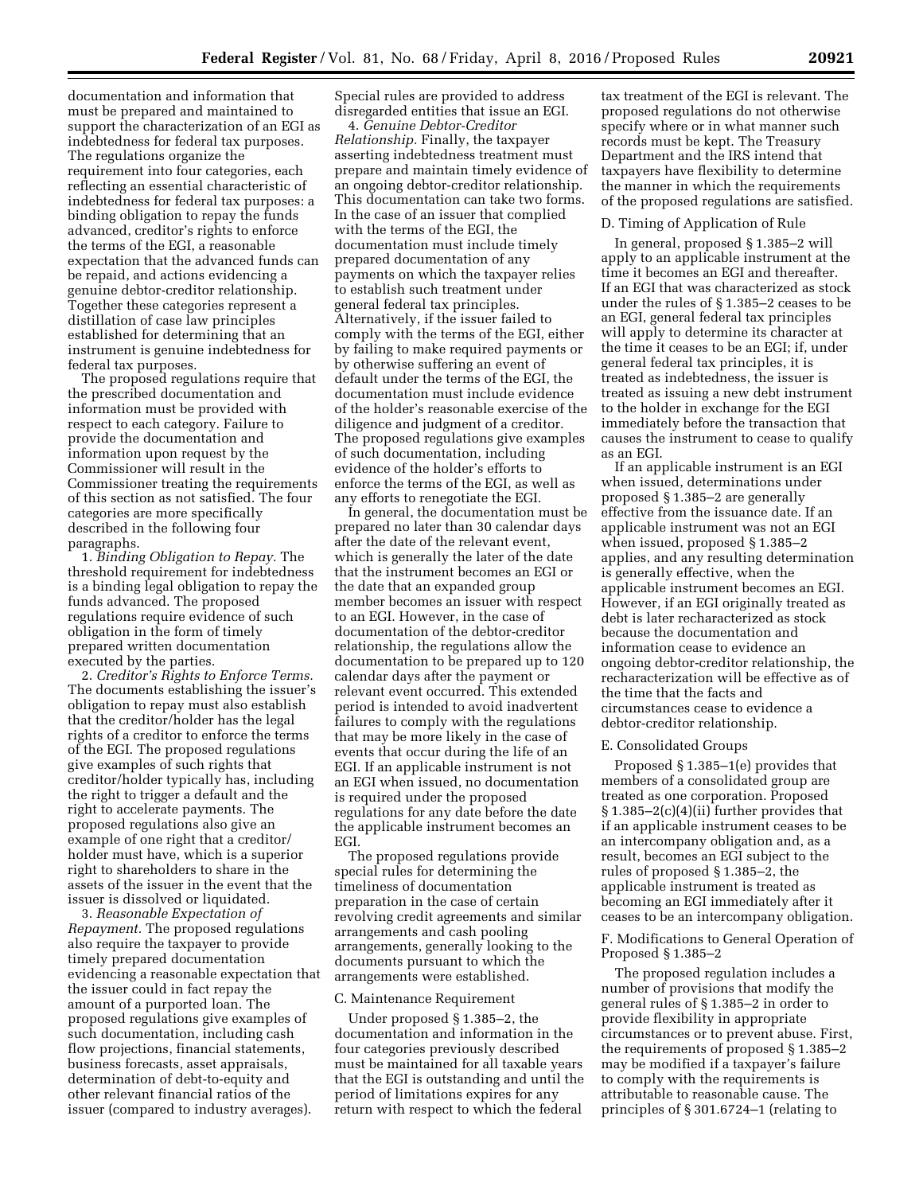documentation and information that must be prepared and maintained to support the characterization of an EGI as indebtedness for federal tax purposes. The regulations organize the requirement into four categories, each reflecting an essential characteristic of indebtedness for federal tax purposes: a binding obligation to repay the funds advanced, creditor's rights to enforce the terms of the EGI, a reasonable expectation that the advanced funds can be repaid, and actions evidencing a genuine debtor-creditor relationship. Together these categories represent a distillation of case law principles established for determining that an instrument is genuine indebtedness for federal tax purposes.

The proposed regulations require that the prescribed documentation and information must be provided with respect to each category. Failure to provide the documentation and information upon request by the Commissioner will result in the Commissioner treating the requirements of this section as not satisfied. The four categories are more specifically described in the following four paragraphs.

1. *Binding Obligation to Repay.* The threshold requirement for indebtedness is a binding legal obligation to repay the funds advanced. The proposed regulations require evidence of such obligation in the form of timely prepared written documentation executed by the parties.

2. *Creditor's Rights to Enforce Terms.*  The documents establishing the issuer's obligation to repay must also establish that the creditor/holder has the legal rights of a creditor to enforce the terms of the EGI. The proposed regulations give examples of such rights that creditor/holder typically has, including the right to trigger a default and the right to accelerate payments. The proposed regulations also give an example of one right that a creditor/ holder must have, which is a superior right to shareholders to share in the assets of the issuer in the event that the issuer is dissolved or liquidated.

3. *Reasonable Expectation of Repayment.* The proposed regulations also require the taxpayer to provide timely prepared documentation evidencing a reasonable expectation that the issuer could in fact repay the amount of a purported loan. The proposed regulations give examples of such documentation, including cash flow projections, financial statements, business forecasts, asset appraisals, determination of debt-to-equity and other relevant financial ratios of the issuer (compared to industry averages).

Special rules are provided to address disregarded entities that issue an EGI.

4. *Genuine Debtor-Creditor Relationship.* Finally, the taxpayer asserting indebtedness treatment must prepare and maintain timely evidence of an ongoing debtor-creditor relationship. This documentation can take two forms. In the case of an issuer that complied with the terms of the EGI, the documentation must include timely prepared documentation of any payments on which the taxpayer relies to establish such treatment under general federal tax principles. Alternatively, if the issuer failed to comply with the terms of the EGI, either by failing to make required payments or by otherwise suffering an event of default under the terms of the EGI, the documentation must include evidence of the holder's reasonable exercise of the diligence and judgment of a creditor. The proposed regulations give examples of such documentation, including evidence of the holder's efforts to enforce the terms of the EGI, as well as any efforts to renegotiate the EGI.

In general, the documentation must be prepared no later than 30 calendar days after the date of the relevant event, which is generally the later of the date that the instrument becomes an EGI or the date that an expanded group member becomes an issuer with respect to an EGI. However, in the case of documentation of the debtor-creditor relationship, the regulations allow the documentation to be prepared up to 120 calendar days after the payment or relevant event occurred. This extended period is intended to avoid inadvertent failures to comply with the regulations that may be more likely in the case of events that occur during the life of an EGI. If an applicable instrument is not an EGI when issued, no documentation is required under the proposed regulations for any date before the date the applicable instrument becomes an EGI.

The proposed regulations provide special rules for determining the timeliness of documentation preparation in the case of certain revolving credit agreements and similar arrangements and cash pooling arrangements, generally looking to the documents pursuant to which the arrangements were established.

#### C. Maintenance Requirement

Under proposed § 1.385–2, the documentation and information in the four categories previously described must be maintained for all taxable years that the EGI is outstanding and until the period of limitations expires for any return with respect to which the federal

tax treatment of the EGI is relevant. The proposed regulations do not otherwise specify where or in what manner such records must be kept. The Treasury Department and the IRS intend that taxpayers have flexibility to determine the manner in which the requirements of the proposed regulations are satisfied.

# D. Timing of Application of Rule

In general, proposed § 1.385–2 will apply to an applicable instrument at the time it becomes an EGI and thereafter. If an EGI that was characterized as stock under the rules of § 1.385–2 ceases to be an EGI, general federal tax principles will apply to determine its character at the time it ceases to be an EGI; if, under general federal tax principles, it is treated as indebtedness, the issuer is treated as issuing a new debt instrument to the holder in exchange for the EGI immediately before the transaction that causes the instrument to cease to qualify as an EGI.

If an applicable instrument is an EGI when issued, determinations under proposed § 1.385–2 are generally effective from the issuance date. If an applicable instrument was not an EGI when issued, proposed § 1.385–2 applies, and any resulting determination is generally effective, when the applicable instrument becomes an EGI. However, if an EGI originally treated as debt is later recharacterized as stock because the documentation and information cease to evidence an ongoing debtor-creditor relationship, the recharacterization will be effective as of the time that the facts and circumstances cease to evidence a debtor-creditor relationship.

#### E. Consolidated Groups

Proposed § 1.385–1(e) provides that members of a consolidated group are treated as one corporation. Proposed § 1.385–2(c)(4)(ii) further provides that if an applicable instrument ceases to be an intercompany obligation and, as a result, becomes an EGI subject to the rules of proposed § 1.385–2, the applicable instrument is treated as becoming an EGI immediately after it ceases to be an intercompany obligation.

# F. Modifications to General Operation of Proposed § 1.385–2

The proposed regulation includes a number of provisions that modify the general rules of § 1.385–2 in order to provide flexibility in appropriate circumstances or to prevent abuse. First, the requirements of proposed § 1.385–2 may be modified if a taxpayer's failure to comply with the requirements is attributable to reasonable cause. The principles of § 301.6724–1 (relating to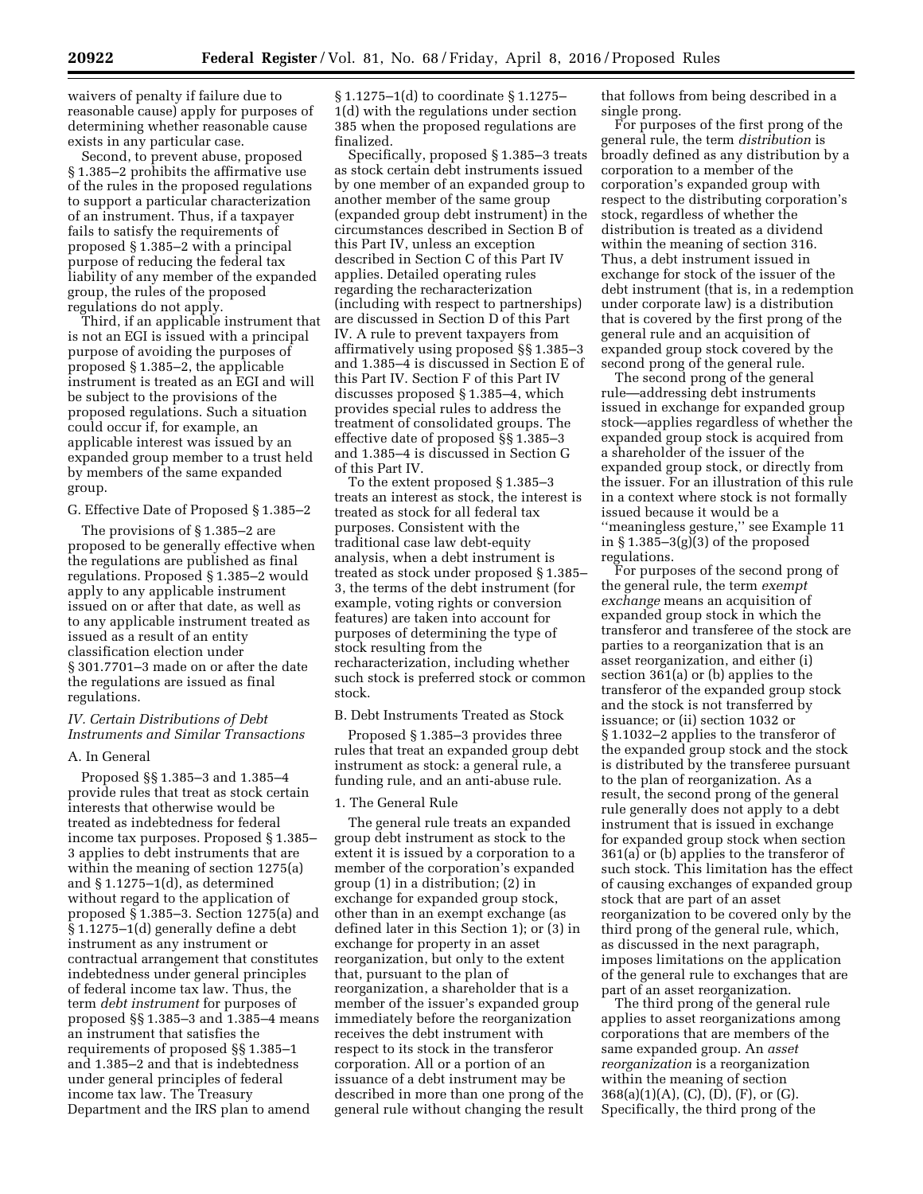waivers of penalty if failure due to reasonable cause) apply for purposes of determining whether reasonable cause exists in any particular case.

Second, to prevent abuse, proposed § 1.385–2 prohibits the affirmative use of the rules in the proposed regulations to support a particular characterization of an instrument. Thus, if a taxpayer fails to satisfy the requirements of proposed § 1.385–2 with a principal purpose of reducing the federal tax liability of any member of the expanded group, the rules of the proposed regulations do not apply.

Third, if an applicable instrument that is not an EGI is issued with a principal purpose of avoiding the purposes of proposed § 1.385–2, the applicable instrument is treated as an EGI and will be subject to the provisions of the proposed regulations. Such a situation could occur if, for example, an applicable interest was issued by an expanded group member to a trust held by members of the same expanded group.

# G. Effective Date of Proposed § 1.385–2

The provisions of § 1.385–2 are proposed to be generally effective when the regulations are published as final regulations. Proposed § 1.385–2 would apply to any applicable instrument issued on or after that date, as well as to any applicable instrument treated as issued as a result of an entity classification election under § 301.7701–3 made on or after the date the regulations are issued as final regulations.

# *IV. Certain Distributions of Debt Instruments and Similar Transactions*

#### A. In General

Proposed §§ 1.385–3 and 1.385–4 provide rules that treat as stock certain interests that otherwise would be treated as indebtedness for federal income tax purposes. Proposed § 1.385– 3 applies to debt instruments that are within the meaning of section 1275(a) and § 1.1275–1(d), as determined without regard to the application of proposed § 1.385–3. Section 1275(a) and § 1.1275–1(d) generally define a debt instrument as any instrument or contractual arrangement that constitutes indebtedness under general principles of federal income tax law. Thus, the term *debt instrument* for purposes of proposed §§ 1.385–3 and 1.385–4 means an instrument that satisfies the requirements of proposed §§ 1.385–1 and 1.385–2 and that is indebtedness under general principles of federal income tax law. The Treasury Department and the IRS plan to amend

§ 1.1275–1(d) to coordinate § 1.1275– 1(d) with the regulations under section 385 when the proposed regulations are finalized.

Specifically, proposed § 1.385–3 treats as stock certain debt instruments issued by one member of an expanded group to another member of the same group (expanded group debt instrument) in the circumstances described in Section B of this Part IV, unless an exception described in Section C of this Part IV applies. Detailed operating rules regarding the recharacterization (including with respect to partnerships) are discussed in Section D of this Part IV. A rule to prevent taxpayers from affirmatively using proposed §§ 1.385–3 and 1.385–4 is discussed in Section E of this Part IV. Section F of this Part IV discusses proposed § 1.385–4, which provides special rules to address the treatment of consolidated groups. The effective date of proposed §§ 1.385–3 and 1.385–4 is discussed in Section G of this Part IV.

To the extent proposed § 1.385–3 treats an interest as stock, the interest is treated as stock for all federal tax purposes. Consistent with the traditional case law debt-equity analysis, when a debt instrument is treated as stock under proposed § 1.385– 3, the terms of the debt instrument (for example, voting rights or conversion features) are taken into account for purposes of determining the type of stock resulting from the recharacterization, including whether such stock is preferred stock or common stock.

# B. Debt Instruments Treated as Stock

Proposed § 1.385–3 provides three rules that treat an expanded group debt instrument as stock: a general rule, a funding rule, and an anti-abuse rule.

# 1. The General Rule

The general rule treats an expanded group debt instrument as stock to the extent it is issued by a corporation to a member of the corporation's expanded group (1) in a distribution; (2) in exchange for expanded group stock, other than in an exempt exchange (as defined later in this Section 1); or (3) in exchange for property in an asset reorganization, but only to the extent that, pursuant to the plan of reorganization, a shareholder that is a member of the issuer's expanded group immediately before the reorganization receives the debt instrument with respect to its stock in the transferor corporation. All or a portion of an issuance of a debt instrument may be described in more than one prong of the general rule without changing the result that follows from being described in a single prong.

For purposes of the first prong of the general rule, the term *distribution* is broadly defined as any distribution by a corporation to a member of the corporation's expanded group with respect to the distributing corporation's stock, regardless of whether the distribution is treated as a dividend within the meaning of section 316. Thus, a debt instrument issued in exchange for stock of the issuer of the debt instrument (that is, in a redemption under corporate law) is a distribution that is covered by the first prong of the general rule and an acquisition of expanded group stock covered by the second prong of the general rule.

The second prong of the general rule—addressing debt instruments issued in exchange for expanded group stock—applies regardless of whether the expanded group stock is acquired from a shareholder of the issuer of the expanded group stock, or directly from the issuer. For an illustration of this rule in a context where stock is not formally issued because it would be a ''meaningless gesture,'' see Example 11 in  $\S 1.385-3(g)(3)$  of the proposed regulations.

For purposes of the second prong of the general rule, the term *exempt exchange* means an acquisition of expanded group stock in which the transferor and transferee of the stock are parties to a reorganization that is an asset reorganization, and either (i) section 361(a) or (b) applies to the transferor of the expanded group stock and the stock is not transferred by issuance; or (ii) section 1032 or § 1.1032–2 applies to the transferor of the expanded group stock and the stock is distributed by the transferee pursuant to the plan of reorganization. As a result, the second prong of the general rule generally does not apply to a debt instrument that is issued in exchange for expanded group stock when section 361(a) or (b) applies to the transferor of such stock. This limitation has the effect of causing exchanges of expanded group stock that are part of an asset reorganization to be covered only by the third prong of the general rule, which, as discussed in the next paragraph, imposes limitations on the application of the general rule to exchanges that are part of an asset reorganization.

The third prong of the general rule applies to asset reorganizations among corporations that are members of the same expanded group. An *asset reorganization* is a reorganization within the meaning of section 368(a)(1)(A), (C), (D), (F), or (G). Specifically, the third prong of the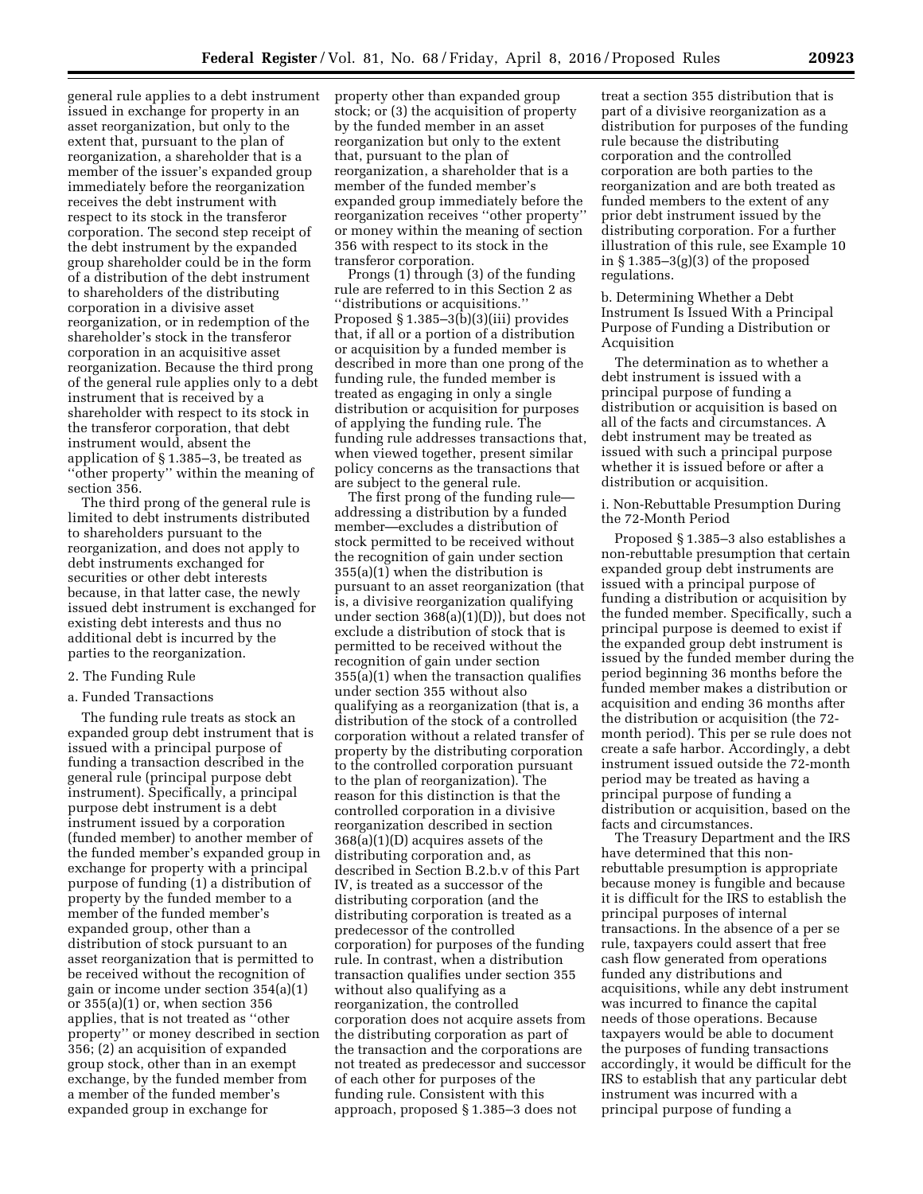general rule applies to a debt instrument issued in exchange for property in an asset reorganization, but only to the extent that, pursuant to the plan of reorganization, a shareholder that is a member of the issuer's expanded group immediately before the reorganization receives the debt instrument with respect to its stock in the transferor corporation. The second step receipt of the debt instrument by the expanded group shareholder could be in the form of a distribution of the debt instrument to shareholders of the distributing corporation in a divisive asset reorganization, or in redemption of the shareholder's stock in the transferor corporation in an acquisitive asset reorganization. Because the third prong of the general rule applies only to a debt instrument that is received by a shareholder with respect to its stock in the transferor corporation, that debt instrument would, absent the application of § 1.385–3, be treated as ''other property'' within the meaning of section 356.

The third prong of the general rule is limited to debt instruments distributed to shareholders pursuant to the reorganization, and does not apply to debt instruments exchanged for securities or other debt interests because, in that latter case, the newly issued debt instrument is exchanged for existing debt interests and thus no additional debt is incurred by the parties to the reorganization.

# 2. The Funding Rule

# a. Funded Transactions

The funding rule treats as stock an expanded group debt instrument that is issued with a principal purpose of funding a transaction described in the general rule (principal purpose debt instrument). Specifically, a principal purpose debt instrument is a debt instrument issued by a corporation (funded member) to another member of the funded member's expanded group in exchange for property with a principal purpose of funding (1) a distribution of property by the funded member to a member of the funded member's expanded group, other than a distribution of stock pursuant to an asset reorganization that is permitted to be received without the recognition of gain or income under section 354(a)(1) or  $355(a)(1)$  or, when section  $356$ applies, that is not treated as ''other property'' or money described in section 356; (2) an acquisition of expanded group stock, other than in an exempt exchange, by the funded member from a member of the funded member's expanded group in exchange for

property other than expanded group stock; or (3) the acquisition of property by the funded member in an asset reorganization but only to the extent that, pursuant to the plan of reorganization, a shareholder that is a member of the funded member's expanded group immediately before the reorganization receives ''other property'' or money within the meaning of section 356 with respect to its stock in the transferor corporation.

Prongs (1) through (3) of the funding rule are referred to in this Section 2 as ''distributions or acquisitions.'' Proposed § 1.385–3(b)(3)(iii) provides that, if all or a portion of a distribution or acquisition by a funded member is described in more than one prong of the funding rule, the funded member is treated as engaging in only a single distribution or acquisition for purposes of applying the funding rule. The funding rule addresses transactions that, when viewed together, present similar policy concerns as the transactions that are subject to the general rule.

The first prong of the funding rule addressing a distribution by a funded member—excludes a distribution of stock permitted to be received without the recognition of gain under section 355(a)(1) when the distribution is pursuant to an asset reorganization (that is, a divisive reorganization qualifying under section 368(a)(1)(D)), but does not exclude a distribution of stock that is permitted to be received without the recognition of gain under section 355(a)(1) when the transaction qualifies under section 355 without also qualifying as a reorganization (that is, a distribution of the stock of a controlled corporation without a related transfer of property by the distributing corporation to the controlled corporation pursuant to the plan of reorganization). The reason for this distinction is that the controlled corporation in a divisive reorganization described in section 368(a)(1)(D) acquires assets of the distributing corporation and, as described in Section B.2.b.v of this Part IV, is treated as a successor of the distributing corporation (and the distributing corporation is treated as a predecessor of the controlled corporation) for purposes of the funding rule. In contrast, when a distribution transaction qualifies under section 355 without also qualifying as a reorganization, the controlled corporation does not acquire assets from the distributing corporation as part of the transaction and the corporations are not treated as predecessor and successor of each other for purposes of the funding rule. Consistent with this approach, proposed § 1.385–3 does not

treat a section 355 distribution that is part of a divisive reorganization as a distribution for purposes of the funding rule because the distributing corporation and the controlled corporation are both parties to the reorganization and are both treated as funded members to the extent of any prior debt instrument issued by the distributing corporation. For a further illustration of this rule, see Example 10 in § 1.385–3(g)(3) of the proposed regulations.

b. Determining Whether a Debt Instrument Is Issued With a Principal Purpose of Funding a Distribution or Acquisition

The determination as to whether a debt instrument is issued with a principal purpose of funding a distribution or acquisition is based on all of the facts and circumstances. A debt instrument may be treated as issued with such a principal purpose whether it is issued before or after a distribution or acquisition.

i. Non-Rebuttable Presumption During the 72-Month Period

Proposed § 1.385–3 also establishes a non-rebuttable presumption that certain expanded group debt instruments are issued with a principal purpose of funding a distribution or acquisition by the funded member. Specifically, such a principal purpose is deemed to exist if the expanded group debt instrument is issued by the funded member during the period beginning 36 months before the funded member makes a distribution or acquisition and ending 36 months after the distribution or acquisition (the 72 month period). This per se rule does not create a safe harbor. Accordingly, a debt instrument issued outside the 72-month period may be treated as having a principal purpose of funding a distribution or acquisition, based on the facts and circumstances.

The Treasury Department and the IRS have determined that this nonrebuttable presumption is appropriate because money is fungible and because it is difficult for the IRS to establish the principal purposes of internal transactions. In the absence of a per se rule, taxpayers could assert that free cash flow generated from operations funded any distributions and acquisitions, while any debt instrument was incurred to finance the capital needs of those operations. Because taxpayers would be able to document the purposes of funding transactions accordingly, it would be difficult for the IRS to establish that any particular debt instrument was incurred with a principal purpose of funding a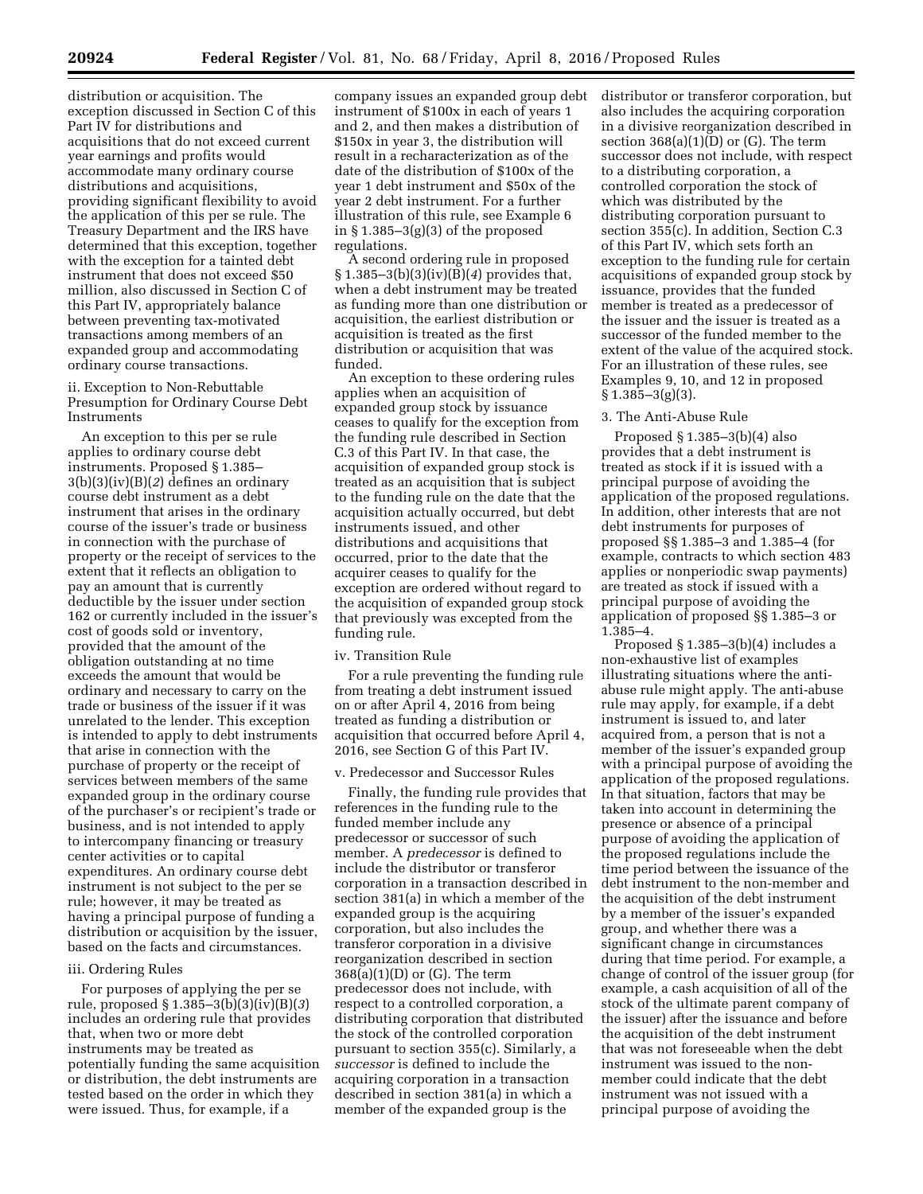distribution or acquisition. The exception discussed in Section C of this Part IV for distributions and acquisitions that do not exceed current year earnings and profits would accommodate many ordinary course distributions and acquisitions, providing significant flexibility to avoid the application of this per se rule. The Treasury Department and the IRS have determined that this exception, together with the exception for a tainted debt instrument that does not exceed \$50 million, also discussed in Section C of this Part IV, appropriately balance between preventing tax-motivated transactions among members of an expanded group and accommodating ordinary course transactions.

# ii. Exception to Non-Rebuttable Presumption for Ordinary Course Debt Instruments

An exception to this per se rule applies to ordinary course debt instruments. Proposed § 1.385– 3(b)(3)(iv)(B)(*2*) defines an ordinary course debt instrument as a debt instrument that arises in the ordinary course of the issuer's trade or business in connection with the purchase of property or the receipt of services to the extent that it reflects an obligation to pay an amount that is currently deductible by the issuer under section 162 or currently included in the issuer's cost of goods sold or inventory, provided that the amount of the obligation outstanding at no time exceeds the amount that would be ordinary and necessary to carry on the trade or business of the issuer if it was unrelated to the lender. This exception is intended to apply to debt instruments that arise in connection with the purchase of property or the receipt of services between members of the same expanded group in the ordinary course of the purchaser's or recipient's trade or business, and is not intended to apply to intercompany financing or treasury center activities or to capital expenditures. An ordinary course debt instrument is not subject to the per se rule; however, it may be treated as having a principal purpose of funding a distribution or acquisition by the issuer, based on the facts and circumstances.

# iii. Ordering Rules

For purposes of applying the per se rule, proposed § 1.385–3(b)(3)(iv)(B)(*3*) includes an ordering rule that provides that, when two or more debt instruments may be treated as potentially funding the same acquisition or distribution, the debt instruments are tested based on the order in which they were issued. Thus, for example, if a

company issues an expanded group debt instrument of \$100x in each of years 1 and 2, and then makes a distribution of \$150x in year 3, the distribution will result in a recharacterization as of the date of the distribution of \$100x of the year 1 debt instrument and \$50x of the year 2 debt instrument. For a further illustration of this rule, see Example 6 in § 1.385–3(g)(3) of the proposed regulations.

A second ordering rule in proposed § 1.385–3(b)(3)(iv)(B)(*4*) provides that, when a debt instrument may be treated as funding more than one distribution or acquisition, the earliest distribution or acquisition is treated as the first distribution or acquisition that was funded.

An exception to these ordering rules applies when an acquisition of expanded group stock by issuance ceases to qualify for the exception from the funding rule described in Section C.3 of this Part IV. In that case, the acquisition of expanded group stock is treated as an acquisition that is subject to the funding rule on the date that the acquisition actually occurred, but debt instruments issued, and other distributions and acquisitions that occurred, prior to the date that the acquirer ceases to qualify for the exception are ordered without regard to the acquisition of expanded group stock that previously was excepted from the funding rule.

# iv. Transition Rule

For a rule preventing the funding rule from treating a debt instrument issued on or after April 4, 2016 from being treated as funding a distribution or acquisition that occurred before April 4, 2016, see Section G of this Part IV.

# v. Predecessor and Successor Rules

Finally, the funding rule provides that references in the funding rule to the funded member include any predecessor or successor of such member. A *predecessor* is defined to include the distributor or transferor corporation in a transaction described in section 381(a) in which a member of the expanded group is the acquiring corporation, but also includes the transferor corporation in a divisive reorganization described in section 368(a)(1)(D) or (G). The term predecessor does not include, with respect to a controlled corporation, a distributing corporation that distributed the stock of the controlled corporation pursuant to section 355(c). Similarly, a *successor* is defined to include the acquiring corporation in a transaction described in section 381(a) in which a member of the expanded group is the

distributor or transferor corporation, but also includes the acquiring corporation in a divisive reorganization described in section  $368(a)(1)(D)$  or (G). The term successor does not include, with respect to a distributing corporation, a controlled corporation the stock of which was distributed by the distributing corporation pursuant to section 355(c). In addition, Section C.3 of this Part IV, which sets forth an exception to the funding rule for certain acquisitions of expanded group stock by issuance, provides that the funded member is treated as a predecessor of the issuer and the issuer is treated as a successor of the funded member to the extent of the value of the acquired stock. For an illustration of these rules, see Examples 9, 10, and 12 in proposed  $§ 1.385 - 3(g)(3).$ 

# 3. The Anti-Abuse Rule

Proposed § 1.385–3(b)(4) also provides that a debt instrument is treated as stock if it is issued with a principal purpose of avoiding the application of the proposed regulations. In addition, other interests that are not debt instruments for purposes of proposed §§ 1.385–3 and 1.385–4 (for example, contracts to which section 483 applies or nonperiodic swap payments) are treated as stock if issued with a principal purpose of avoiding the application of proposed §§ 1.385–3 or 1.385–4.

Proposed § 1.385–3(b)(4) includes a non-exhaustive list of examples illustrating situations where the antiabuse rule might apply. The anti-abuse rule may apply, for example, if a debt instrument is issued to, and later acquired from, a person that is not a member of the issuer's expanded group with a principal purpose of avoiding the application of the proposed regulations. In that situation, factors that may be taken into account in determining the presence or absence of a principal purpose of avoiding the application of the proposed regulations include the time period between the issuance of the debt instrument to the non-member and the acquisition of the debt instrument by a member of the issuer's expanded group, and whether there was a significant change in circumstances during that time period. For example, a change of control of the issuer group (for example, a cash acquisition of all of the stock of the ultimate parent company of the issuer) after the issuance and before the acquisition of the debt instrument that was not foreseeable when the debt instrument was issued to the nonmember could indicate that the debt instrument was not issued with a principal purpose of avoiding the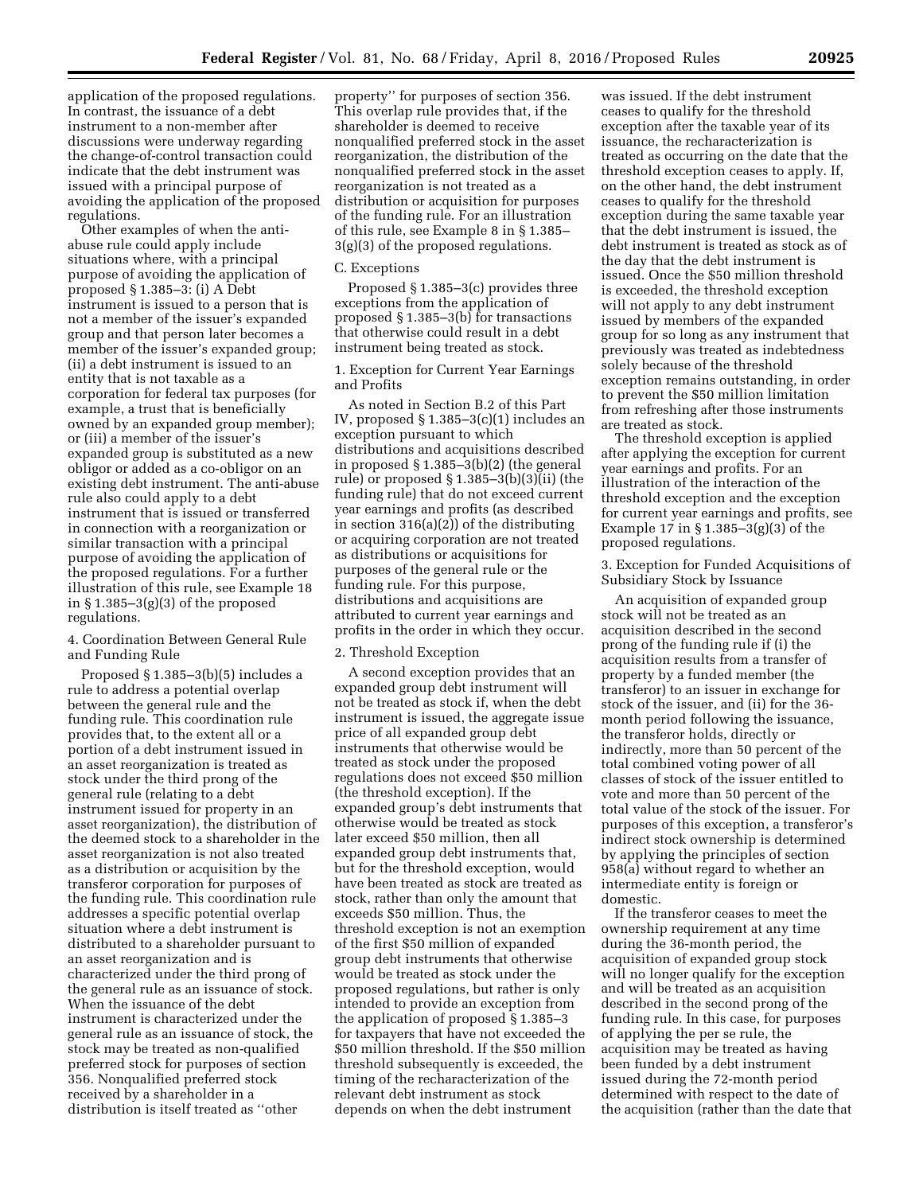application of the proposed regulations. In contrast, the issuance of a debt instrument to a non-member after discussions were underway regarding the change-of-control transaction could indicate that the debt instrument was issued with a principal purpose of avoiding the application of the proposed regulations.

Other examples of when the antiabuse rule could apply include situations where, with a principal purpose of avoiding the application of proposed § 1.385–3: (i) A Debt instrument is issued to a person that is not a member of the issuer's expanded group and that person later becomes a member of the issuer's expanded group; (ii) a debt instrument is issued to an entity that is not taxable as a corporation for federal tax purposes (for example, a trust that is beneficially owned by an expanded group member); or (iii) a member of the issuer's expanded group is substituted as a new obligor or added as a co-obligor on an existing debt instrument. The anti-abuse rule also could apply to a debt instrument that is issued or transferred in connection with a reorganization or similar transaction with a principal purpose of avoiding the application of the proposed regulations. For a further illustration of this rule, see Example 18 in § 1.385–3(g)(3) of the proposed regulations.

# 4. Coordination Between General Rule and Funding Rule

Proposed § 1.385–3(b)(5) includes a rule to address a potential overlap between the general rule and the funding rule. This coordination rule provides that, to the extent all or a portion of a debt instrument issued in an asset reorganization is treated as stock under the third prong of the general rule (relating to a debt instrument issued for property in an asset reorganization), the distribution of the deemed stock to a shareholder in the asset reorganization is not also treated as a distribution or acquisition by the transferor corporation for purposes of the funding rule. This coordination rule addresses a specific potential overlap situation where a debt instrument is distributed to a shareholder pursuant to an asset reorganization and is characterized under the third prong of the general rule as an issuance of stock. When the issuance of the debt instrument is characterized under the general rule as an issuance of stock, the stock may be treated as non-qualified preferred stock for purposes of section 356. Nonqualified preferred stock received by a shareholder in a distribution is itself treated as ''other

property'' for purposes of section 356. This overlap rule provides that, if the shareholder is deemed to receive nonqualified preferred stock in the asset reorganization, the distribution of the nonqualified preferred stock in the asset reorganization is not treated as a distribution or acquisition for purposes of the funding rule. For an illustration of this rule, see Example 8 in § 1.385– 3(g)(3) of the proposed regulations.

#### C. Exceptions

Proposed § 1.385–3(c) provides three exceptions from the application of proposed § 1.385–3(b) for transactions that otherwise could result in a debt instrument being treated as stock.

1. Exception for Current Year Earnings and Profits

As noted in Section B.2 of this Part IV, proposed § 1.385–3(c)(1) includes an exception pursuant to which distributions and acquisitions described in proposed § 1.385–3(b)(2) (the general rule) or proposed § 1.385–3(b)(3)(ii) (the funding rule) that do not exceed current year earnings and profits (as described in section 316(a)(2)) of the distributing or acquiring corporation are not treated as distributions or acquisitions for purposes of the general rule or the funding rule. For this purpose, distributions and acquisitions are attributed to current year earnings and profits in the order in which they occur.

#### 2. Threshold Exception

A second exception provides that an expanded group debt instrument will not be treated as stock if, when the debt instrument is issued, the aggregate issue price of all expanded group debt instruments that otherwise would be treated as stock under the proposed regulations does not exceed \$50 million (the threshold exception). If the expanded group's debt instruments that otherwise would be treated as stock later exceed \$50 million, then all expanded group debt instruments that, but for the threshold exception, would have been treated as stock are treated as stock, rather than only the amount that exceeds \$50 million. Thus, the threshold exception is not an exemption of the first \$50 million of expanded group debt instruments that otherwise would be treated as stock under the proposed regulations, but rather is only intended to provide an exception from the application of proposed § 1.385–3 for taxpayers that have not exceeded the \$50 million threshold. If the \$50 million threshold subsequently is exceeded, the timing of the recharacterization of the relevant debt instrument as stock depends on when the debt instrument

was issued. If the debt instrument ceases to qualify for the threshold exception after the taxable year of its issuance, the recharacterization is treated as occurring on the date that the threshold exception ceases to apply. If, on the other hand, the debt instrument ceases to qualify for the threshold exception during the same taxable year that the debt instrument is issued, the debt instrument is treated as stock as of the day that the debt instrument is issued. Once the \$50 million threshold is exceeded, the threshold exception will not apply to any debt instrument issued by members of the expanded group for so long as any instrument that previously was treated as indebtedness solely because of the threshold exception remains outstanding, in order to prevent the \$50 million limitation from refreshing after those instruments are treated as stock.

The threshold exception is applied after applying the exception for current year earnings and profits. For an illustration of the interaction of the threshold exception and the exception for current year earnings and profits, see Example 17 in § 1.385–3(g)(3) of the proposed regulations.

3. Exception for Funded Acquisitions of Subsidiary Stock by Issuance

An acquisition of expanded group stock will not be treated as an acquisition described in the second prong of the funding rule if (i) the acquisition results from a transfer of property by a funded member (the transferor) to an issuer in exchange for stock of the issuer, and (ii) for the 36 month period following the issuance, the transferor holds, directly or indirectly, more than 50 percent of the total combined voting power of all classes of stock of the issuer entitled to vote and more than 50 percent of the total value of the stock of the issuer. For purposes of this exception, a transferor's indirect stock ownership is determined by applying the principles of section 958(a) without regard to whether an intermediate entity is foreign or domestic.

If the transferor ceases to meet the ownership requirement at any time during the 36-month period, the acquisition of expanded group stock will no longer qualify for the exception and will be treated as an acquisition described in the second prong of the funding rule. In this case, for purposes of applying the per se rule, the acquisition may be treated as having been funded by a debt instrument issued during the 72-month period determined with respect to the date of the acquisition (rather than the date that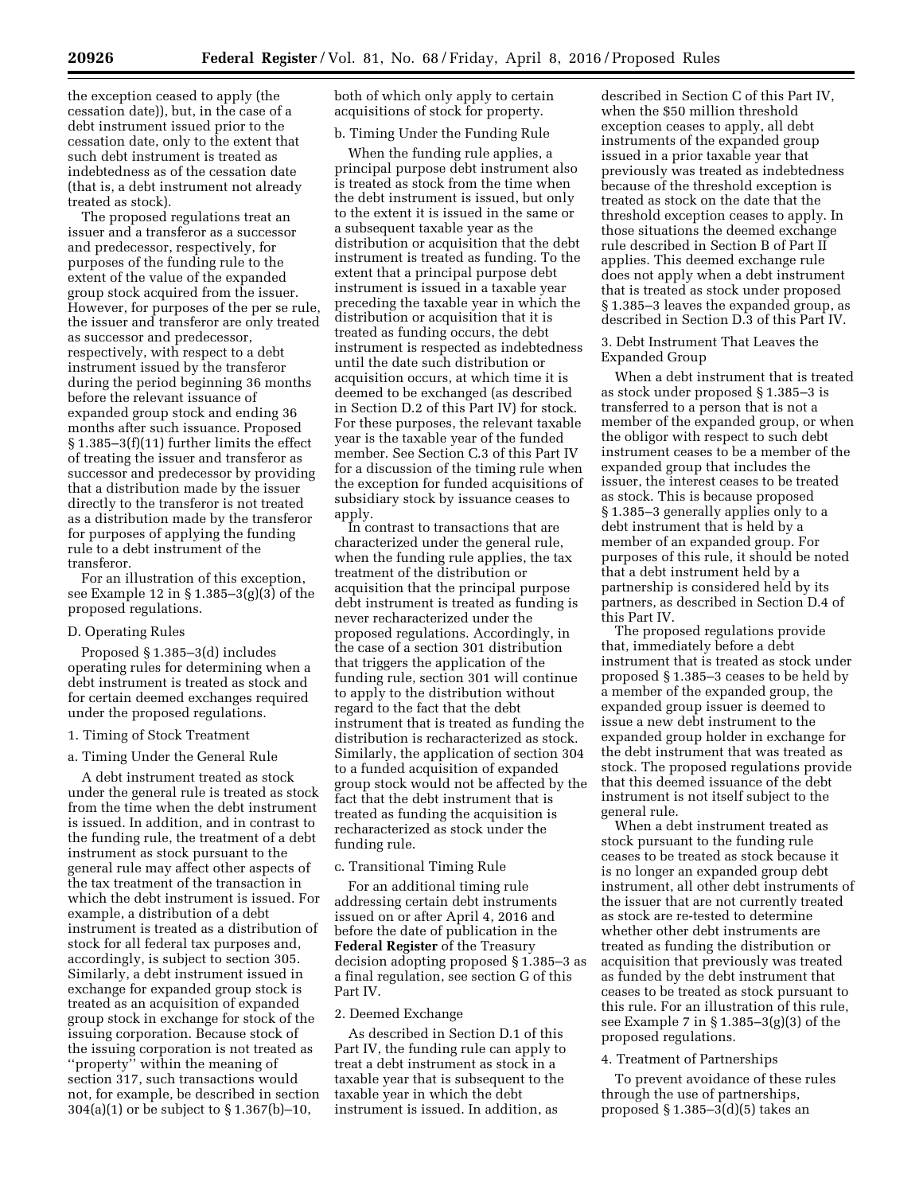the exception ceased to apply (the cessation date)), but, in the case of a debt instrument issued prior to the cessation date, only to the extent that such debt instrument is treated as indebtedness as of the cessation date (that is, a debt instrument not already treated as stock).

The proposed regulations treat an issuer and a transferor as a successor and predecessor, respectively, for purposes of the funding rule to the extent of the value of the expanded group stock acquired from the issuer. However, for purposes of the per se rule, the issuer and transferor are only treated as successor and predecessor, respectively, with respect to a debt instrument issued by the transferor during the period beginning 36 months before the relevant issuance of expanded group stock and ending 36 months after such issuance. Proposed § 1.385–3(f)(11) further limits the effect of treating the issuer and transferor as successor and predecessor by providing that a distribution made by the issuer directly to the transferor is not treated as a distribution made by the transferor for purposes of applying the funding rule to a debt instrument of the transferor.

For an illustration of this exception, see Example 12 in § 1.385–3(g)(3) of the proposed regulations.

# D. Operating Rules

Proposed § 1.385–3(d) includes operating rules for determining when a debt instrument is treated as stock and for certain deemed exchanges required under the proposed regulations.

#### 1. Timing of Stock Treatment

#### a. Timing Under the General Rule

A debt instrument treated as stock under the general rule is treated as stock from the time when the debt instrument is issued. In addition, and in contrast to the funding rule, the treatment of a debt instrument as stock pursuant to the general rule may affect other aspects of the tax treatment of the transaction in which the debt instrument is issued. For example, a distribution of a debt instrument is treated as a distribution of stock for all federal tax purposes and, accordingly, is subject to section 305. Similarly, a debt instrument issued in exchange for expanded group stock is treated as an acquisition of expanded group stock in exchange for stock of the issuing corporation. Because stock of the issuing corporation is not treated as ''property'' within the meaning of section 317, such transactions would not, for example, be described in section 304(a)(1) or be subject to § 1.367(b)–10,

both of which only apply to certain acquisitions of stock for property.

# b. Timing Under the Funding Rule

When the funding rule applies, a principal purpose debt instrument also is treated as stock from the time when the debt instrument is issued, but only to the extent it is issued in the same or a subsequent taxable year as the distribution or acquisition that the debt instrument is treated as funding. To the extent that a principal purpose debt instrument is issued in a taxable year preceding the taxable year in which the distribution or acquisition that it is treated as funding occurs, the debt instrument is respected as indebtedness until the date such distribution or acquisition occurs, at which time it is deemed to be exchanged (as described in Section D.2 of this Part IV) for stock. For these purposes, the relevant taxable year is the taxable year of the funded member. See Section C.3 of this Part IV for a discussion of the timing rule when the exception for funded acquisitions of subsidiary stock by issuance ceases to apply.

In contrast to transactions that are characterized under the general rule, when the funding rule applies, the tax treatment of the distribution or acquisition that the principal purpose debt instrument is treated as funding is never recharacterized under the proposed regulations. Accordingly, in the case of a section 301 distribution that triggers the application of the funding rule, section 301 will continue to apply to the distribution without regard to the fact that the debt instrument that is treated as funding the distribution is recharacterized as stock. Similarly, the application of section 304 to a funded acquisition of expanded group stock would not be affected by the fact that the debt instrument that is treated as funding the acquisition is recharacterized as stock under the funding rule.

#### c. Transitional Timing Rule

For an additional timing rule addressing certain debt instruments issued on or after April 4, 2016 and before the date of publication in the **Federal Register** of the Treasury decision adopting proposed § 1.385–3 as a final regulation, see section G of this Part IV.

#### 2. Deemed Exchange

As described in Section D.1 of this Part IV, the funding rule can apply to treat a debt instrument as stock in a taxable year that is subsequent to the taxable year in which the debt instrument is issued. In addition, as

described in Section C of this Part IV, when the \$50 million threshold exception ceases to apply, all debt instruments of the expanded group issued in a prior taxable year that previously was treated as indebtedness because of the threshold exception is treated as stock on the date that the threshold exception ceases to apply. In those situations the deemed exchange rule described in Section B of Part II applies. This deemed exchange rule does not apply when a debt instrument that is treated as stock under proposed § 1.385–3 leaves the expanded group, as described in Section D.3 of this Part IV.

3. Debt Instrument That Leaves the Expanded Group

When a debt instrument that is treated as stock under proposed § 1.385–3 is transferred to a person that is not a member of the expanded group, or when the obligor with respect to such debt instrument ceases to be a member of the expanded group that includes the issuer, the interest ceases to be treated as stock. This is because proposed § 1.385–3 generally applies only to a debt instrument that is held by a member of an expanded group. For purposes of this rule, it should be noted that a debt instrument held by a partnership is considered held by its partners, as described in Section D.4 of this Part IV.

The proposed regulations provide that, immediately before a debt instrument that is treated as stock under proposed § 1.385–3 ceases to be held by a member of the expanded group, the expanded group issuer is deemed to issue a new debt instrument to the expanded group holder in exchange for the debt instrument that was treated as stock. The proposed regulations provide that this deemed issuance of the debt instrument is not itself subject to the general rule.

When a debt instrument treated as stock pursuant to the funding rule ceases to be treated as stock because it is no longer an expanded group debt instrument, all other debt instruments of the issuer that are not currently treated as stock are re-tested to determine whether other debt instruments are treated as funding the distribution or acquisition that previously was treated as funded by the debt instrument that ceases to be treated as stock pursuant to this rule. For an illustration of this rule, see Example 7 in § 1.385–3(g)(3) of the proposed regulations.

#### 4. Treatment of Partnerships

To prevent avoidance of these rules through the use of partnerships, proposed § 1.385–3(d)(5) takes an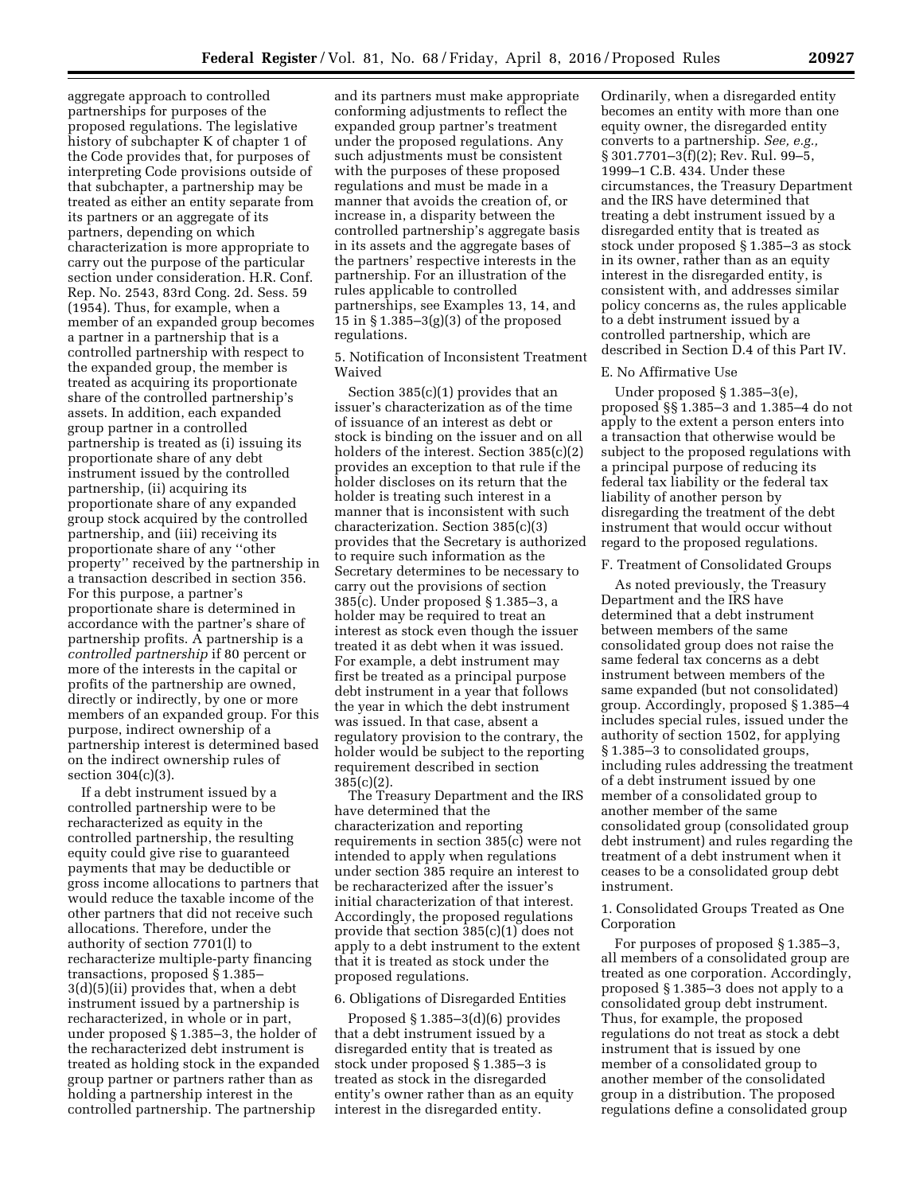aggregate approach to controlled partnerships for purposes of the proposed regulations. The legislative history of subchapter K of chapter 1 of the Code provides that, for purposes of interpreting Code provisions outside of that subchapter, a partnership may be treated as either an entity separate from its partners or an aggregate of its partners, depending on which characterization is more appropriate to carry out the purpose of the particular section under consideration. H.R. Conf. Rep. No. 2543, 83rd Cong. 2d. Sess. 59 (1954). Thus, for example, when a member of an expanded group becomes a partner in a partnership that is a controlled partnership with respect to the expanded group, the member is treated as acquiring its proportionate share of the controlled partnership's assets. In addition, each expanded group partner in a controlled partnership is treated as (i) issuing its proportionate share of any debt instrument issued by the controlled partnership, (ii) acquiring its proportionate share of any expanded group stock acquired by the controlled partnership, and (iii) receiving its proportionate share of any ''other property'' received by the partnership in a transaction described in section 356. For this purpose, a partner's proportionate share is determined in accordance with the partner's share of partnership profits. A partnership is a *controlled partnership* if 80 percent or more of the interests in the capital or profits of the partnership are owned, directly or indirectly, by one or more members of an expanded group. For this purpose, indirect ownership of a partnership interest is determined based on the indirect ownership rules of section 304(c)(3).

If a debt instrument issued by a controlled partnership were to be recharacterized as equity in the controlled partnership, the resulting equity could give rise to guaranteed payments that may be deductible or gross income allocations to partners that would reduce the taxable income of the other partners that did not receive such allocations. Therefore, under the authority of section 7701(l) to recharacterize multiple-party financing transactions, proposed § 1.385– 3(d)(5)(ii) provides that, when a debt instrument issued by a partnership is recharacterized, in whole or in part, under proposed § 1.385–3, the holder of the recharacterized debt instrument is treated as holding stock in the expanded group partner or partners rather than as holding a partnership interest in the controlled partnership. The partnership

and its partners must make appropriate conforming adjustments to reflect the expanded group partner's treatment under the proposed regulations. Any such adjustments must be consistent with the purposes of these proposed regulations and must be made in a manner that avoids the creation of, or increase in, a disparity between the controlled partnership's aggregate basis in its assets and the aggregate bases of the partners' respective interests in the partnership. For an illustration of the rules applicable to controlled partnerships, see Examples 13, 14, and 15 in § 1.385–3(g)(3) of the proposed regulations.

5. Notification of Inconsistent Treatment Waived

Section 385(c)(1) provides that an issuer's characterization as of the time of issuance of an interest as debt or stock is binding on the issuer and on all holders of the interest. Section 385(c)(2) provides an exception to that rule if the holder discloses on its return that the holder is treating such interest in a manner that is inconsistent with such characterization. Section 385(c)(3) provides that the Secretary is authorized to require such information as the Secretary determines to be necessary to carry out the provisions of section 385(c). Under proposed § 1.385–3, a holder may be required to treat an interest as stock even though the issuer treated it as debt when it was issued. For example, a debt instrument may first be treated as a principal purpose debt instrument in a year that follows the year in which the debt instrument was issued. In that case, absent a regulatory provision to the contrary, the holder would be subject to the reporting requirement described in section 385(c)(2).

The Treasury Department and the IRS have determined that the characterization and reporting requirements in section 385(c) were not intended to apply when regulations under section 385 require an interest to be recharacterized after the issuer's initial characterization of that interest. Accordingly, the proposed regulations provide that section 385(c)(1) does not apply to a debt instrument to the extent that it is treated as stock under the proposed regulations.

# 6. Obligations of Disregarded Entities

Proposed § 1.385–3(d)(6) provides that a debt instrument issued by a disregarded entity that is treated as stock under proposed § 1.385–3 is treated as stock in the disregarded entity's owner rather than as an equity interest in the disregarded entity.

Ordinarily, when a disregarded entity becomes an entity with more than one equity owner, the disregarded entity converts to a partnership. *See, e.g.,*  § 301.7701–3(f)(2); Rev. Rul. 99–5, 1999–1 C.B. 434. Under these circumstances, the Treasury Department and the IRS have determined that treating a debt instrument issued by a disregarded entity that is treated as stock under proposed § 1.385–3 as stock in its owner, rather than as an equity interest in the disregarded entity, is consistent with, and addresses similar policy concerns as, the rules applicable to a debt instrument issued by a controlled partnership, which are described in Section D.4 of this Part IV.

#### E. No Affirmative Use

Under proposed § 1.385–3(e), proposed §§ 1.385–3 and 1.385–4 do not apply to the extent a person enters into a transaction that otherwise would be subject to the proposed regulations with a principal purpose of reducing its federal tax liability or the federal tax liability of another person by disregarding the treatment of the debt instrument that would occur without regard to the proposed regulations.

## F. Treatment of Consolidated Groups

As noted previously, the Treasury Department and the IRS have determined that a debt instrument between members of the same consolidated group does not raise the same federal tax concerns as a debt instrument between members of the same expanded (but not consolidated) group. Accordingly, proposed § 1.385–4 includes special rules, issued under the authority of section 1502, for applying § 1.385–3 to consolidated groups, including rules addressing the treatment of a debt instrument issued by one member of a consolidated group to another member of the same consolidated group (consolidated group debt instrument) and rules regarding the treatment of a debt instrument when it ceases to be a consolidated group debt instrument.

# 1. Consolidated Groups Treated as One Corporation

For purposes of proposed § 1.385–3, all members of a consolidated group are treated as one corporation. Accordingly, proposed § 1.385–3 does not apply to a consolidated group debt instrument. Thus, for example, the proposed regulations do not treat as stock a debt instrument that is issued by one member of a consolidated group to another member of the consolidated group in a distribution. The proposed regulations define a consolidated group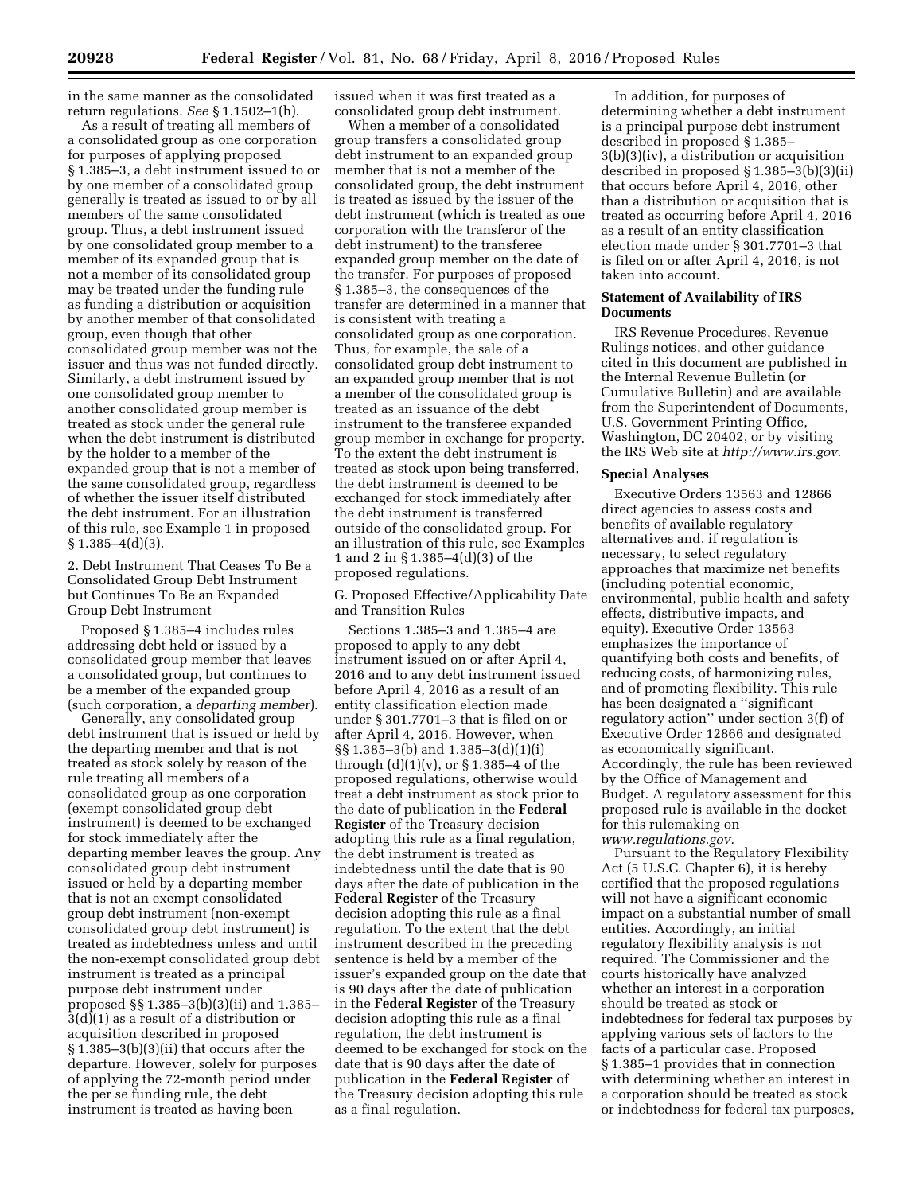in the same manner as the consolidated return regulations. *See* § 1.1502–1(h).

As a result of treating all members of a consolidated group as one corporation for purposes of applying proposed § 1.385–3, a debt instrument issued to or by one member of a consolidated group generally is treated as issued to or by all members of the same consolidated group. Thus, a debt instrument issued by one consolidated group member to a member of its expanded group that is not a member of its consolidated group may be treated under the funding rule as funding a distribution or acquisition by another member of that consolidated group, even though that other consolidated group member was not the issuer and thus was not funded directly. Similarly, a debt instrument issued by one consolidated group member to another consolidated group member is treated as stock under the general rule when the debt instrument is distributed by the holder to a member of the expanded group that is not a member of the same consolidated group, regardless of whether the issuer itself distributed the debt instrument. For an illustration of this rule, see Example 1 in proposed  $§ 1.385 - 4(d)(3).$ 

2. Debt Instrument That Ceases To Be a Consolidated Group Debt Instrument but Continues To Be an Expanded Group Debt Instrument

Proposed § 1.385–4 includes rules addressing debt held or issued by a consolidated group member that leaves a consolidated group, but continues to be a member of the expanded group (such corporation, a *departing member*).

Generally, any consolidated group debt instrument that is issued or held by the departing member and that is not treated as stock solely by reason of the rule treating all members of a consolidated group as one corporation (exempt consolidated group debt instrument) is deemed to be exchanged for stock immediately after the departing member leaves the group. Any consolidated group debt instrument issued or held by a departing member that is not an exempt consolidated group debt instrument (non-exempt consolidated group debt instrument) is treated as indebtedness unless and until the non-exempt consolidated group debt instrument is treated as a principal purpose debt instrument under proposed §§ 1.385–3(b)(3)(ii) and 1.385– 3(d)(1) as a result of a distribution or acquisition described in proposed § 1.385–3(b)(3)(ii) that occurs after the departure. However, solely for purposes of applying the 72-month period under the per se funding rule, the debt instrument is treated as having been

issued when it was first treated as a consolidated group debt instrument.

When a member of a consolidated group transfers a consolidated group debt instrument to an expanded group member that is not a member of the consolidated group, the debt instrument is treated as issued by the issuer of the debt instrument (which is treated as one corporation with the transferor of the debt instrument) to the transferee expanded group member on the date of the transfer. For purposes of proposed § 1.385–3, the consequences of the transfer are determined in a manner that is consistent with treating a consolidated group as one corporation. Thus, for example, the sale of a consolidated group debt instrument to an expanded group member that is not a member of the consolidated group is treated as an issuance of the debt instrument to the transferee expanded group member in exchange for property. To the extent the debt instrument is treated as stock upon being transferred, the debt instrument is deemed to be exchanged for stock immediately after the debt instrument is transferred outside of the consolidated group. For an illustration of this rule, see Examples 1 and 2 in § 1.385–4(d)(3) of the proposed regulations.

G. Proposed Effective/Applicability Date and Transition Rules

Sections 1.385–3 and 1.385–4 are proposed to apply to any debt instrument issued on or after April 4, 2016 and to any debt instrument issued before April 4, 2016 as a result of an entity classification election made under § 301.7701–3 that is filed on or after April 4, 2016. However, when §§ 1.385–3(b) and 1.385–3(d)(1)(i) through  $(d)(1)(v)$ , or  $\S 1.385-4$  of the proposed regulations, otherwise would treat a debt instrument as stock prior to the date of publication in the **Federal Register** of the Treasury decision adopting this rule as a final regulation, the debt instrument is treated as indebtedness until the date that is 90 days after the date of publication in the **Federal Register** of the Treasury decision adopting this rule as a final regulation. To the extent that the debt instrument described in the preceding sentence is held by a member of the issuer's expanded group on the date that is 90 days after the date of publication in the **Federal Register** of the Treasury decision adopting this rule as a final regulation, the debt instrument is deemed to be exchanged for stock on the date that is 90 days after the date of publication in the **Federal Register** of the Treasury decision adopting this rule as a final regulation.

In addition, for purposes of determining whether a debt instrument is a principal purpose debt instrument described in proposed § 1.385– 3(b)(3)(iv), a distribution or acquisition described in proposed § 1.385–3(b)(3)(ii) that occurs before April 4, 2016, other than a distribution or acquisition that is treated as occurring before April 4, 2016 as a result of an entity classification election made under § 301.7701–3 that is filed on or after April 4, 2016, is not taken into account.

# **Statement of Availability of IRS Documents**

IRS Revenue Procedures, Revenue Rulings notices, and other guidance cited in this document are published in the Internal Revenue Bulletin (or Cumulative Bulletin) and are available from the Superintendent of Documents, U.S. Government Printing Office, Washington, DC 20402, or by visiting the IRS Web site at *[http://www.irs.gov.](http://www.irs.gov)* 

#### **Special Analyses**

Executive Orders 13563 and 12866 direct agencies to assess costs and benefits of available regulatory alternatives and, if regulation is necessary, to select regulatory approaches that maximize net benefits (including potential economic, environmental, public health and safety effects, distributive impacts, and equity). Executive Order 13563 emphasizes the importance of quantifying both costs and benefits, of reducing costs, of harmonizing rules, and of promoting flexibility. This rule has been designated a ''significant regulatory action'' under section 3(f) of Executive Order 12866 and designated as economically significant. Accordingly, the rule has been reviewed by the Office of Management and Budget. A regulatory assessment for this proposed rule is available in the docket for this rulemaking on *[www.regulations.gov.](http://www.regulations.gov)* 

Pursuant to the Regulatory Flexibility Act (5 U.S.C. Chapter 6), it is hereby certified that the proposed regulations will not have a significant economic impact on a substantial number of small entities. Accordingly, an initial regulatory flexibility analysis is not required. The Commissioner and the courts historically have analyzed whether an interest in a corporation should be treated as stock or indebtedness for federal tax purposes by applying various sets of factors to the facts of a particular case. Proposed § 1.385–1 provides that in connection with determining whether an interest in a corporation should be treated as stock or indebtedness for federal tax purposes,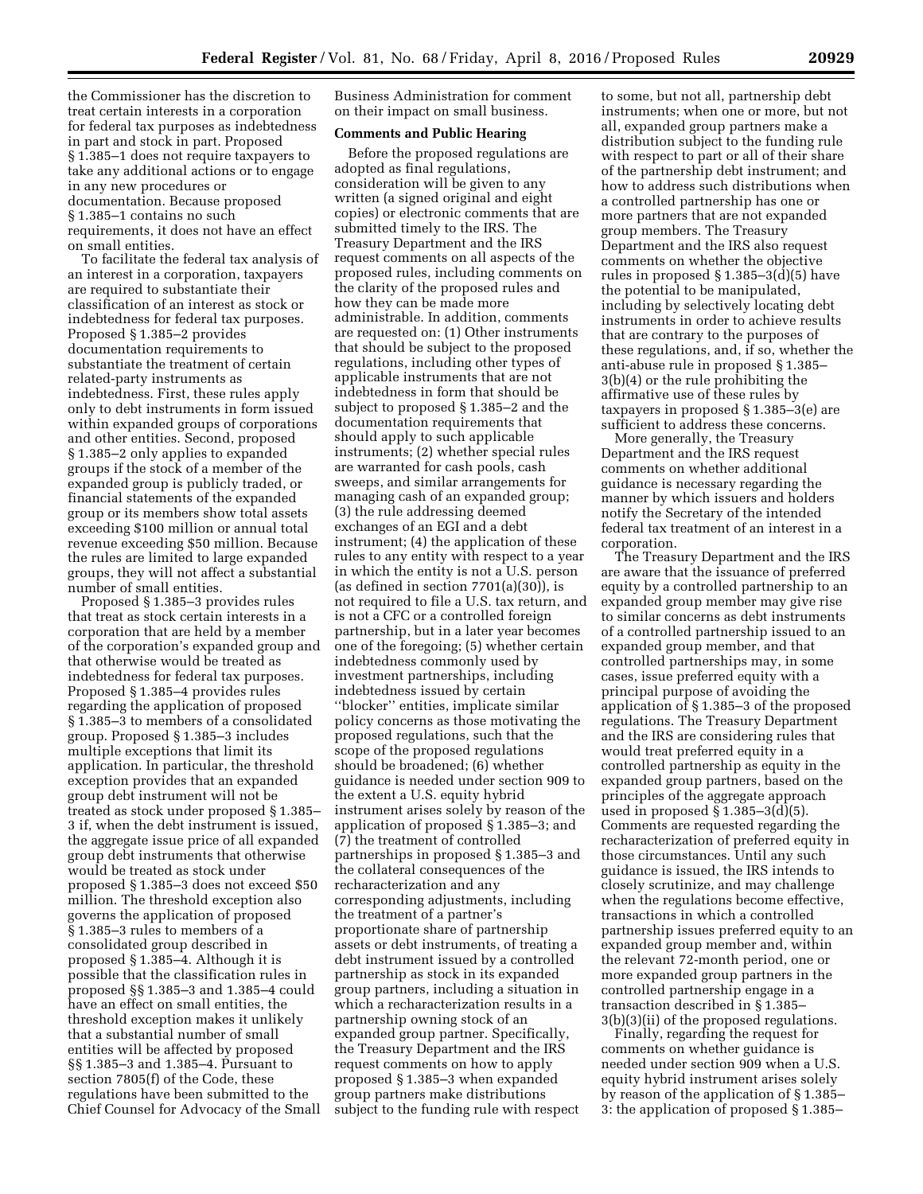the Commissioner has the discretion to treat certain interests in a corporation for federal tax purposes as indebtedness in part and stock in part. Proposed § 1.385–1 does not require taxpayers to take any additional actions or to engage in any new procedures or documentation. Because proposed § 1.385–1 contains no such requirements, it does not have an effect on small entities.

To facilitate the federal tax analysis of an interest in a corporation, taxpayers are required to substantiate their classification of an interest as stock or indebtedness for federal tax purposes. Proposed § 1.385–2 provides documentation requirements to substantiate the treatment of certain related-party instruments as indebtedness. First, these rules apply only to debt instruments in form issued within expanded groups of corporations and other entities. Second, proposed § 1.385–2 only applies to expanded groups if the stock of a member of the expanded group is publicly traded, or financial statements of the expanded group or its members show total assets exceeding \$100 million or annual total revenue exceeding \$50 million. Because the rules are limited to large expanded groups, they will not affect a substantial number of small entities.

Proposed § 1.385–3 provides rules that treat as stock certain interests in a corporation that are held by a member of the corporation's expanded group and that otherwise would be treated as indebtedness for federal tax purposes. Proposed § 1.385–4 provides rules regarding the application of proposed § 1.385–3 to members of a consolidated group. Proposed § 1.385–3 includes multiple exceptions that limit its application. In particular, the threshold exception provides that an expanded group debt instrument will not be treated as stock under proposed § 1.385– 3 if, when the debt instrument is issued, the aggregate issue price of all expanded group debt instruments that otherwise would be treated as stock under proposed § 1.385–3 does not exceed \$50 million. The threshold exception also governs the application of proposed § 1.385–3 rules to members of a consolidated group described in proposed § 1.385–4. Although it is possible that the classification rules in proposed §§ 1.385–3 and 1.385–4 could have an effect on small entities, the threshold exception makes it unlikely that a substantial number of small entities will be affected by proposed §§ 1.385–3 and 1.385–4. Pursuant to section 7805(f) of the Code, these regulations have been submitted to the Chief Counsel for Advocacy of the Small

Business Administration for comment on their impact on small business.

# **Comments and Public Hearing**

Before the proposed regulations are adopted as final regulations, consideration will be given to any written (a signed original and eight copies) or electronic comments that are submitted timely to the IRS. The Treasury Department and the IRS request comments on all aspects of the proposed rules, including comments on the clarity of the proposed rules and how they can be made more administrable. In addition, comments are requested on: (1) Other instruments that should be subject to the proposed regulations, including other types of applicable instruments that are not indebtedness in form that should be subject to proposed § 1.385–2 and the documentation requirements that should apply to such applicable instruments; (2) whether special rules are warranted for cash pools, cash sweeps, and similar arrangements for managing cash of an expanded group; (3) the rule addressing deemed exchanges of an EGI and a debt instrument; (4) the application of these rules to any entity with respect to a year in which the entity is not a U.S. person (as defined in section 7701(a)(30)), is not required to file a U.S. tax return, and is not a CFC or a controlled foreign partnership, but in a later year becomes one of the foregoing; (5) whether certain indebtedness commonly used by investment partnerships, including indebtedness issued by certain ''blocker'' entities, implicate similar policy concerns as those motivating the proposed regulations, such that the scope of the proposed regulations should be broadened; (6) whether guidance is needed under section 909 to the extent a U.S. equity hybrid instrument arises solely by reason of the application of proposed § 1.385–3; and (7) the treatment of controlled partnerships in proposed § 1.385–3 and the collateral consequences of the recharacterization and any corresponding adjustments, including the treatment of a partner's proportionate share of partnership assets or debt instruments, of treating a debt instrument issued by a controlled partnership as stock in its expanded group partners, including a situation in which a recharacterization results in a partnership owning stock of an expanded group partner. Specifically, the Treasury Department and the IRS request comments on how to apply proposed § 1.385–3 when expanded group partners make distributions subject to the funding rule with respect

to some, but not all, partnership debt instruments; when one or more, but not all, expanded group partners make a distribution subject to the funding rule with respect to part or all of their share of the partnership debt instrument; and how to address such distributions when a controlled partnership has one or more partners that are not expanded group members. The Treasury Department and the IRS also request comments on whether the objective rules in proposed § 1.385–3(d)(5) have the potential to be manipulated, including by selectively locating debt instruments in order to achieve results that are contrary to the purposes of these regulations, and, if so, whether the anti-abuse rule in proposed § 1.385– 3(b)(4) or the rule prohibiting the affirmative use of these rules by taxpayers in proposed § 1.385–3(e) are sufficient to address these concerns.

More generally, the Treasury Department and the IRS request comments on whether additional guidance is necessary regarding the manner by which issuers and holders notify the Secretary of the intended federal tax treatment of an interest in a corporation.

The Treasury Department and the IRS are aware that the issuance of preferred equity by a controlled partnership to an expanded group member may give rise to similar concerns as debt instruments of a controlled partnership issued to an expanded group member, and that controlled partnerships may, in some cases, issue preferred equity with a principal purpose of avoiding the application of § 1.385–3 of the proposed regulations. The Treasury Department and the IRS are considering rules that would treat preferred equity in a controlled partnership as equity in the expanded group partners, based on the principles of the aggregate approach used in proposed  $\S 1.385-3(d)(5)$ . Comments are requested regarding the recharacterization of preferred equity in those circumstances. Until any such guidance is issued, the IRS intends to closely scrutinize, and may challenge when the regulations become effective, transactions in which a controlled partnership issues preferred equity to an expanded group member and, within the relevant 72-month period, one or more expanded group partners in the controlled partnership engage in a transaction described in § 1.385– 3(b)(3)(ii) of the proposed regulations.

Finally, regarding the request for comments on whether guidance is needed under section 909 when a U.S. equity hybrid instrument arises solely by reason of the application of § 1.385– 3: the application of proposed § 1.385–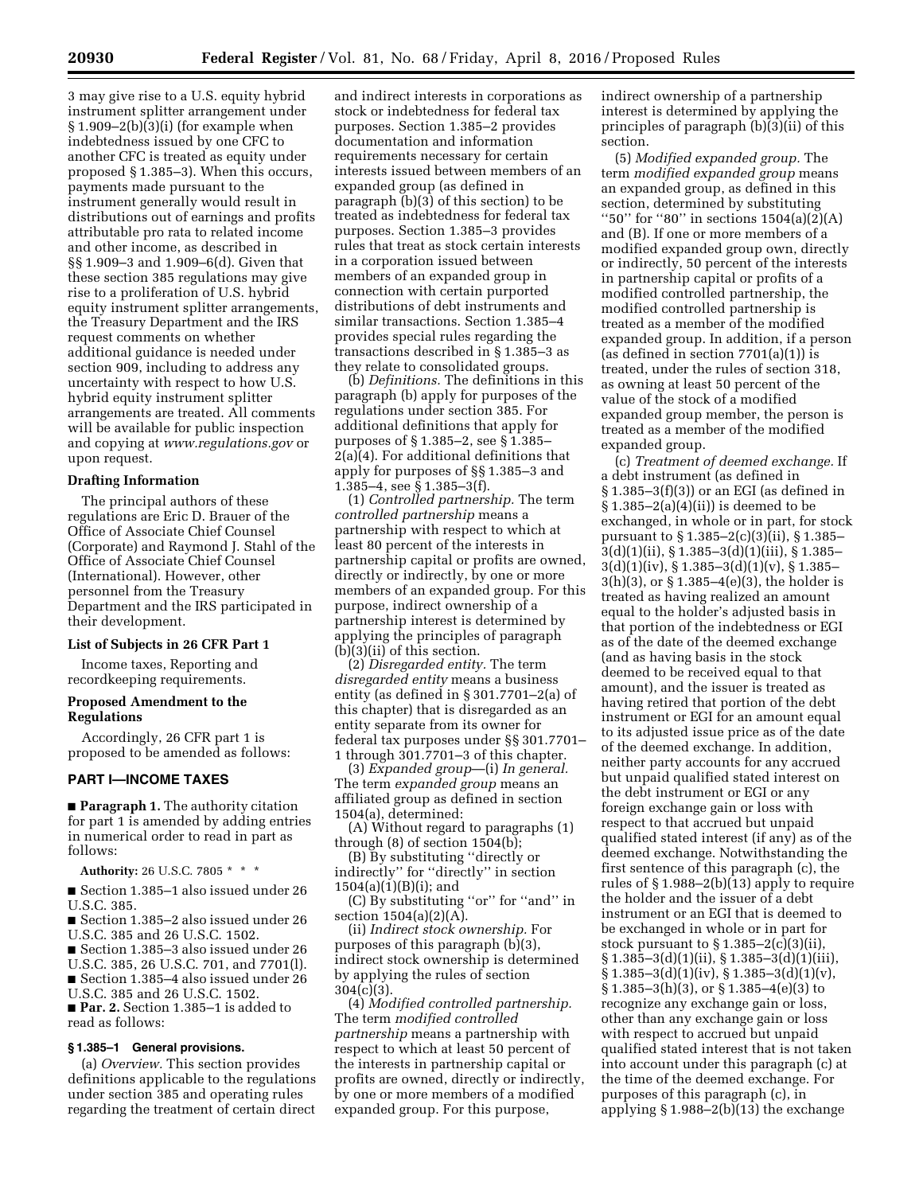3 may give rise to a U.S. equity hybrid instrument splitter arrangement under  $§ 1.909-2(b)(3)(i)$  (for example when indebtedness issued by one CFC to another CFC is treated as equity under proposed § 1.385–3). When this occurs, payments made pursuant to the instrument generally would result in distributions out of earnings and profits attributable pro rata to related income and other income, as described in §§ 1.909–3 and 1.909–6(d). Given that these section 385 regulations may give rise to a proliferation of U.S. hybrid equity instrument splitter arrangements, the Treasury Department and the IRS request comments on whether additional guidance is needed under section 909, including to address any uncertainty with respect to how U.S. hybrid equity instrument splitter arrangements are treated. All comments will be available for public inspection and copying at *[www.regulations.gov](http://www.regulations.gov)* or upon request.

## **Drafting Information**

The principal authors of these regulations are Eric D. Brauer of the Office of Associate Chief Counsel (Corporate) and Raymond J. Stahl of the Office of Associate Chief Counsel (International). However, other personnel from the Treasury Department and the IRS participated in their development.

# **List of Subjects in 26 CFR Part 1**

Income taxes, Reporting and recordkeeping requirements.

# **Proposed Amendment to the Regulations**

Accordingly, 26 CFR part 1 is proposed to be amended as follows:

# **PART I—INCOME TAXES**

■ **Paragraph 1.** The authority citation for part 1 is amended by adding entries in numerical order to read in part as follows:

**Authority:** 26 U.S.C. 7805 \* \* \*

■ Section 1.385–1 also issued under 26 U.S.C. 385.

- Section 1.385–2 also issued under 26 U.S.C. 385 and 26 U.S.C. 1502.
- Section 1.385–3 also issued under 26
- U.S.C. 385, 26 U.S.C. 701, and 7701(l). ■ Section 1.385–4 also issued under 26
- U.S.C. 385 and 26 U.S.C. 1502.

■ **Par. 2.** Section 1.385–1 is added to read as follows:

## **§ 1.385–1 General provisions.**

(a) *Overview.* This section provides definitions applicable to the regulations under section 385 and operating rules regarding the treatment of certain direct

and indirect interests in corporations as stock or indebtedness for federal tax purposes. Section 1.385–2 provides documentation and information requirements necessary for certain interests issued between members of an expanded group (as defined in paragraph (b)(3) of this section) to be treated as indebtedness for federal tax purposes. Section 1.385–3 provides rules that treat as stock certain interests in a corporation issued between members of an expanded group in connection with certain purported distributions of debt instruments and similar transactions. Section 1.385–4 provides special rules regarding the transactions described in § 1.385–3 as they relate to consolidated groups.

(b) *Definitions.* The definitions in this paragraph (b) apply for purposes of the regulations under section 385. For additional definitions that apply for purposes of § 1.385–2, see § 1.385– 2(a)(4). For additional definitions that apply for purposes of §§ 1.385–3 and 1.385–4, see § 1.385–3(f).

(1) *Controlled partnership.* The term *controlled partnership* means a partnership with respect to which at least 80 percent of the interests in partnership capital or profits are owned, directly or indirectly, by one or more members of an expanded group. For this purpose, indirect ownership of a partnership interest is determined by applying the principles of paragraph (b)(3)(ii) of this section.

(2) *Disregarded entity.* The term *disregarded entity* means a business entity (as defined in § 301.7701–2(a) of this chapter) that is disregarded as an entity separate from its owner for federal tax purposes under §§ 301.7701– 1 through 301.7701–3 of this chapter.

(3) *Expanded group*—(i) *In general.*  The term *expanded group* means an affiliated group as defined in section 1504(a), determined:

(A) Without regard to paragraphs (1) through (8) of section 1504(b);

(B) By substituting ''directly or indirectly'' for ''directly'' in section  $1504(a)(1)(B)(i)$ ; and

(C) By substituting ''or'' for ''and'' in section 1504(a)(2)(A).

(ii) *Indirect stock ownership.* For purposes of this paragraph (b)(3), indirect stock ownership is determined by applying the rules of section 304(c)(3).

(4) *Modified controlled partnership.*  The term *modified controlled partnership* means a partnership with respect to which at least 50 percent of the interests in partnership capital or profits are owned, directly or indirectly, by one or more members of a modified expanded group. For this purpose,

indirect ownership of a partnership interest is determined by applying the principles of paragraph (b)(3)(ii) of this section.

(5) *Modified expanded group.* The term *modified expanded group* means an expanded group, as defined in this section, determined by substituting "50" for "80" in sections  $1504(a)(2)(A)$ and (B). If one or more members of a modified expanded group own, directly or indirectly, 50 percent of the interests in partnership capital or profits of a modified controlled partnership, the modified controlled partnership is treated as a member of the modified expanded group. In addition, if a person (as defined in section  $7701(a)(1)$ ) is treated, under the rules of section 318, as owning at least 50 percent of the value of the stock of a modified expanded group member, the person is treated as a member of the modified expanded group.

(c) *Treatment of deemed exchange.* If a debt instrument (as defined in § 1.385–3(f)(3)) or an EGI (as defined in  $§ 1.385-2(a)(4)(ii)$  is deemed to be exchanged, in whole or in part, for stock pursuant to § 1.385–2(c)(3)(ii), § 1.385– 3(d)(1)(ii), § 1.385–3(d)(1)(iii), § 1.385–  $3(d)(1)(iv), \, \S 1.385 - 3(d)(1)(v), \, \S 1.385 -$ 3(h)(3), or § 1.385–4(e)(3), the holder is treated as having realized an amount equal to the holder's adjusted basis in that portion of the indebtedness or EGI as of the date of the deemed exchange (and as having basis in the stock deemed to be received equal to that amount), and the issuer is treated as having retired that portion of the debt instrument or EGI for an amount equal to its adjusted issue price as of the date of the deemed exchange. In addition, neither party accounts for any accrued but unpaid qualified stated interest on the debt instrument or EGI or any foreign exchange gain or loss with respect to that accrued but unpaid qualified stated interest (if any) as of the deemed exchange. Notwithstanding the first sentence of this paragraph (c), the rules of § 1.988–2(b)(13) apply to require the holder and the issuer of a debt instrument or an EGI that is deemed to be exchanged in whole or in part for stock pursuant to  $\S 1.385-2(c)(3)(ii)$ ,  $\S 1.385 - 3(d)(1)(ii)$ ,  $\S 1.385 - 3(d)(1)(iii)$ ,  $\S 1.385 - 3(d)(1)(iv), \ \S 1.385 - 3(d)(1)(v),$  $\S 1.385 - 3(h)(3)$ , or  $\S 1.385 - 4(e)(3)$  to recognize any exchange gain or loss, other than any exchange gain or loss with respect to accrued but unpaid qualified stated interest that is not taken into account under this paragraph (c) at the time of the deemed exchange. For purposes of this paragraph (c), in applying § 1.988–2(b)(13) the exchange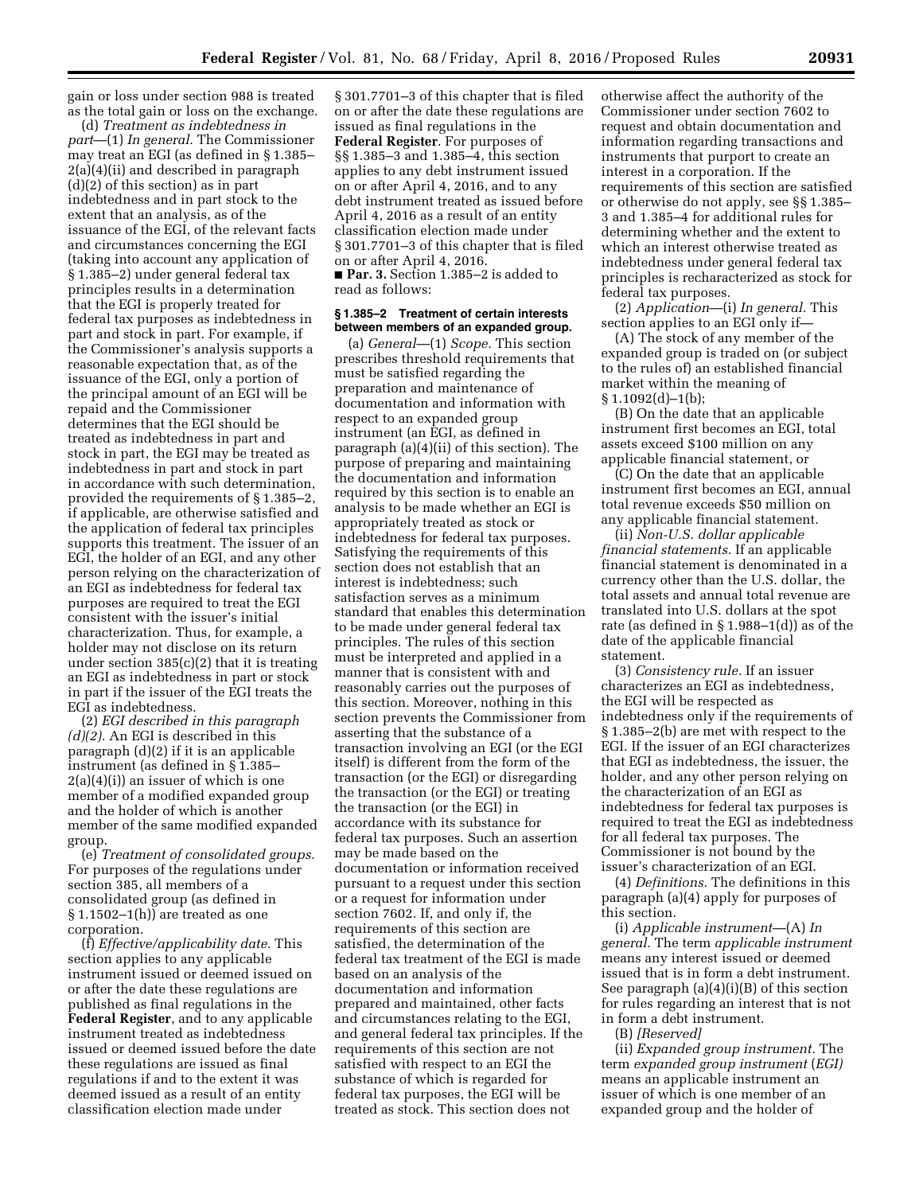gain or loss under section 988 is treated as the total gain or loss on the exchange.

(d) *Treatment as indebtedness in part*—(1) *In general.* The Commissioner may treat an EGI (as defined in § 1.385– 2(a)(4)(ii) and described in paragraph (d)(2) of this section) as in part indebtedness and in part stock to the extent that an analysis, as of the issuance of the EGI, of the relevant facts and circumstances concerning the EGI (taking into account any application of § 1.385–2) under general federal tax principles results in a determination that the EGI is properly treated for federal tax purposes as indebtedness in part and stock in part. For example, if the Commissioner's analysis supports a reasonable expectation that, as of the issuance of the EGI, only a portion of the principal amount of an EGI will be repaid and the Commissioner determines that the EGI should be treated as indebtedness in part and stock in part, the EGI may be treated as indebtedness in part and stock in part in accordance with such determination, provided the requirements of § 1.385–2, if applicable, are otherwise satisfied and the application of federal tax principles supports this treatment. The issuer of an EGI, the holder of an EGI, and any other person relying on the characterization of an EGI as indebtedness for federal tax purposes are required to treat the EGI consistent with the issuer's initial characterization. Thus, for example, a holder may not disclose on its return under section 385(c)(2) that it is treating an EGI as indebtedness in part or stock in part if the issuer of the EGI treats the EGI as indebtedness.

(2) *EGI described in this paragraph (d)(2).* An EGI is described in this paragraph (d)(2) if it is an applicable instrument (as defined in § 1.385– 2(a)(4)(i)) an issuer of which is one member of a modified expanded group and the holder of which is another member of the same modified expanded group.

(e) *Treatment of consolidated groups.*  For purposes of the regulations under section 385, all members of a consolidated group (as defined in  $\S 1.1502-1(h)$  are treated as one corporation.

(f) *Effective/applicability date.* This section applies to any applicable instrument issued or deemed issued on or after the date these regulations are published as final regulations in the **Federal Register**, and to any applicable instrument treated as indebtedness issued or deemed issued before the date these regulations are issued as final regulations if and to the extent it was deemed issued as a result of an entity classification election made under

§ 301.7701–3 of this chapter that is filed on or after the date these regulations are issued as final regulations in the **Federal Register**. For purposes of §§ 1.385–3 and 1.385–4, this section applies to any debt instrument issued on or after April 4, 2016, and to any debt instrument treated as issued before April 4, 2016 as a result of an entity classification election made under § 301.7701–3 of this chapter that is filed on or after April 4, 2016. ■ **Par. 3.** Section 1.385–2 is added to read as follows:

# **§ 1.385–2 Treatment of certain interests between members of an expanded group.**

(a) *General*—(1) *Scope.* This section prescribes threshold requirements that must be satisfied regarding the preparation and maintenance of documentation and information with respect to an expanded group instrument (an EGI, as defined in paragraph (a)(4)(ii) of this section). The purpose of preparing and maintaining the documentation and information required by this section is to enable an analysis to be made whether an EGI is appropriately treated as stock or indebtedness for federal tax purposes. Satisfying the requirements of this section does not establish that an interest is indebtedness; such satisfaction serves as a minimum standard that enables this determination to be made under general federal tax principles. The rules of this section must be interpreted and applied in a manner that is consistent with and reasonably carries out the purposes of this section. Moreover, nothing in this section prevents the Commissioner from asserting that the substance of a transaction involving an EGI (or the EGI itself) is different from the form of the transaction (or the EGI) or disregarding the transaction (or the EGI) or treating the transaction (or the EGI) in accordance with its substance for federal tax purposes. Such an assertion may be made based on the documentation or information received pursuant to a request under this section or a request for information under section 7602. If, and only if, the requirements of this section are satisfied, the determination of the federal tax treatment of the EGI is made based on an analysis of the documentation and information prepared and maintained, other facts and circumstances relating to the EGI, and general federal tax principles. If the requirements of this section are not satisfied with respect to an EGI the substance of which is regarded for federal tax purposes, the EGI will be treated as stock. This section does not

otherwise affect the authority of the Commissioner under section 7602 to request and obtain documentation and information regarding transactions and instruments that purport to create an interest in a corporation. If the requirements of this section are satisfied or otherwise do not apply, see §§ 1.385– 3 and 1.385–4 for additional rules for determining whether and the extent to which an interest otherwise treated as indebtedness under general federal tax principles is recharacterized as stock for federal tax purposes.

(2) *Application*—(i) *In general.* This section applies to an EGI only if—

(A) The stock of any member of the expanded group is traded on (or subject to the rules of) an established financial market within the meaning of  $§ 1.1092(d)-1(b);$ 

(B) On the date that an applicable instrument first becomes an EGI, total assets exceed \$100 million on any applicable financial statement, or

(C) On the date that an applicable instrument first becomes an EGI, annual total revenue exceeds \$50 million on any applicable financial statement.

(ii) *Non-U.S. dollar applicable financial statements.* If an applicable financial statement is denominated in a currency other than the U.S. dollar, the total assets and annual total revenue are translated into U.S. dollars at the spot rate (as defined in  $\S 1.988-1(d)$ ) as of the date of the applicable financial statement.

(3) *Consistency rule.* If an issuer characterizes an EGI as indebtedness, the EGI will be respected as indebtedness only if the requirements of § 1.385–2(b) are met with respect to the EGI. If the issuer of an EGI characterizes that EGI as indebtedness, the issuer, the holder, and any other person relying on the characterization of an EGI as indebtedness for federal tax purposes is required to treat the EGI as indebtedness for all federal tax purposes. The Commissioner is not bound by the issuer's characterization of an EGI.

(4) *Definitions.* The definitions in this paragraph (a)(4) apply for purposes of this section.

(i) *Applicable instrument*—(A) *In general.* The term *applicable instrument*  means any interest issued or deemed issued that is in form a debt instrument. See paragraph (a)(4)(i)(B) of this section for rules regarding an interest that is not in form a debt instrument.

(B) *[Reserved]* 

(ii) *Expanded group instrument.* The term *expanded group instrument* (*EGI)*  means an applicable instrument an issuer of which is one member of an expanded group and the holder of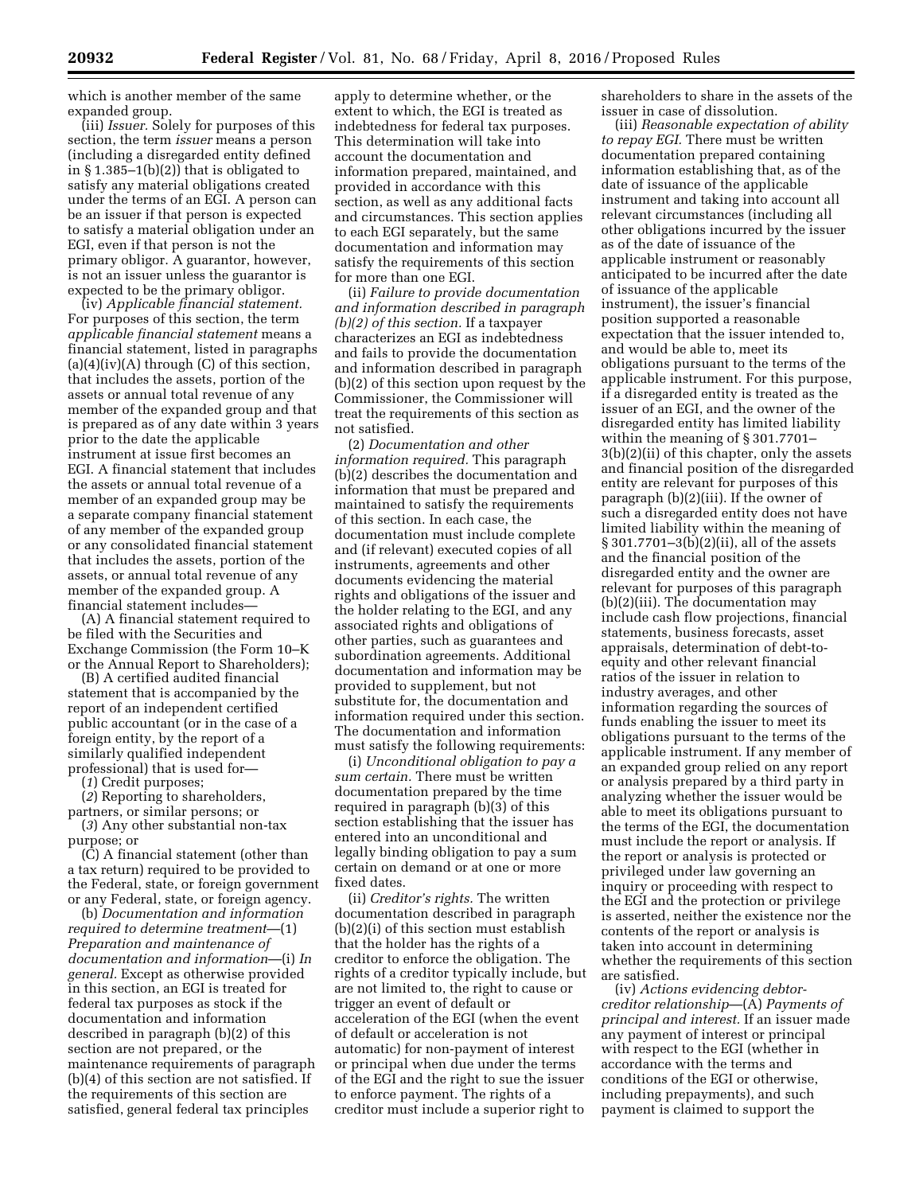which is another member of the same expanded group.

(iii) *Issuer.* Solely for purposes of this section, the term *issuer* means a person (including a disregarded entity defined in § 1.385–1(b)(2)) that is obligated to satisfy any material obligations created under the terms of an EGI. A person can be an issuer if that person is expected to satisfy a material obligation under an EGI, even if that person is not the primary obligor. A guarantor, however, is not an issuer unless the guarantor is expected to be the primary obligor.

(iv) *Applicable financial statement.*  For purposes of this section, the term *applicable financial statement* means a financial statement, listed in paragraphs  $(a)(4)(iv)(A)$  through  $(C)$  of this section, that includes the assets, portion of the assets or annual total revenue of any member of the expanded group and that is prepared as of any date within 3 years prior to the date the applicable instrument at issue first becomes an EGI. A financial statement that includes the assets or annual total revenue of a member of an expanded group may be a separate company financial statement of any member of the expanded group or any consolidated financial statement that includes the assets, portion of the assets, or annual total revenue of any member of the expanded group. A financial statement includes—

(A) A financial statement required to be filed with the Securities and Exchange Commission (the Form 10–K or the Annual Report to Shareholders);

(B) A certified audited financial statement that is accompanied by the report of an independent certified public accountant (or in the case of a foreign entity, by the report of a similarly qualified independent professional) that is used for—

(*1*) Credit purposes; (*2*) Reporting to shareholders, partners, or similar persons; or

(*3*) Any other substantial non-tax purpose; or

(C) A financial statement (other than a tax return) required to be provided to the Federal, state, or foreign government or any Federal, state, or foreign agency.

(b) *Documentation and information required to determine treatment*—(1) *Preparation and maintenance of documentation and information*—(i) *In general.* Except as otherwise provided in this section, an EGI is treated for federal tax purposes as stock if the documentation and information described in paragraph (b)(2) of this section are not prepared, or the maintenance requirements of paragraph (b)(4) of this section are not satisfied. If the requirements of this section are satisfied, general federal tax principles

apply to determine whether, or the extent to which, the EGI is treated as indebtedness for federal tax purposes. This determination will take into account the documentation and information prepared, maintained, and provided in accordance with this section, as well as any additional facts and circumstances. This section applies to each EGI separately, but the same documentation and information may satisfy the requirements of this section for more than one EGI.

(ii) *Failure to provide documentation and information described in paragraph (b)(2) of this section.* If a taxpayer characterizes an EGI as indebtedness and fails to provide the documentation and information described in paragraph (b)(2) of this section upon request by the Commissioner, the Commissioner will treat the requirements of this section as not satisfied.

(2) *Documentation and other information required.* This paragraph (b)(2) describes the documentation and information that must be prepared and maintained to satisfy the requirements of this section. In each case, the documentation must include complete and (if relevant) executed copies of all instruments, agreements and other documents evidencing the material rights and obligations of the issuer and the holder relating to the EGI, and any associated rights and obligations of other parties, such as guarantees and subordination agreements. Additional documentation and information may be provided to supplement, but not substitute for, the documentation and information required under this section. The documentation and information must satisfy the following requirements:

(i) *Unconditional obligation to pay a sum certain.* There must be written documentation prepared by the time required in paragraph (b)(3) of this section establishing that the issuer has entered into an unconditional and legally binding obligation to pay a sum certain on demand or at one or more fixed dates.

(ii) *Creditor's rights.* The written documentation described in paragraph (b)(2)(i) of this section must establish that the holder has the rights of a creditor to enforce the obligation. The rights of a creditor typically include, but are not limited to, the right to cause or trigger an event of default or acceleration of the EGI (when the event of default or acceleration is not automatic) for non-payment of interest or principal when due under the terms of the EGI and the right to sue the issuer to enforce payment. The rights of a creditor must include a superior right to

shareholders to share in the assets of the issuer in case of dissolution.

(iii) *Reasonable expectation of ability to repay EGI.* There must be written documentation prepared containing information establishing that, as of the date of issuance of the applicable instrument and taking into account all relevant circumstances (including all other obligations incurred by the issuer as of the date of issuance of the applicable instrument or reasonably anticipated to be incurred after the date of issuance of the applicable instrument), the issuer's financial position supported a reasonable expectation that the issuer intended to, and would be able to, meet its obligations pursuant to the terms of the applicable instrument. For this purpose, if a disregarded entity is treated as the issuer of an EGI, and the owner of the disregarded entity has limited liability within the meaning of § 301.7701– 3(b)(2)(ii) of this chapter, only the assets and financial position of the disregarded entity are relevant for purposes of this paragraph (b)(2)(iii). If the owner of such a disregarded entity does not have limited liability within the meaning of § 301.7701–3(b)(2)(ii), all of the assets and the financial position of the disregarded entity and the owner are relevant for purposes of this paragraph (b)(2)(iii). The documentation may include cash flow projections, financial statements, business forecasts, asset appraisals, determination of debt-toequity and other relevant financial ratios of the issuer in relation to industry averages, and other information regarding the sources of funds enabling the issuer to meet its obligations pursuant to the terms of the applicable instrument. If any member of an expanded group relied on any report or analysis prepared by a third party in analyzing whether the issuer would be able to meet its obligations pursuant to the terms of the EGI, the documentation must include the report or analysis. If the report or analysis is protected or privileged under law governing an inquiry or proceeding with respect to the EGI and the protection or privilege is asserted, neither the existence nor the contents of the report or analysis is taken into account in determining whether the requirements of this section are satisfied.

(iv) *Actions evidencing debtorcreditor relationship*—(A) *Payments of principal and interest.* If an issuer made any payment of interest or principal with respect to the EGI (whether in accordance with the terms and conditions of the EGI or otherwise, including prepayments), and such payment is claimed to support the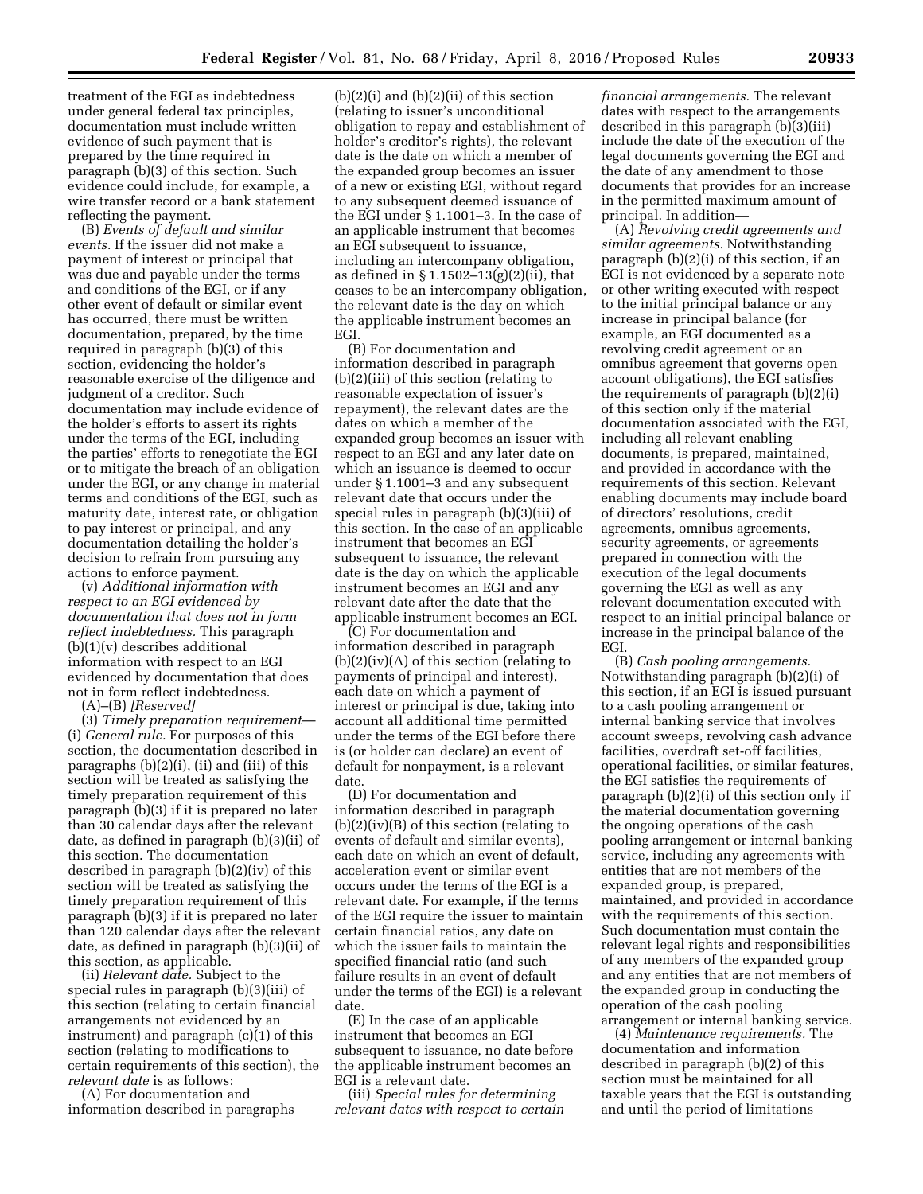treatment of the EGI as indebtedness under general federal tax principles, documentation must include written evidence of such payment that is prepared by the time required in paragraph (b)(3) of this section. Such evidence could include, for example, a wire transfer record or a bank statement reflecting the payment.

(B) *Events of default and similar events.* If the issuer did not make a payment of interest or principal that was due and payable under the terms and conditions of the EGI, or if any other event of default or similar event has occurred, there must be written documentation, prepared, by the time required in paragraph (b)(3) of this section, evidencing the holder's reasonable exercise of the diligence and judgment of a creditor. Such documentation may include evidence of the holder's efforts to assert its rights under the terms of the EGI, including the parties' efforts to renegotiate the EGI or to mitigate the breach of an obligation under the EGI, or any change in material terms and conditions of the EGI, such as maturity date, interest rate, or obligation to pay interest or principal, and any documentation detailing the holder's decision to refrain from pursuing any actions to enforce payment.

(v) *Additional information with respect to an EGI evidenced by documentation that does not in form reflect indebtedness.* This paragraph (b)(1)(v) describes additional information with respect to an EGI evidenced by documentation that does not in form reflect indebtedness.

(A)–(B) *[Reserved]* 

(3) *Timely preparation requirement*— (i) *General rule.* For purposes of this section, the documentation described in paragraphs (b)(2)(i), (ii) and (iii) of this section will be treated as satisfying the timely preparation requirement of this paragraph (b)(3) if it is prepared no later than 30 calendar days after the relevant date, as defined in paragraph (b)(3)(ii) of this section. The documentation described in paragraph (b)(2)(iv) of this section will be treated as satisfying the timely preparation requirement of this paragraph (b)(3) if it is prepared no later than 120 calendar days after the relevant date, as defined in paragraph (b)(3)(ii) of this section, as applicable.

(ii) *Relevant date.* Subject to the special rules in paragraph (b)(3)(iii) of this section (relating to certain financial arrangements not evidenced by an instrument) and paragraph (c)(1) of this section (relating to modifications to certain requirements of this section), the *relevant date* is as follows:

(A) For documentation and information described in paragraphs

 $(b)(2)(i)$  and  $(b)(2)(ii)$  of this section (relating to issuer's unconditional obligation to repay and establishment of holder's creditor's rights), the relevant date is the date on which a member of the expanded group becomes an issuer of a new or existing EGI, without regard to any subsequent deemed issuance of the EGI under § 1.1001–3. In the case of an applicable instrument that becomes an EGI subsequent to issuance, including an intercompany obligation, as defined in § 1.1502–13(g)(2)(ii), that ceases to be an intercompany obligation, the relevant date is the day on which the applicable instrument becomes an EGI.

(B) For documentation and information described in paragraph (b)(2)(iii) of this section (relating to reasonable expectation of issuer's repayment), the relevant dates are the dates on which a member of the expanded group becomes an issuer with respect to an EGI and any later date on which an issuance is deemed to occur under § 1.1001–3 and any subsequent relevant date that occurs under the special rules in paragraph (b)(3)(iii) of this section. In the case of an applicable instrument that becomes an EGI subsequent to issuance, the relevant date is the day on which the applicable instrument becomes an EGI and any relevant date after the date that the applicable instrument becomes an EGI.

(C) For documentation and information described in paragraph  $(b)(2)(iv)(A)$  of this section (relating to payments of principal and interest), each date on which a payment of interest or principal is due, taking into account all additional time permitted under the terms of the EGI before there is (or holder can declare) an event of default for nonpayment, is a relevant date.

(D) For documentation and information described in paragraph (b)(2)(iv)(B) of this section (relating to events of default and similar events), each date on which an event of default, acceleration event or similar event occurs under the terms of the EGI is a relevant date. For example, if the terms of the EGI require the issuer to maintain certain financial ratios, any date on which the issuer fails to maintain the specified financial ratio (and such failure results in an event of default under the terms of the EGI) is a relevant date.

(E) In the case of an applicable instrument that becomes an EGI subsequent to issuance, no date before the applicable instrument becomes an EGI is a relevant date.

(iii) *Special rules for determining relevant dates with respect to certain* 

*financial arrangements.* The relevant dates with respect to the arrangements described in this paragraph (b)(3)(iii) include the date of the execution of the legal documents governing the EGI and the date of any amendment to those documents that provides for an increase in the permitted maximum amount of principal. In addition—

(A) *Revolving credit agreements and similar agreements.* Notwithstanding paragraph (b)(2)(i) of this section, if an EGI is not evidenced by a separate note or other writing executed with respect to the initial principal balance or any increase in principal balance (for example, an EGI documented as a revolving credit agreement or an omnibus agreement that governs open account obligations), the EGI satisfies the requirements of paragraph (b)(2)(i) of this section only if the material documentation associated with the EGI, including all relevant enabling documents, is prepared, maintained, and provided in accordance with the requirements of this section. Relevant enabling documents may include board of directors' resolutions, credit agreements, omnibus agreements, security agreements, or agreements prepared in connection with the execution of the legal documents governing the EGI as well as any relevant documentation executed with respect to an initial principal balance or increase in the principal balance of the EGI.

(B) *Cash pooling arrangements.*  Notwithstanding paragraph (b)(2)(i) of this section, if an EGI is issued pursuant to a cash pooling arrangement or internal banking service that involves account sweeps, revolving cash advance facilities, overdraft set-off facilities, operational facilities, or similar features, the EGI satisfies the requirements of paragraph (b)(2)(i) of this section only if the material documentation governing the ongoing operations of the cash pooling arrangement or internal banking service, including any agreements with entities that are not members of the expanded group, is prepared, maintained, and provided in accordance with the requirements of this section. Such documentation must contain the relevant legal rights and responsibilities of any members of the expanded group and any entities that are not members of the expanded group in conducting the operation of the cash pooling arrangement or internal banking service.

(4) *Maintenance requirements.* The documentation and information described in paragraph (b)(2) of this section must be maintained for all taxable years that the EGI is outstanding and until the period of limitations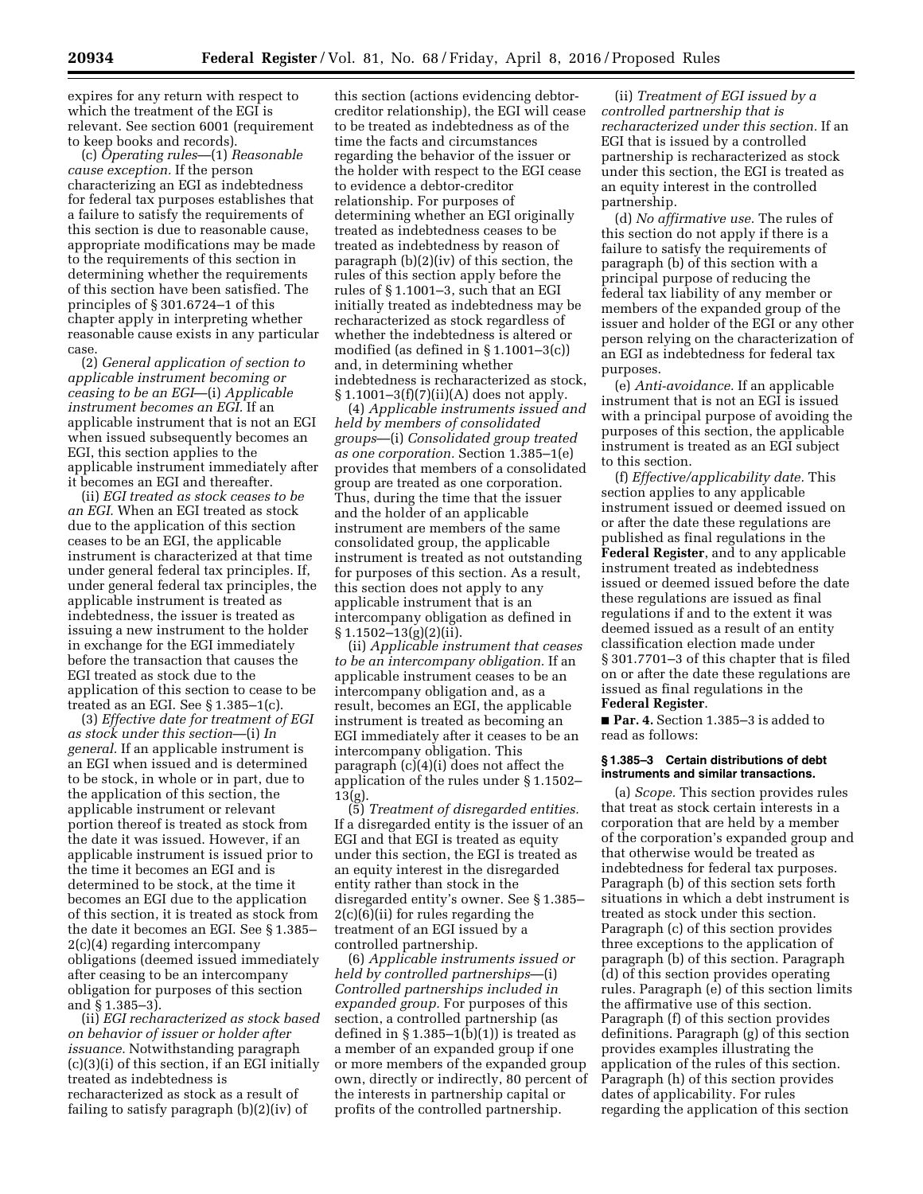expires for any return with respect to which the treatment of the EGI is relevant. See section 6001 (requirement to keep books and records).

(c) *Operating rules*—(1) *Reasonable cause exception.* If the person characterizing an EGI as indebtedness for federal tax purposes establishes that a failure to satisfy the requirements of this section is due to reasonable cause, appropriate modifications may be made to the requirements of this section in determining whether the requirements of this section have been satisfied. The principles of § 301.6724–1 of this chapter apply in interpreting whether reasonable cause exists in any particular case.

(2) *General application of section to applicable instrument becoming or ceasing to be an EGI*—(i) *Applicable instrument becomes an EGI.* If an applicable instrument that is not an EGI when issued subsequently becomes an EGI, this section applies to the applicable instrument immediately after it becomes an EGI and thereafter.

(ii) *EGI treated as stock ceases to be an EGI.* When an EGI treated as stock due to the application of this section ceases to be an EGI, the applicable instrument is characterized at that time under general federal tax principles. If, under general federal tax principles, the applicable instrument is treated as indebtedness, the issuer is treated as issuing a new instrument to the holder in exchange for the EGI immediately before the transaction that causes the EGI treated as stock due to the application of this section to cease to be treated as an EGI. See  $\S 1.385-1(c)$ .

(3) *Effective date for treatment of EGI as stock under this section*—(i) *In general.* If an applicable instrument is an EGI when issued and is determined to be stock, in whole or in part, due to the application of this section, the applicable instrument or relevant portion thereof is treated as stock from the date it was issued. However, if an applicable instrument is issued prior to the time it becomes an EGI and is determined to be stock, at the time it becomes an EGI due to the application of this section, it is treated as stock from the date it becomes an EGI. See § 1.385– 2(c)(4) regarding intercompany obligations (deemed issued immediately after ceasing to be an intercompany obligation for purposes of this section and § 1.385–3).

(ii) *EGI recharacterized as stock based on behavior of issuer or holder after issuance.* Notwithstanding paragraph (c)(3)(i) of this section, if an EGI initially treated as indebtedness is recharacterized as stock as a result of failing to satisfy paragraph (b)(2)(iv) of

this section (actions evidencing debtorcreditor relationship), the EGI will cease to be treated as indebtedness as of the time the facts and circumstances regarding the behavior of the issuer or the holder with respect to the EGI cease to evidence a debtor-creditor relationship. For purposes of determining whether an EGI originally treated as indebtedness ceases to be treated as indebtedness by reason of paragraph (b)(2)(iv) of this section, the rules of this section apply before the rules of § 1.1001–3, such that an EGI initially treated as indebtedness may be recharacterized as stock regardless of whether the indebtedness is altered or modified (as defined in § 1.1001–3(c)) and, in determining whether indebtedness is recharacterized as stock, § 1.1001–3(f)(7)(ii)(A) does not apply.

(4) *Applicable instruments issued and held by members of consolidated groups*—(i) *Consolidated group treated as one corporation.* Section 1.385–1(e) provides that members of a consolidated group are treated as one corporation. Thus, during the time that the issuer and the holder of an applicable instrument are members of the same consolidated group, the applicable instrument is treated as not outstanding for purposes of this section. As a result, this section does not apply to any applicable instrument that is an intercompany obligation as defined in  $§ 1.1502 - 13(g)(2)(ii).$ 

(ii) *Applicable instrument that ceases to be an intercompany obligation.* If an applicable instrument ceases to be an intercompany obligation and, as a result, becomes an EGI, the applicable instrument is treated as becoming an EGI immediately after it ceases to be an intercompany obligation. This paragraph (c)(4)(i) does not affect the application of the rules under § 1.1502– 13(g).

(5) *Treatment of disregarded entities.*  If a disregarded entity is the issuer of an EGI and that EGI is treated as equity under this section, the EGI is treated as an equity interest in the disregarded entity rather than stock in the disregarded entity's owner. See § 1.385– 2(c)(6)(ii) for rules regarding the treatment of an EGI issued by a controlled partnership.

(6) *Applicable instruments issued or held by controlled partnerships*—(i) *Controlled partnerships included in expanded group.* For purposes of this section, a controlled partnership (as defined in  $\S 1.385-1(b)(1)$  is treated as a member of an expanded group if one or more members of the expanded group own, directly or indirectly, 80 percent of the interests in partnership capital or profits of the controlled partnership.

(ii) *Treatment of EGI issued by a controlled partnership that is recharacterized under this section.* If an EGI that is issued by a controlled partnership is recharacterized as stock under this section, the EGI is treated as an equity interest in the controlled partnership.

(d) *No affirmative use.* The rules of this section do not apply if there is a failure to satisfy the requirements of paragraph (b) of this section with a principal purpose of reducing the federal tax liability of any member or members of the expanded group of the issuer and holder of the EGI or any other person relying on the characterization of an EGI as indebtedness for federal tax purposes.

(e) *Anti-avoidance.* If an applicable instrument that is not an EGI is issued with a principal purpose of avoiding the purposes of this section, the applicable instrument is treated as an EGI subject to this section.

(f) *Effective/applicability date.* This section applies to any applicable instrument issued or deemed issued on or after the date these regulations are published as final regulations in the **Federal Register**, and to any applicable instrument treated as indebtedness issued or deemed issued before the date these regulations are issued as final regulations if and to the extent it was deemed issued as a result of an entity classification election made under § 301.7701–3 of this chapter that is filed on or after the date these regulations are issued as final regulations in the **Federal Register**.

■ **Par. 4.** Section 1.385–3 is added to read as follows:

#### **§ 1.385–3 Certain distributions of debt instruments and similar transactions.**

(a) *Scope.* This section provides rules that treat as stock certain interests in a corporation that are held by a member of the corporation's expanded group and that otherwise would be treated as indebtedness for federal tax purposes. Paragraph (b) of this section sets forth situations in which a debt instrument is treated as stock under this section. Paragraph (c) of this section provides three exceptions to the application of paragraph (b) of this section. Paragraph (d) of this section provides operating rules. Paragraph (e) of this section limits the affirmative use of this section. Paragraph (f) of this section provides definitions. Paragraph (g) of this section provides examples illustrating the application of the rules of this section. Paragraph (h) of this section provides dates of applicability. For rules regarding the application of this section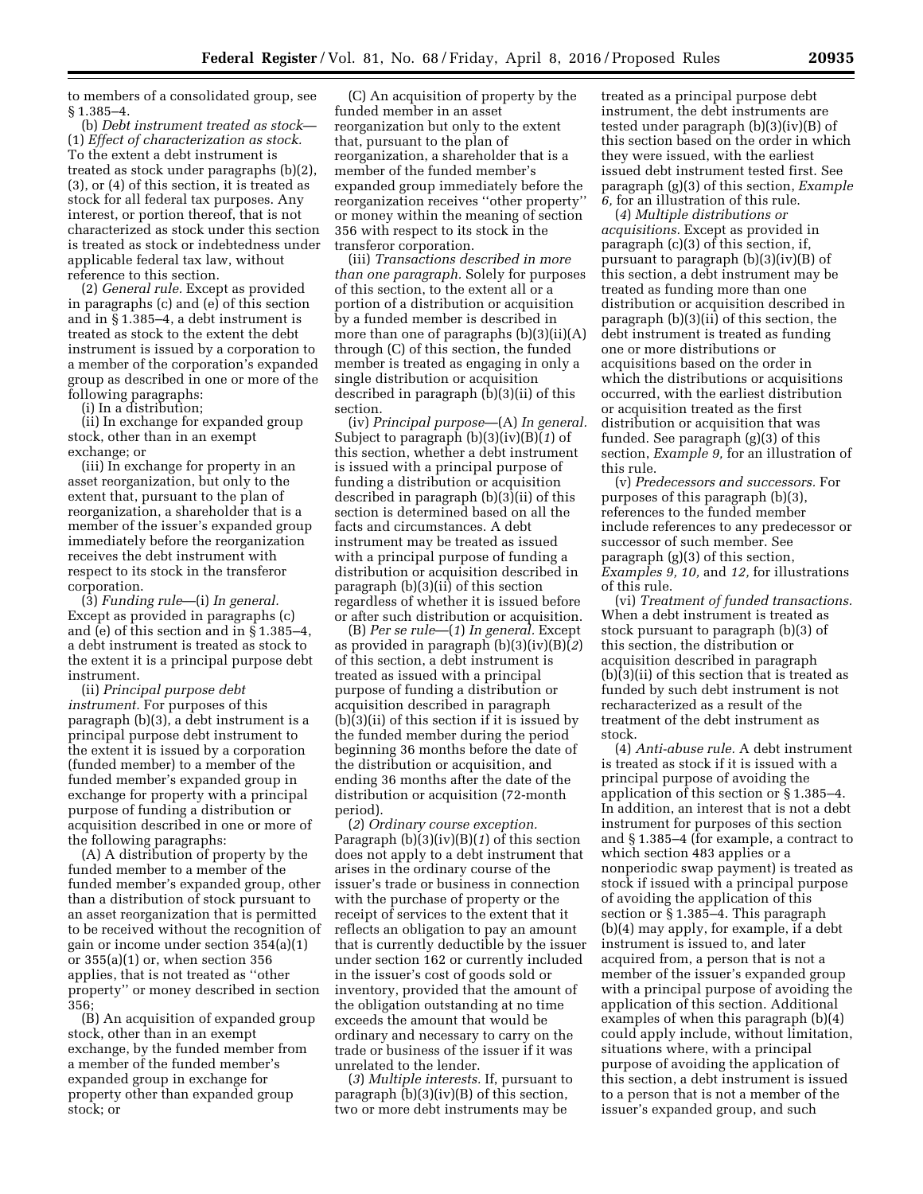to members of a consolidated group, see § 1.385–4.

(b) *Debt instrument treated as stock*— (1) *Effect of characterization as stock.*  To the extent a debt instrument is treated as stock under paragraphs (b)(2), (3), or (4) of this section, it is treated as stock for all federal tax purposes. Any interest, or portion thereof, that is not characterized as stock under this section is treated as stock or indebtedness under applicable federal tax law, without reference to this section.

(2) *General rule.* Except as provided in paragraphs (c) and (e) of this section and in § 1.385–4, a debt instrument is treated as stock to the extent the debt instrument is issued by a corporation to a member of the corporation's expanded group as described in one or more of the following paragraphs:

(i) In a distribution;

(ii) In exchange for expanded group stock, other than in an exempt exchange; or

(iii) In exchange for property in an asset reorganization, but only to the extent that, pursuant to the plan of reorganization, a shareholder that is a member of the issuer's expanded group immediately before the reorganization receives the debt instrument with respect to its stock in the transferor corporation.

(3) *Funding rule*—(i) *In general.*  Except as provided in paragraphs (c) and (e) of this section and in § 1.385–4, a debt instrument is treated as stock to the extent it is a principal purpose debt instrument.

(ii) *Principal purpose debt instrument.* For purposes of this paragraph (b)(3), a debt instrument is a principal purpose debt instrument to the extent it is issued by a corporation (funded member) to a member of the funded member's expanded group in exchange for property with a principal purpose of funding a distribution or acquisition described in one or more of the following paragraphs:

(A) A distribution of property by the funded member to a member of the funded member's expanded group, other than a distribution of stock pursuant to an asset reorganization that is permitted to be received without the recognition of gain or income under section 354(a)(1) or  $355(a)(1)$  or, when section  $356$ applies, that is not treated as ''other property'' or money described in section 356;

(B) An acquisition of expanded group stock, other than in an exempt exchange, by the funded member from a member of the funded member's expanded group in exchange for property other than expanded group stock; or

(C) An acquisition of property by the funded member in an asset reorganization but only to the extent that, pursuant to the plan of reorganization, a shareholder that is a member of the funded member's expanded group immediately before the reorganization receives ''other property'' or money within the meaning of section 356 with respect to its stock in the transferor corporation.

(iii) *Transactions described in more than one paragraph.* Solely for purposes of this section, to the extent all or a portion of a distribution or acquisition by a funded member is described in more than one of paragraphs (b)(3)(ii)(A) through (C) of this section, the funded member is treated as engaging in only a single distribution or acquisition described in paragraph (b)(3)(ii) of this section.

(iv) *Principal purpose*—(A) *In general.*  Subject to paragraph (b)(3)(iv)(B)(*1*) of this section, whether a debt instrument is issued with a principal purpose of funding a distribution or acquisition described in paragraph (b)(3)(ii) of this section is determined based on all the facts and circumstances. A debt instrument may be treated as issued with a principal purpose of funding a distribution or acquisition described in paragraph (b)(3)(ii) of this section regardless of whether it is issued before or after such distribution or acquisition.

(B) *Per se rule*—(*1*) *In general.* Except as provided in paragraph (b)(3)(iv)(B)(*2*) of this section, a debt instrument is treated as issued with a principal purpose of funding a distribution or acquisition described in paragraph (b)(3)(ii) of this section if it is issued by the funded member during the period beginning 36 months before the date of the distribution or acquisition, and ending 36 months after the date of the distribution or acquisition (72-month period).

(*2*) *Ordinary course exception.*  Paragraph (b)(3)(iv)(B)(*1*) of this section does not apply to a debt instrument that arises in the ordinary course of the issuer's trade or business in connection with the purchase of property or the receipt of services to the extent that it reflects an obligation to pay an amount that is currently deductible by the issuer under section 162 or currently included in the issuer's cost of goods sold or inventory, provided that the amount of the obligation outstanding at no time exceeds the amount that would be ordinary and necessary to carry on the trade or business of the issuer if it was unrelated to the lender.

(*3*) *Multiple interests.* If, pursuant to paragraph (b)(3)(iv)(B) of this section, two or more debt instruments may be

treated as a principal purpose debt instrument, the debt instruments are tested under paragraph (b)(3)(iv)(B) of this section based on the order in which they were issued, with the earliest issued debt instrument tested first. See paragraph (g)(3) of this section, *Example 6,* for an illustration of this rule.

(*4*) *Multiple distributions or acquisitions.* Except as provided in paragraph (c)(3) of this section, if, pursuant to paragraph (b)(3)(iv)(B) of this section, a debt instrument may be treated as funding more than one distribution or acquisition described in paragraph (b)(3)(ii) of this section, the debt instrument is treated as funding one or more distributions or acquisitions based on the order in which the distributions or acquisitions occurred, with the earliest distribution or acquisition treated as the first distribution or acquisition that was funded. See paragraph (g)(3) of this section, *Example 9,* for an illustration of this rule.

(v) *Predecessors and successors.* For purposes of this paragraph (b)(3), references to the funded member include references to any predecessor or successor of such member. See paragraph (g)(3) of this section, *Examples 9, 10,* and *12,* for illustrations of this rule.

(vi) *Treatment of funded transactions.*  When a debt instrument is treated as stock pursuant to paragraph (b)(3) of this section, the distribution or acquisition described in paragraph (b)(3)(ii) of this section that is treated as funded by such debt instrument is not recharacterized as a result of the treatment of the debt instrument as stock.

(4) *Anti-abuse rule.* A debt instrument is treated as stock if it is issued with a principal purpose of avoiding the application of this section or § 1.385–4. In addition, an interest that is not a debt instrument for purposes of this section and § 1.385–4 (for example, a contract to which section 483 applies or a nonperiodic swap payment) is treated as stock if issued with a principal purpose of avoiding the application of this section or § 1.385–4. This paragraph (b)(4) may apply, for example, if a debt instrument is issued to, and later acquired from, a person that is not a member of the issuer's expanded group with a principal purpose of avoiding the application of this section. Additional examples of when this paragraph (b)(4) could apply include, without limitation, situations where, with a principal purpose of avoiding the application of this section, a debt instrument is issued to a person that is not a member of the issuer's expanded group, and such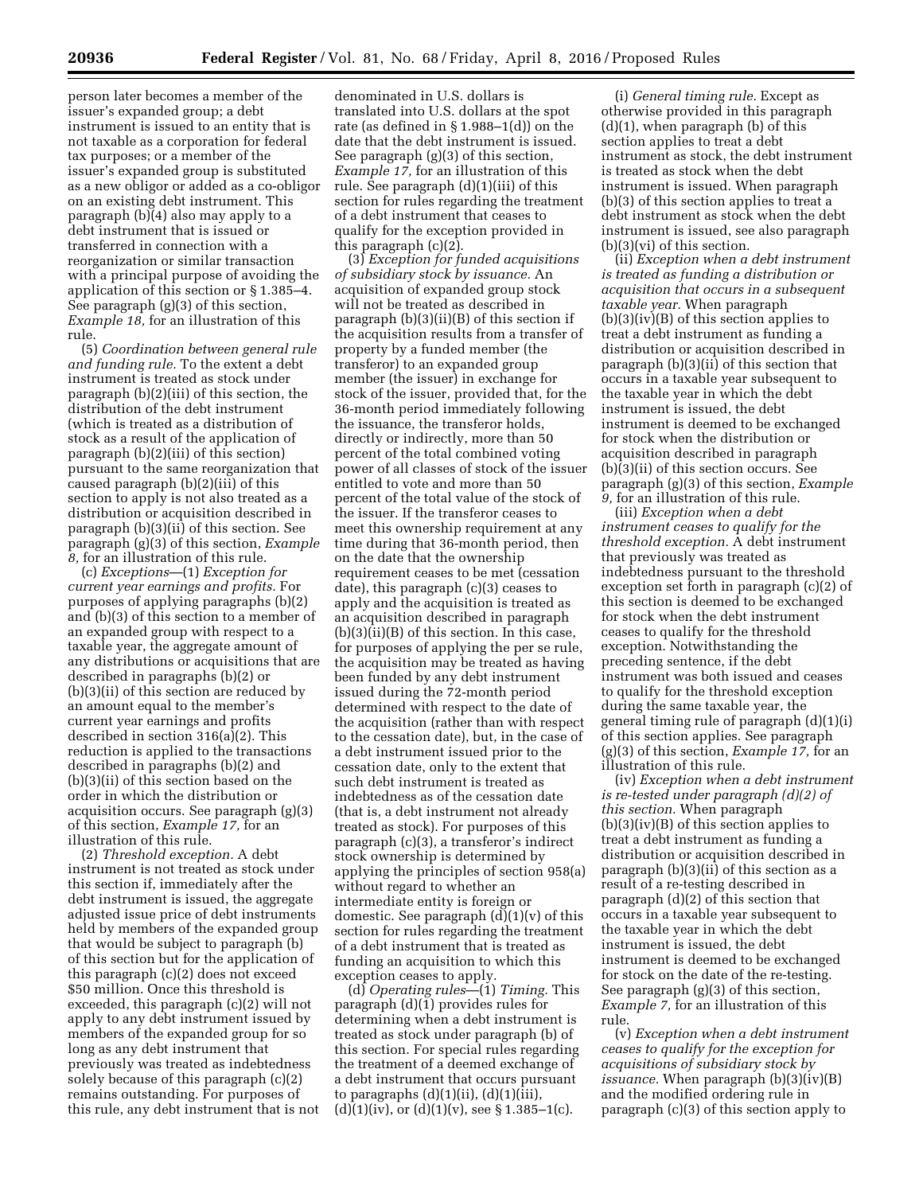person later becomes a member of the issuer's expanded group; a debt instrument is issued to an entity that is not taxable as a corporation for federal tax purposes; or a member of the issuer's expanded group is substituted as a new obligor or added as a co-obligor on an existing debt instrument. This paragraph (b)(4) also may apply to a debt instrument that is issued or transferred in connection with a reorganization or similar transaction with a principal purpose of avoiding the application of this section or § 1.385–4. See paragraph (g)(3) of this section, *Example 18,* for an illustration of this rule.

(5) *Coordination between general rule and funding rule.* To the extent a debt instrument is treated as stock under paragraph (b)(2)(iii) of this section, the distribution of the debt instrument (which is treated as a distribution of stock as a result of the application of paragraph (b)(2)(iii) of this section) pursuant to the same reorganization that caused paragraph (b)(2)(iii) of this section to apply is not also treated as a distribution or acquisition described in paragraph (b)(3)(ii) of this section. See paragraph (g)(3) of this section, *Example 8,* for an illustration of this rule.

(c) *Exceptions*—(1) *Exception for current year earnings and profits.* For purposes of applying paragraphs (b)(2) and (b)(3) of this section to a member of an expanded group with respect to a taxable year, the aggregate amount of any distributions or acquisitions that are described in paragraphs (b)(2) or (b)(3)(ii) of this section are reduced by an amount equal to the member's current year earnings and profits described in section 316(a)(2). This reduction is applied to the transactions described in paragraphs (b)(2) and (b)(3)(ii) of this section based on the order in which the distribution or acquisition occurs. See paragraph (g)(3) of this section, *Example 17,* for an illustration of this rule.

(2) *Threshold exception.* A debt instrument is not treated as stock under this section if, immediately after the debt instrument is issued, the aggregate adjusted issue price of debt instruments held by members of the expanded group that would be subject to paragraph (b) of this section but for the application of this paragraph (c)(2) does not exceed \$50 million. Once this threshold is exceeded, this paragraph (c)(2) will not apply to any debt instrument issued by members of the expanded group for so long as any debt instrument that previously was treated as indebtedness solely because of this paragraph (c)(2) remains outstanding. For purposes of this rule, any debt instrument that is not

denominated in U.S. dollars is translated into U.S. dollars at the spot rate (as defined in § 1.988–1(d)) on the date that the debt instrument is issued. See paragraph (g)(3) of this section, *Example 17,* for an illustration of this rule. See paragraph (d)(1)(iii) of this section for rules regarding the treatment of a debt instrument that ceases to qualify for the exception provided in this paragraph (c)(2).

(3) *Exception for funded acquisitions of subsidiary stock by issuance.* An acquisition of expanded group stock will not be treated as described in paragraph (b)(3)(ii)(B) of this section if the acquisition results from a transfer of property by a funded member (the transferor) to an expanded group member (the issuer) in exchange for stock of the issuer, provided that, for the 36-month period immediately following the issuance, the transferor holds, directly or indirectly, more than 50 percent of the total combined voting power of all classes of stock of the issuer entitled to vote and more than 50 percent of the total value of the stock of the issuer. If the transferor ceases to meet this ownership requirement at any time during that 36-month period, then on the date that the ownership requirement ceases to be met (cessation date), this paragraph (c)(3) ceases to apply and the acquisition is treated as an acquisition described in paragraph (b)(3)(ii)(B) of this section. In this case, for purposes of applying the per se rule, the acquisition may be treated as having been funded by any debt instrument issued during the 72-month period determined with respect to the date of the acquisition (rather than with respect to the cessation date), but, in the case of a debt instrument issued prior to the cessation date, only to the extent that such debt instrument is treated as indebtedness as of the cessation date (that is, a debt instrument not already treated as stock). For purposes of this paragraph (c)(3), a transferor's indirect stock ownership is determined by applying the principles of section 958(a) without regard to whether an intermediate entity is foreign or domestic. See paragraph (d)(1)(v) of this section for rules regarding the treatment of a debt instrument that is treated as funding an acquisition to which this exception ceases to apply.

(d) *Operating rules*—(1) *Timing.* This paragraph (d)(1) provides rules for determining when a debt instrument is treated as stock under paragraph (b) of this section. For special rules regarding the treatment of a deemed exchange of a debt instrument that occurs pursuant to paragraphs  $(d)(1)(ii)$ ,  $(d)(1)(iii)$ ,  $(d)(1)(iv)$ , or  $(d)(1)(v)$ , see § 1.385–1(c).

(i) *General timing rule.* Except as otherwise provided in this paragraph  $(d)(1)$ , when paragraph  $(b)$  of this section applies to treat a debt instrument as stock, the debt instrument is treated as stock when the debt instrument is issued. When paragraph (b)(3) of this section applies to treat a debt instrument as stock when the debt instrument is issued, see also paragraph (b)(3)(vi) of this section.

(ii) *Exception when a debt instrument is treated as funding a distribution or acquisition that occurs in a subsequent taxable year.* When paragraph (b)(3)(iv)(B) of this section applies to treat a debt instrument as funding a distribution or acquisition described in paragraph (b)(3)(ii) of this section that occurs in a taxable year subsequent to the taxable year in which the debt instrument is issued, the debt instrument is deemed to be exchanged for stock when the distribution or acquisition described in paragraph (b)(3)(ii) of this section occurs. See paragraph (g)(3) of this section, *Example 9,* for an illustration of this rule.

(iii) *Exception when a debt instrument ceases to qualify for the threshold exception.* A debt instrument that previously was treated as indebtedness pursuant to the threshold exception set forth in paragraph (c)(2) of this section is deemed to be exchanged for stock when the debt instrument ceases to qualify for the threshold exception. Notwithstanding the preceding sentence, if the debt instrument was both issued and ceases to qualify for the threshold exception during the same taxable year, the general timing rule of paragraph (d)(1)(i) of this section applies. See paragraph (g)(3) of this section, *Example 17,* for an illustration of this rule.

(iv) *Exception when a debt instrument is re-tested under paragraph (d)(2) of this section.* When paragraph (b)(3)(iv)(B) of this section applies to treat a debt instrument as funding a distribution or acquisition described in paragraph (b)(3)(ii) of this section as a result of a re-testing described in paragraph (d)(2) of this section that occurs in a taxable year subsequent to the taxable year in which the debt instrument is issued, the debt instrument is deemed to be exchanged for stock on the date of the re-testing. See paragraph (g)(3) of this section, *Example 7,* for an illustration of this rule.

(v) *Exception when a debt instrument ceases to qualify for the exception for acquisitions of subsidiary stock by issuance.* When paragraph (b)(3)(iv)(B) and the modified ordering rule in paragraph (c)(3) of this section apply to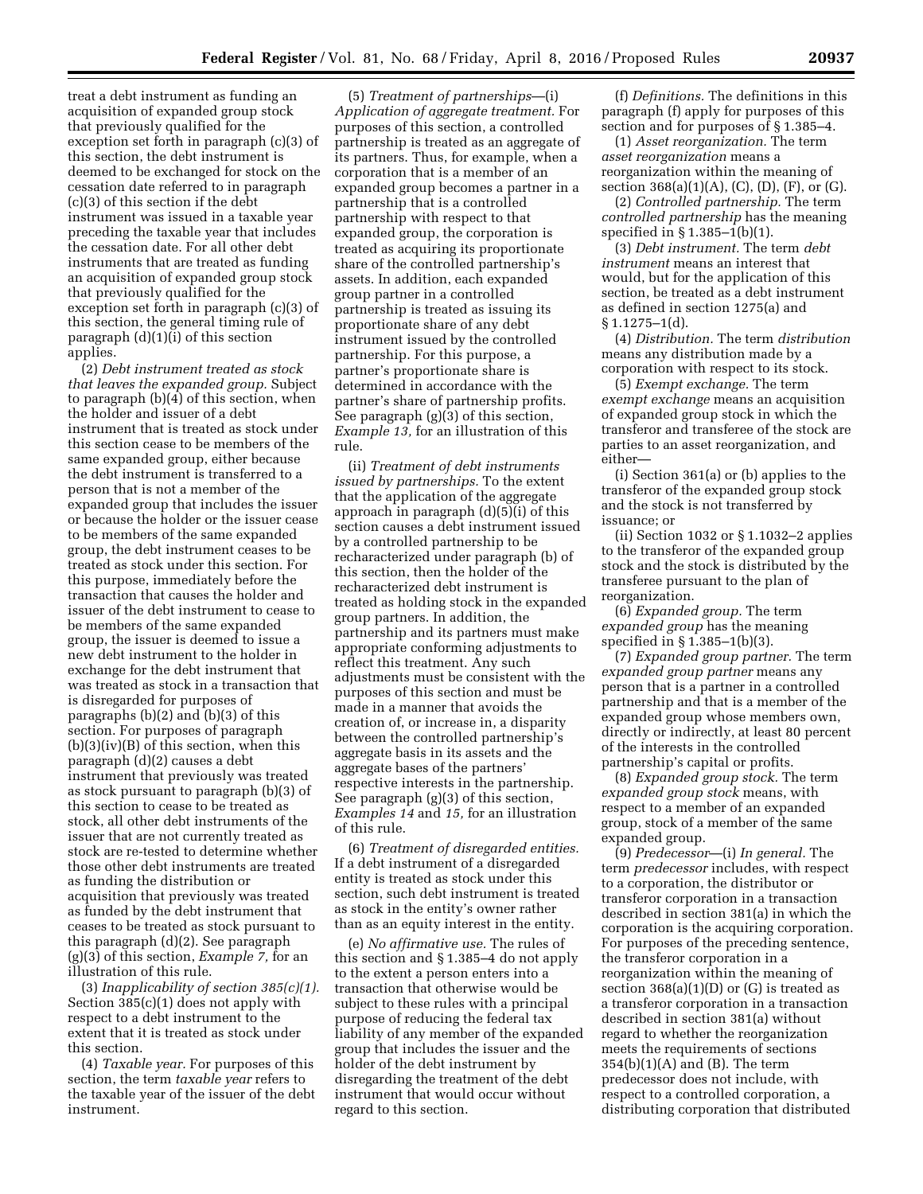treat a debt instrument as funding an acquisition of expanded group stock that previously qualified for the exception set forth in paragraph (c)(3) of this section, the debt instrument is deemed to be exchanged for stock on the cessation date referred to in paragraph (c)(3) of this section if the debt instrument was issued in a taxable year preceding the taxable year that includes the cessation date. For all other debt instruments that are treated as funding an acquisition of expanded group stock that previously qualified for the exception set forth in paragraph (c)(3) of this section, the general timing rule of paragraph (d)(1)(i) of this section applies.

(2) *Debt instrument treated as stock that leaves the expanded group.* Subject to paragraph (b)(4) of this section, when the holder and issuer of a debt instrument that is treated as stock under this section cease to be members of the same expanded group, either because the debt instrument is transferred to a person that is not a member of the expanded group that includes the issuer or because the holder or the issuer cease to be members of the same expanded group, the debt instrument ceases to be treated as stock under this section. For this purpose, immediately before the transaction that causes the holder and issuer of the debt instrument to cease to be members of the same expanded group, the issuer is deemed to issue a new debt instrument to the holder in exchange for the debt instrument that was treated as stock in a transaction that is disregarded for purposes of paragraphs (b)(2) and (b)(3) of this section. For purposes of paragraph  $(b)(3)(iv)(B)$  of this section, when this paragraph (d)(2) causes a debt instrument that previously was treated as stock pursuant to paragraph (b)(3) of this section to cease to be treated as stock, all other debt instruments of the issuer that are not currently treated as stock are re-tested to determine whether those other debt instruments are treated as funding the distribution or acquisition that previously was treated as funded by the debt instrument that ceases to be treated as stock pursuant to this paragraph (d)(2). See paragraph (g)(3) of this section, *Example 7,* for an illustration of this rule.

(3) *Inapplicability of section 385(c)(1).*  Section 385(c)(1) does not apply with respect to a debt instrument to the extent that it is treated as stock under this section.

(4) *Taxable year.* For purposes of this section, the term *taxable year* refers to the taxable year of the issuer of the debt instrument.

(5) *Treatment of partnerships*—(i) *Application of aggregate treatment.* For purposes of this section, a controlled partnership is treated as an aggregate of its partners. Thus, for example, when a corporation that is a member of an expanded group becomes a partner in a partnership that is a controlled partnership with respect to that expanded group, the corporation is treated as acquiring its proportionate share of the controlled partnership's assets. In addition, each expanded group partner in a controlled partnership is treated as issuing its proportionate share of any debt instrument issued by the controlled partnership. For this purpose, a partner's proportionate share is determined in accordance with the partner's share of partnership profits. See paragraph (g)(3) of this section, *Example 13,* for an illustration of this rule.

(ii) *Treatment of debt instruments issued by partnerships.* To the extent that the application of the aggregate approach in paragraph (d)(5)(i) of this section causes a debt instrument issued by a controlled partnership to be recharacterized under paragraph (b) of this section, then the holder of the recharacterized debt instrument is treated as holding stock in the expanded group partners. In addition, the partnership and its partners must make appropriate conforming adjustments to reflect this treatment. Any such adjustments must be consistent with the purposes of this section and must be made in a manner that avoids the creation of, or increase in, a disparity between the controlled partnership's aggregate basis in its assets and the aggregate bases of the partners' respective interests in the partnership. See paragraph (g)(3) of this section, *Examples 14* and *15,* for an illustration of this rule.

(6) *Treatment of disregarded entities.*  If a debt instrument of a disregarded entity is treated as stock under this section, such debt instrument is treated as stock in the entity's owner rather than as an equity interest in the entity.

(e) *No affirmative use.* The rules of this section and § 1.385–4 do not apply to the extent a person enters into a transaction that otherwise would be subject to these rules with a principal purpose of reducing the federal tax liability of any member of the expanded group that includes the issuer and the holder of the debt instrument by disregarding the treatment of the debt instrument that would occur without regard to this section.

(f) *Definitions.* The definitions in this paragraph (f) apply for purposes of this section and for purposes of § 1.385–4.

(1) *Asset reorganization.* The term *asset reorganization* means a reorganization within the meaning of section  $368(a)(1)(A)$ , (C), (D), (F), or (G).

(2) *Controlled partnership.* The term *controlled partnership* has the meaning specified in § 1.385–1(b)(1).

(3) *Debt instrument.* The term *debt instrument* means an interest that would, but for the application of this section, be treated as a debt instrument as defined in section 1275(a) and  $§ 1.1275 - 1(d).$ 

(4) *Distribution.* The term *distribution*  means any distribution made by a corporation with respect to its stock.

(5) *Exempt exchange.* The term *exempt exchange* means an acquisition of expanded group stock in which the transferor and transferee of the stock are parties to an asset reorganization, and either—

(i) Section 361(a) or (b) applies to the transferor of the expanded group stock and the stock is not transferred by issuance; or

(ii) Section 1032 or § 1.1032–2 applies to the transferor of the expanded group stock and the stock is distributed by the transferee pursuant to the plan of reorganization.

(6) *Expanded group.* The term *expanded group* has the meaning specified in § 1.385–1(b)(3).

(7) *Expanded group partner.* The term *expanded group partner* means any person that is a partner in a controlled partnership and that is a member of the expanded group whose members own, directly or indirectly, at least 80 percent of the interests in the controlled partnership's capital or profits.

(8) *Expanded group stock.* The term *expanded group stock* means, with respect to a member of an expanded group, stock of a member of the same expanded group.

(9) *Predecessor*—(i) *In general.* The term *predecessor* includes, with respect to a corporation, the distributor or transferor corporation in a transaction described in section 381(a) in which the corporation is the acquiring corporation. For purposes of the preceding sentence, the transferor corporation in a reorganization within the meaning of section  $368(a)(1)(D)$  or  $(G)$  is treated as a transferor corporation in a transaction described in section 381(a) without regard to whether the reorganization meets the requirements of sections 354(b)(1)(A) and (B). The term predecessor does not include, with respect to a controlled corporation, a distributing corporation that distributed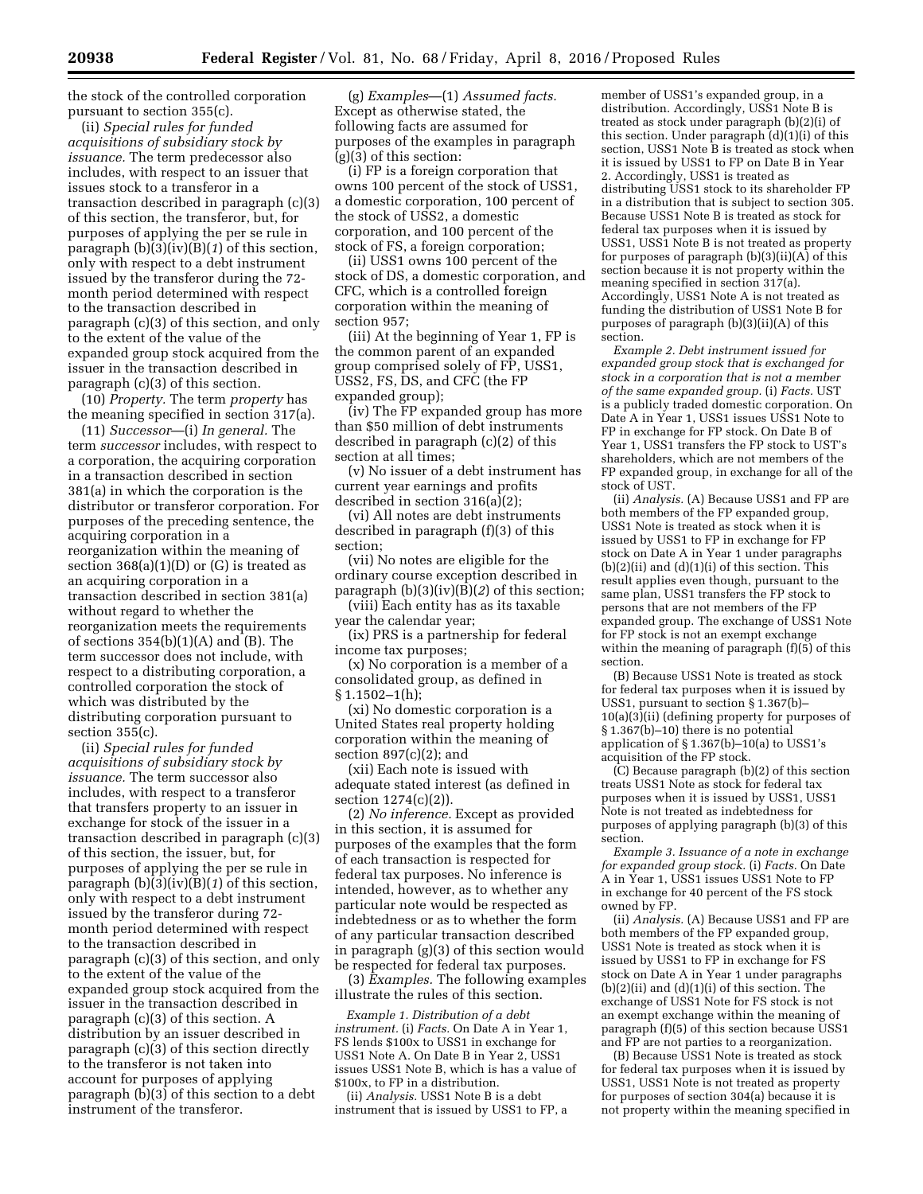the stock of the controlled corporation pursuant to section 355(c).

(ii) *Special rules for funded acquisitions of subsidiary stock by issuance.* The term predecessor also includes, with respect to an issuer that issues stock to a transferor in a transaction described in paragraph (c)(3) of this section, the transferor, but, for purposes of applying the per se rule in paragraph (b)(3)(iv)(B)(*1*) of this section, only with respect to a debt instrument issued by the transferor during the 72 month period determined with respect to the transaction described in paragraph (c)(3) of this section, and only to the extent of the value of the expanded group stock acquired from the issuer in the transaction described in paragraph (c)(3) of this section.

(10) *Property.* The term *property* has the meaning specified in section 317(a).

(11) *Successor*—(i) *In general.* The term *successor* includes, with respect to a corporation, the acquiring corporation in a transaction described in section 381(a) in which the corporation is the distributor or transferor corporation. For purposes of the preceding sentence, the acquiring corporation in a reorganization within the meaning of section 368(a)(1)(D) or (G) is treated as an acquiring corporation in a transaction described in section 381(a) without regard to whether the reorganization meets the requirements of sections  $354(b)(1)(A)$  and  $(B)$ . The term successor does not include, with respect to a distributing corporation, a controlled corporation the stock of which was distributed by the distributing corporation pursuant to section 355(c).

(ii) *Special rules for funded acquisitions of subsidiary stock by issuance.* The term successor also includes, with respect to a transferor that transfers property to an issuer in exchange for stock of the issuer in a transaction described in paragraph (c)(3) of this section, the issuer, but, for purposes of applying the per se rule in paragraph (b)(3)(iv)(B)(*1*) of this section, only with respect to a debt instrument issued by the transferor during 72 month period determined with respect to the transaction described in paragraph (c)(3) of this section, and only to the extent of the value of the expanded group stock acquired from the issuer in the transaction described in paragraph (c)(3) of this section. A distribution by an issuer described in paragraph (c)(3) of this section directly to the transferor is not taken into account for purposes of applying paragraph (b)(3) of this section to a debt instrument of the transferor.

(g) *Examples*—(1) *Assumed facts.*  Except as otherwise stated, the following facts are assumed for purposes of the examples in paragraph (g)(3) of this section:

(i) FP is a foreign corporation that owns 100 percent of the stock of USS1, a domestic corporation, 100 percent of the stock of USS2, a domestic corporation, and 100 percent of the stock of FS, a foreign corporation;

(ii) USS1 owns 100 percent of the stock of DS, a domestic corporation, and CFC, which is a controlled foreign corporation within the meaning of section 957;

(iii) At the beginning of Year 1, FP is the common parent of an expanded group comprised solely of FP, USS1, USS2, FS, DS, and CFC (the FP expanded group);

(iv) The FP expanded group has more than \$50 million of debt instruments described in paragraph (c)(2) of this section at all times;

(v) No issuer of a debt instrument has current year earnings and profits described in section 316(a)(2);

(vi) All notes are debt instruments described in paragraph (f)(3) of this section;

(vii) No notes are eligible for the ordinary course exception described in paragraph (b)(3)(iv)(B)(*2*) of this section;

(viii) Each entity has as its taxable year the calendar year;

(ix) PRS is a partnership for federal income tax purposes;

(x) No corporation is a member of a consolidated group, as defined in  $§ 1.1502 - 1(h);$ 

(xi) No domestic corporation is a United States real property holding corporation within the meaning of section  $897(c)(2)$ ; and

(xii) Each note is issued with adequate stated interest (as defined in section 1274(c)(2)).

(2) *No inference.* Except as provided in this section, it is assumed for purposes of the examples that the form of each transaction is respected for federal tax purposes. No inference is intended, however, as to whether any particular note would be respected as indebtedness or as to whether the form of any particular transaction described in paragraph (g)(3) of this section would be respected for federal tax purposes.

(3) *Examples.* The following examples illustrate the rules of this section.

*Example 1. Distribution of a debt instrument.* (i) *Facts.* On Date A in Year 1, FS lends \$100x to USS1 in exchange for USS1 Note A. On Date B in Year 2, USS1 issues USS1 Note B, which is has a value of \$100x, to FP in a distribution.

(ii) *Analysis.* USS1 Note B is a debt instrument that is issued by USS1 to FP, a

member of USS1's expanded group, in a distribution. Accordingly, USS1 Note B is treated as stock under paragraph (b)(2)(i) of this section. Under paragraph (d)(1)(i) of this section, USS1 Note B is treated as stock when it is issued by USS1 to FP on Date B in Year 2. Accordingly, USS1 is treated as distributing USS1 stock to its shareholder FP in a distribution that is subject to section 305. Because USS1 Note B is treated as stock for federal tax purposes when it is issued by USS1, USS1 Note B is not treated as property for purposes of paragraph  $(b)(3)(ii)(A)$  of this section because it is not property within the meaning specified in section 317(a). Accordingly, USS1 Note A is not treated as funding the distribution of USS1 Note B for purposes of paragraph (b)(3)(ii)(A) of this section.

*Example 2. Debt instrument issued for expanded group stock that is exchanged for stock in a corporation that is not a member of the same expanded group.* (i) *Facts.* UST is a publicly traded domestic corporation. On Date A in Year 1, USS1 issues USS1 Note to FP in exchange for FP stock. On Date B of Year 1, USS1 transfers the FP stock to UST's shareholders, which are not members of the FP expanded group, in exchange for all of the stock of UST.

(ii) *Analysis.* (A) Because USS1 and FP are both members of the FP expanded group, USS1 Note is treated as stock when it is issued by USS1 to FP in exchange for FP stock on Date A in Year 1 under paragraphs  $(b)(2)(ii)$  and  $(d)(1)(i)$  of this section. This result applies even though, pursuant to the same plan, USS1 transfers the FP stock to persons that are not members of the FP expanded group. The exchange of USS1 Note for FP stock is not an exempt exchange within the meaning of paragraph (f)(5) of this section.

(B) Because USS1 Note is treated as stock for federal tax purposes when it is issued by USS1, pursuant to section § 1.367(b)– 10(a)(3)(ii) (defining property for purposes of § 1.367(b)–10) there is no potential application of  $\S 1.367(b) - 10(a)$  to USS1's acquisition of the FP stock.

(C) Because paragraph (b)(2) of this section treats USS1 Note as stock for federal tax purposes when it is issued by USS1, USS1 Note is not treated as indebtedness for purposes of applying paragraph (b)(3) of this section.

*Example 3. Issuance of a note in exchange for expanded group stock.* (i) *Facts.* On Date A in Year 1, USS1 issues USS1 Note to FP in exchange for 40 percent of the FS stock owned by FP.

(ii) *Analysis.* (A) Because USS1 and FP are both members of the FP expanded group, USS1 Note is treated as stock when it is issued by USS1 to FP in exchange for FS stock on Date A in Year 1 under paragraphs  $(b)(2)(ii)$  and  $(d)(1)(i)$  of this section. The exchange of USS1 Note for FS stock is not an exempt exchange within the meaning of paragraph (f)(5) of this section because USS1 and FP are not parties to a reorganization.

(B) Because USS1 Note is treated as stock for federal tax purposes when it is issued by USS1, USS1 Note is not treated as property for purposes of section 304(a) because it is not property within the meaning specified in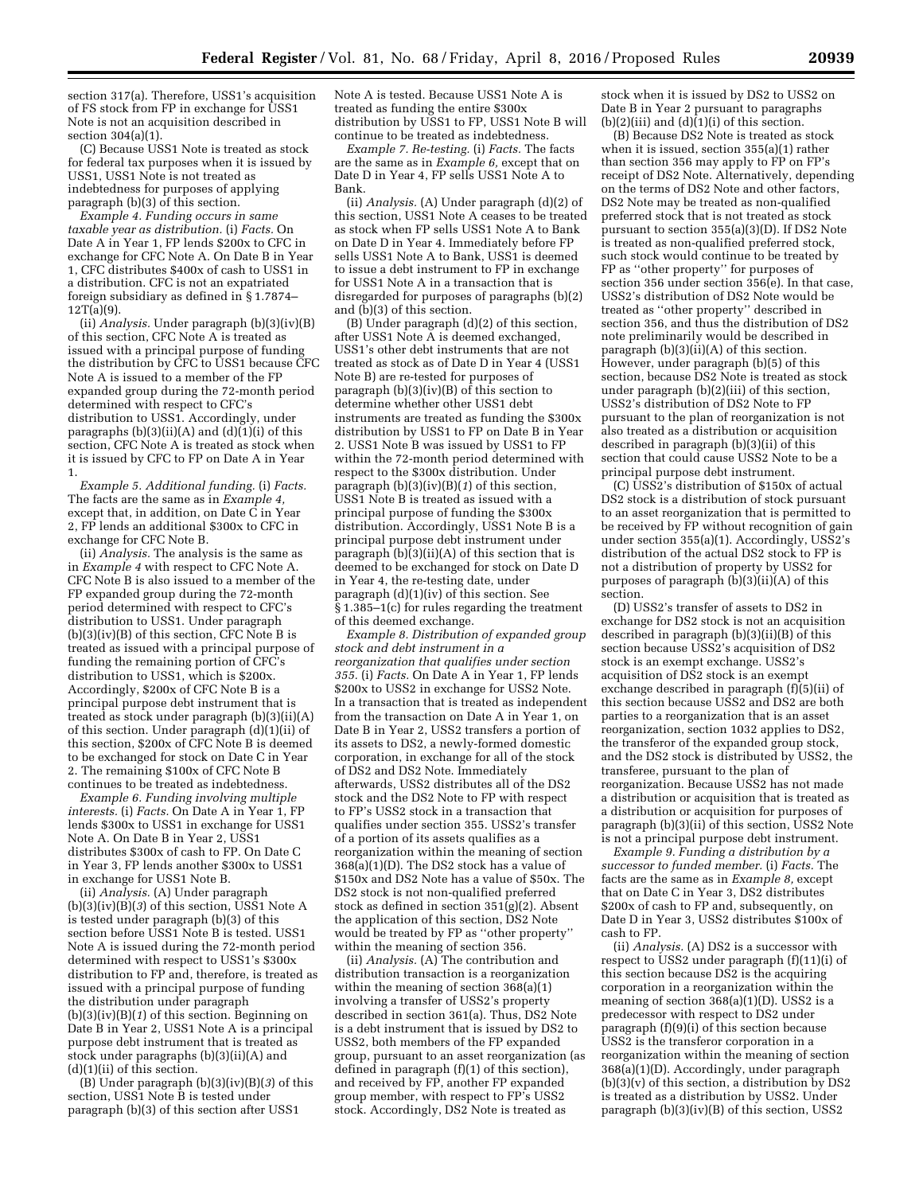section 317(a). Therefore, USS1's acquisition of FS stock from FP in exchange for USS1 Note is not an acquisition described in section  $304(a)(1)$ .

(C) Because USS1 Note is treated as stock for federal tax purposes when it is issued by USS1, USS1 Note is not treated as indebtedness for purposes of applying paragraph (b)(3) of this section.

*Example 4. Funding occurs in same taxable year as distribution.* (i) *Facts.* On Date A in Year 1, FP lends \$200x to CFC in exchange for CFC Note A. On Date B in Year 1, CFC distributes \$400x of cash to USS1 in a distribution. CFC is not an expatriated foreign subsidiary as defined in § 1.7874–  $12T(a)(9)$ .

(ii) *Analysis.* Under paragraph (b)(3)(iv)(B) of this section, CFC Note A is treated as issued with a principal purpose of funding the distribution by CFC to USS1 because CFC Note A is issued to a member of the FP expanded group during the 72-month period determined with respect to CFC's distribution to USS1. Accordingly, under paragraphs  $(b)(3)(ii)(A)$  and  $(d)(1)(i)$  of this section, CFC Note A is treated as stock when it is issued by CFC to FP on Date A in Year 1.

*Example 5. Additional funding.* (i) *Facts.*  The facts are the same as in *Example 4,*  except that, in addition, on Date  $\tilde{C}$  in Year 2, FP lends an additional \$300x to CFC in exchange for CFC Note B.

(ii) *Analysis.* The analysis is the same as in *Example 4* with respect to CFC Note A. CFC Note B is also issued to a member of the FP expanded group during the 72-month period determined with respect to CFC's distribution to USS1. Under paragraph (b)(3)(iv)(B) of this section, CFC Note B is treated as issued with a principal purpose of funding the remaining portion of CFC's distribution to USS1, which is \$200x. Accordingly, \$200x of CFC Note B is a principal purpose debt instrument that is treated as stock under paragraph (b)(3)(ii)(A) of this section. Under paragraph (d)(1)(ii) of this section, \$200x of CFC Note B is deemed to be exchanged for stock on Date C in Year 2. The remaining \$100x of CFC Note B continues to be treated as indebtedness.

*Example 6. Funding involving multiple interests.* (i) *Facts.* On Date A in Year 1, FP lends \$300x to USS1 in exchange for USS1 Note A. On Date B in Year 2, USS1 distributes \$300x of cash to FP. On Date C in Year 3, FP lends another \$300x to USS1 in exchange for USS1 Note B.

(ii) *Analysis.* (A) Under paragraph (b)(3)(iv)(B)(*3*) of this section, USS1 Note A is tested under paragraph (b)(3) of this section before USS1 Note B is tested. USS1 Note A is issued during the 72-month period determined with respect to USS1's \$300x distribution to FP and, therefore, is treated as issued with a principal purpose of funding the distribution under paragraph (b)(3)(iv)(B)(*1*) of this section. Beginning on Date B in Year 2, USS1 Note A is a principal purpose debt instrument that is treated as stock under paragraphs (b)(3)(ii)(A) and (d)(1)(ii) of this section.

(B) Under paragraph (b)(3)(iv)(B)(*3*) of this section, USS1 Note B is tested under paragraph (b)(3) of this section after USS1

Note A is tested. Because USS1 Note A is treated as funding the entire \$300x distribution by USS1 to FP, USS1 Note B will continue to be treated as indebtedness.

*Example 7. Re-testing.* (i) *Facts.* The facts are the same as in *Example 6,* except that on Date D in Year 4, FP sells USS1 Note A to Bank.

(ii) *Analysis.* (A) Under paragraph (d)(2) of this section, USS1 Note A ceases to be treated as stock when FP sells USS1 Note A to Bank on Date D in Year 4. Immediately before FP sells USS1 Note A to Bank, USS1 is deemed to issue a debt instrument to FP in exchange for USS1 Note A in a transaction that is disregarded for purposes of paragraphs (b)(2) and (b)(3) of this section.

(B) Under paragraph (d)(2) of this section, after USS1 Note A is deemed exchanged, USS1's other debt instruments that are not treated as stock as of Date D in Year 4 (USS1 Note B) are re-tested for purposes of paragraph  $(b)(3)(iv)(B)$  of this section to determine whether other USS1 debt instruments are treated as funding the \$300x distribution by USS1 to FP on Date B in Year 2. USS1 Note B was issued by USS1 to FP within the 72-month period determined with respect to the \$300x distribution. Under paragraph (b)(3)(iv)(B)(*1*) of this section, USS1 Note B is treated as issued with a principal purpose of funding the \$300x distribution. Accordingly, USS1 Note B is a principal purpose debt instrument under paragraph  $(b)(3)(ii)(A)$  of this section that is deemed to be exchanged for stock on Date D in Year 4, the re-testing date, under paragraph (d)(1)(iv) of this section. See § 1.385–1(c) for rules regarding the treatment of this deemed exchange.

*Example 8. Distribution of expanded group stock and debt instrument in a reorganization that qualifies under section 355.* (i) *Facts.* On Date A in Year 1, FP lends \$200x to USS2 in exchange for USS2 Note. In a transaction that is treated as independent from the transaction on Date A in Year 1, on Date B in Year 2, USS2 transfers a portion of its assets to DS2, a newly-formed domestic corporation, in exchange for all of the stock of DS2 and DS2 Note. Immediately afterwards, USS2 distributes all of the DS2 stock and the DS2 Note to FP with respect to FP's USS2 stock in a transaction that qualifies under section 355. USS2's transfer of a portion of its assets qualifies as a reorganization within the meaning of section 368(a)(1)(D). The DS2 stock has a value of \$150x and DS2 Note has a value of \$50x. The DS2 stock is not non-qualified preferred stock as defined in section 351(g)(2). Absent the application of this section, DS2 Note would be treated by FP as ''other property'' within the meaning of section 356.

(ii) *Analysis.* (A) The contribution and distribution transaction is a reorganization within the meaning of section 368(a)(1) involving a transfer of USS2's property described in section 361(a). Thus, DS2 Note is a debt instrument that is issued by DS2 to USS2, both members of the FP expanded group, pursuant to an asset reorganization (as defined in paragraph (f)(1) of this section), and received by FP, another FP expanded group member, with respect to FP's USS2 stock. Accordingly, DS2 Note is treated as

stock when it is issued by DS2 to USS2 on Date B in Year 2 pursuant to paragraphs (b)(2)(iii) and (d)(1)(i) of this section.

(B) Because DS2 Note is treated as stock when it is issued, section 355(a)(1) rather than section 356 may apply to FP on FP's receipt of DS2 Note. Alternatively, depending on the terms of DS2 Note and other factors, DS2 Note may be treated as non-qualified preferred stock that is not treated as stock pursuant to section 355(a)(3)(D). If DS2 Note is treated as non-qualified preferred stock, such stock would continue to be treated by FP as ''other property'' for purposes of section 356 under section 356(e). In that case, USS2's distribution of DS2 Note would be treated as ''other property'' described in section 356, and thus the distribution of DS2 note preliminarily would be described in paragraph  $(b)(3)(ii)(A)$  of this section. However, under paragraph (b)(5) of this section, because DS2 Note is treated as stock under paragraph (b)(2)(iii) of this section, USS2's distribution of DS2 Note to FP pursuant to the plan of reorganization is not also treated as a distribution or acquisition described in paragraph (b)(3)(ii) of this section that could cause USS2 Note to be a principal purpose debt instrument.

(C) USS2's distribution of \$150x of actual DS2 stock is a distribution of stock pursuant to an asset reorganization that is permitted to be received by FP without recognition of gain under section 355(a)(1). Accordingly, USS2's distribution of the actual DS2 stock to FP is not a distribution of property by USS2 for purposes of paragraph  $(b)(3)(ii)(A)$  of this section.

(D) USS2's transfer of assets to DS2 in exchange for DS2 stock is not an acquisition described in paragraph (b)(3)(ii)(B) of this section because USS2's acquisition of DS2 stock is an exempt exchange. USS2's acquisition of DS2 stock is an exempt exchange described in paragraph (f)(5)(ii) of this section because USS2 and DS2 are both parties to a reorganization that is an asset reorganization, section 1032 applies to DS2, the transferor of the expanded group stock, and the DS2 stock is distributed by USS2, the transferee, pursuant to the plan of reorganization. Because USS2 has not made a distribution or acquisition that is treated as a distribution or acquisition for purposes of paragraph  $(b)(3)(ii)$  of this section, USS2 Note is not a principal purpose debt instrument.

*Example 9. Funding a distribution by a successor to funded member.* (i) *Facts.* The facts are the same as in *Example 8,* except that on Date C in Year 3, DS2 distributes \$200x of cash to FP and, subsequently, on Date D in Year 3, USS2 distributes \$100x of cash to FP.

(ii) *Analysis.* (A) DS2 is a successor with respect to USS2 under paragraph (f)(11)(i) of this section because DS2 is the acquiring corporation in a reorganization within the meaning of section  $368(a)(1)(D)$ . USS2 is a predecessor with respect to DS2 under paragraph (f)(9)(i) of this section because USS2 is the transferor corporation in a reorganization within the meaning of section 368(a)(1)(D). Accordingly, under paragraph  $(b)(3)(v)$  of this section, a distribution by DS2 is treated as a distribution by USS2. Under paragraph (b)(3)(iv)(B) of this section, USS2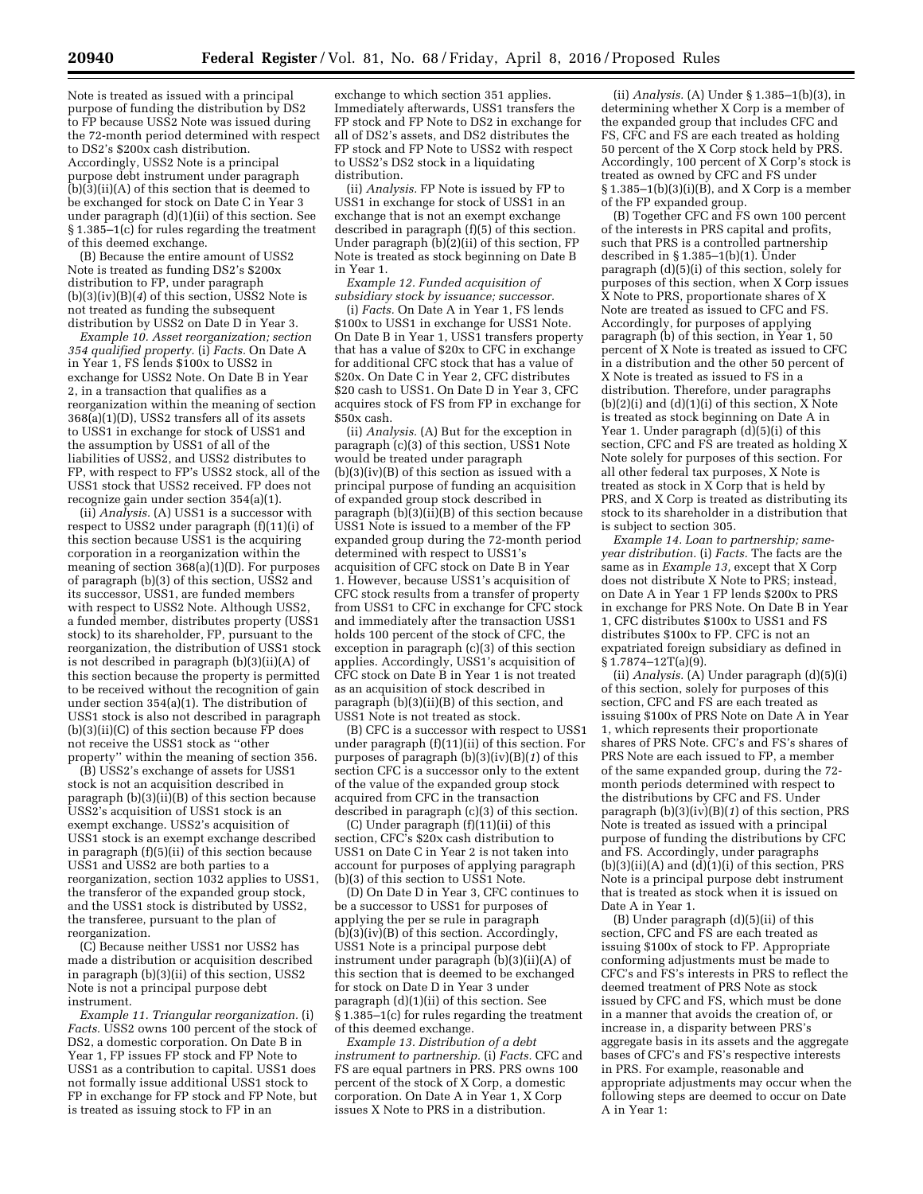Note is treated as issued with a principal purpose of funding the distribution by DS2 to FP because USS2 Note was issued during the 72-month period determined with respect to DS2's \$200x cash distribution. Accordingly, USS2 Note is a principal purpose debt instrument under paragraph (b)(3)(ii)(A) of this section that is deemed to be exchanged for stock on Date C in Year 3 under paragraph (d)(1)(ii) of this section. See § 1.385–1(c) for rules regarding the treatment of this deemed exchange.

(B) Because the entire amount of USS2 Note is treated as funding DS2's \$200x distribution to FP, under paragraph (b)(3)(iv)(B)(*4*) of this section, USS2 Note is not treated as funding the subsequent distribution by USS2 on Date D in Year 3.

*Example 10. Asset reorganization; section 354 qualified property.* (i) *Facts.* On Date A in Year 1, FS lends \$100x to USS2 in exchange for USS2 Note. On Date B in Year 2, in a transaction that qualifies as a reorganization within the meaning of section 368(a)(1)(D), USS2 transfers all of its assets to USS1 in exchange for stock of USS1 and the assumption by USS1 of all of the liabilities of USS2, and USS2 distributes to FP, with respect to FP's USS2 stock, all of the USS1 stock that USS2 received. FP does not recognize gain under section 354(a)(1).

(ii) *Analysis.* (A) USS1 is a successor with respect to USS2 under paragraph (f)(11)(i) of this section because USS1 is the acquiring corporation in a reorganization within the meaning of section 368(a)(1)(D). For purposes of paragraph (b)(3) of this section, USS2 and its successor, USS1, are funded members with respect to USS2 Note. Although USS2, a funded member, distributes property (USS1 stock) to its shareholder, FP, pursuant to the reorganization, the distribution of USS1 stock is not described in paragraph (b)(3)(ii)(A) of this section because the property is permitted to be received without the recognition of gain under section 354(a)(1). The distribution of USS1 stock is also not described in paragraph (b)(3)(ii)(C) of this section because FP does not receive the USS1 stock as ''other property'' within the meaning of section 356.

(B) USS2's exchange of assets for USS1 stock is not an acquisition described in paragraph  $(b)(3)(ii)(B)$  of this section because USS2's acquisition of USS1 stock is an exempt exchange. USS2's acquisition of USS1 stock is an exempt exchange described in paragraph (f)(5)(ii) of this section because USS1 and USS2 are both parties to a reorganization, section 1032 applies to USS1, the transferor of the expanded group stock, and the USS1 stock is distributed by USS2, the transferee, pursuant to the plan of reorganization.

(C) Because neither USS1 nor USS2 has made a distribution or acquisition described in paragraph (b)(3)(ii) of this section, USS2 Note is not a principal purpose debt instrument.

*Example 11. Triangular reorganization.* (i) *Facts.* USS2 owns 100 percent of the stock of DS2, a domestic corporation. On Date B in Year 1, FP issues FP stock and FP Note to USS1 as a contribution to capital. USS1 does not formally issue additional USS1 stock to FP in exchange for FP stock and FP Note, but is treated as issuing stock to FP in an

exchange to which section 351 applies. Immediately afterwards, USS1 transfers the FP stock and FP Note to DS2 in exchange for all of DS2's assets, and DS2 distributes the FP stock and FP Note to USS2 with respect to USS2's DS2 stock in a liquidating distribution.

(ii) *Analysis.* FP Note is issued by FP to USS1 in exchange for stock of USS1 in an exchange that is not an exempt exchange described in paragraph (f)(5) of this section. Under paragraph (b)(2)(ii) of this section, FP Note is treated as stock beginning on Date B in Year 1.

*Example 12. Funded acquisition of subsidiary stock by issuance; successor.* 

(i) *Facts.* On Date A in Year 1, FS lends \$100x to USS1 in exchange for USS1 Note. On Date B in Year 1, USS1 transfers property that has a value of \$20x to CFC in exchange for additional CFC stock that has a value of \$20x. On Date C in Year 2, CFC distributes \$20 cash to USS1. On Date D in Year 3, CFC acquires stock of FS from FP in exchange for \$50x cash.

(ii) *Analysis.* (A) But for the exception in paragraph (c)(3) of this section, USS1 Note would be treated under paragraph (b)(3)(iv)(B) of this section as issued with a principal purpose of funding an acquisition of expanded group stock described in paragraph  $(b)(3)(ii)(B)$  of this section because USS1 Note is issued to a member of the FP expanded group during the 72-month period determined with respect to USS1's acquisition of CFC stock on Date B in Year 1. However, because USS1's acquisition of CFC stock results from a transfer of property from USS1 to CFC in exchange for CFC stock and immediately after the transaction USS1 holds 100 percent of the stock of CFC, the exception in paragraph (c)(3) of this section applies. Accordingly, USS1's acquisition of CFC stock on Date B in Year 1 is not treated as an acquisition of stock described in paragraph (b)(3)(ii)(B) of this section, and USS1 Note is not treated as stock.

(B) CFC is a successor with respect to USS1 under paragraph (f)(11)(ii) of this section. For purposes of paragraph (b)(3)(iv)(B)(*1*) of this section CFC is a successor only to the extent of the value of the expanded group stock acquired from CFC in the transaction described in paragraph (c)(3) of this section.

(C) Under paragraph (f)(11)(ii) of this section, CFC's \$20x cash distribution to USS1 on Date C in Year 2 is not taken into account for purposes of applying paragraph (b)(3) of this section to USS1 Note.

(D) On Date D in Year 3, CFC continues to be a successor to USS1 for purposes of applying the per se rule in paragraph (b)(3)(iv)(B) of this section. Accordingly, USS1 Note is a principal purpose debt instrument under paragraph (b)(3)(ii)(A) of this section that is deemed to be exchanged for stock on Date D in Year 3 under paragraph (d)(1)(ii) of this section. See § 1.385–1(c) for rules regarding the treatment of this deemed exchange.

*Example 13. Distribution of a debt instrument to partnership.* (i) *Facts.* CFC and FS are equal partners in PRS. PRS owns 100 percent of the stock of X Corp, a domestic corporation. On Date A in Year 1, X Corp issues X Note to PRS in a distribution.

(ii) *Analysis.* (A) Under § 1.385–1(b)(3), in determining whether X Corp is a member of the expanded group that includes CFC and FS, CFC and FS are each treated as holding 50 percent of the X Corp stock held by PRS. Accordingly, 100 percent of X Corp's stock is treated as owned by CFC and FS under § 1.385–1(b)(3)(i)(B), and X Corp is a member of the FP expanded group.

(B) Together CFC and FS own 100 percent of the interests in PRS capital and profits, such that PRS is a controlled partnership described in § 1.385–1(b)(1). Under paragraph (d)(5)(i) of this section, solely for purposes of this section, when X Corp issues X Note to PRS, proportionate shares of X Note are treated as issued to CFC and FS. Accordingly, for purposes of applying paragraph (b) of this section, in Year 1, 50 percent of X Note is treated as issued to CFC in a distribution and the other 50 percent of X Note is treated as issued to FS in a distribution. Therefore, under paragraphs  $(b)(2)(i)$  and  $(d)(1)(i)$  of this section, X Note is treated as stock beginning on Date A in Year 1. Under paragraph (d)(5)(i) of this section, CFC and FS are treated as holding X Note solely for purposes of this section. For all other federal tax purposes, X Note is treated as stock in X Corp that is held by PRS, and X Corp is treated as distributing its stock to its shareholder in a distribution that is subject to section 305.

*Example 14. Loan to partnership; sameyear distribution.* (i) *Facts.* The facts are the same as in *Example 13,* except that X Corp does not distribute X Note to PRS; instead, on Date A in Year 1 FP lends \$200x to PRS in exchange for PRS Note. On Date B in Year 1, CFC distributes \$100x to USS1 and FS distributes \$100x to FP. CFC is not an expatriated foreign subsidiary as defined in  $\hat{\S}$ 1.7874–12T(a)(9).

(ii) *Analysis.* (A) Under paragraph (d)(5)(i) of this section, solely for purposes of this section, CFC and FS are each treated as issuing \$100x of PRS Note on Date A in Year 1, which represents their proportionate shares of PRS Note. CFC's and FS's shares of PRS Note are each issued to FP, a member of the same expanded group, during the 72 month periods determined with respect to the distributions by CFC and FS. Under paragraph (b)(3)(iv)(B)(*1*) of this section, PRS Note is treated as issued with a principal purpose of funding the distributions by CFC and FS. Accordingly, under paragraphs  $(b)(3)(ii)(A)$  and  $(d)(1)(i)$  of this section, PRS Note is a principal purpose debt instrument that is treated as stock when it is issued on Date A in Year 1.

(B) Under paragraph (d)(5)(ii) of this section, CFC and FS are each treated as issuing \$100x of stock to FP. Appropriate conforming adjustments must be made to CFC's and FS's interests in PRS to reflect the deemed treatment of PRS Note as stock issued by CFC and FS, which must be done in a manner that avoids the creation of, or increase in, a disparity between PRS's aggregate basis in its assets and the aggregate bases of CFC's and FS's respective interests in PRS. For example, reasonable and appropriate adjustments may occur when the following steps are deemed to occur on Date A in Year 1: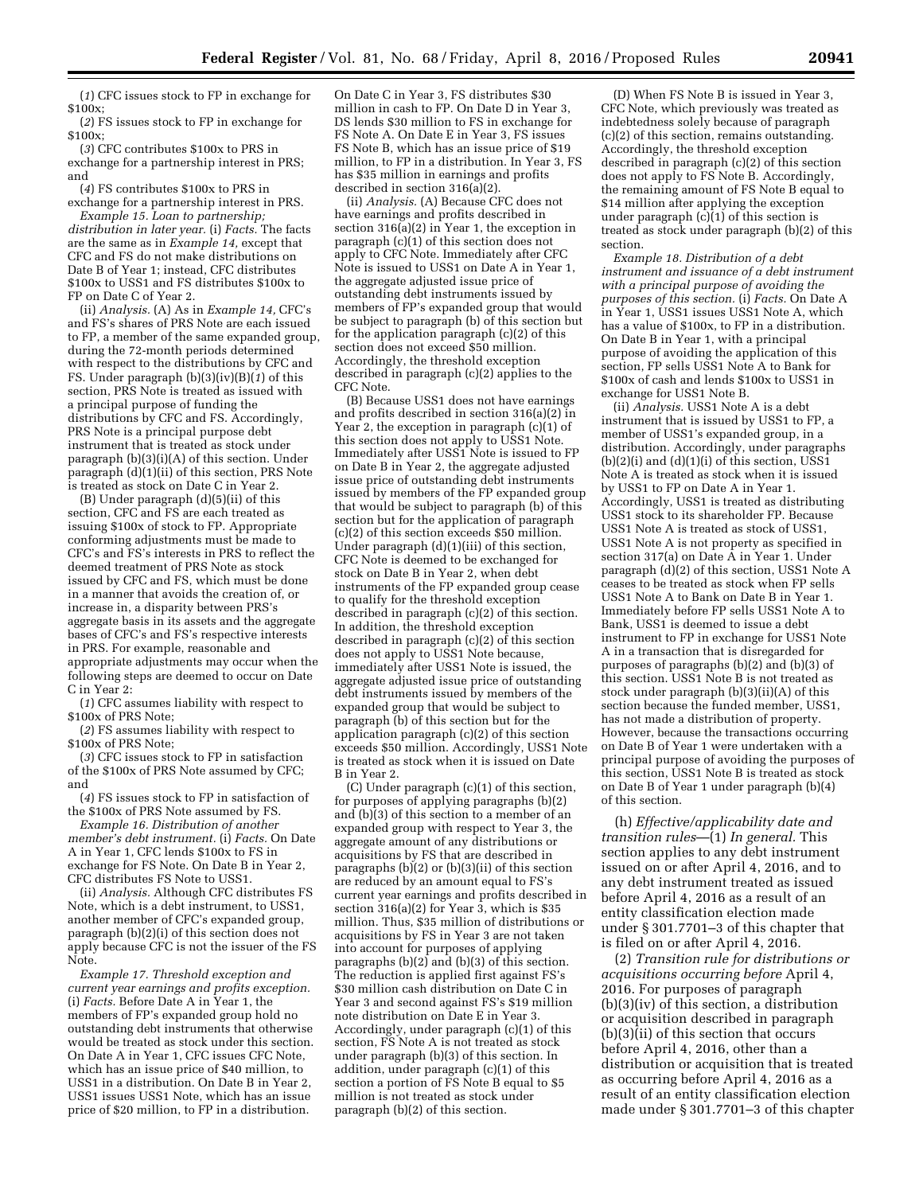(*1*) CFC issues stock to FP in exchange for \$100x;

(*2*) FS issues stock to FP in exchange for \$100x;

(*3*) CFC contributes \$100x to PRS in exchange for a partnership interest in PRS; and

(*4*) FS contributes \$100x to PRS in exchange for a partnership interest in PRS.

*Example 15. Loan to partnership; distribution in later year.* (i) *Facts.* The facts are the same as in *Example 14,* except that CFC and FS do not make distributions on Date B of Year 1; instead, CFC distributes \$100x to USS1 and FS distributes \$100x to FP on Date C of Year 2.

(ii) *Analysis.* (A) As in *Example 14,* CFC's and FS's shares of PRS Note are each issued to FP, a member of the same expanded group, during the 72-month periods determined with respect to the distributions by CFC and FS. Under paragraph (b)(3)(iv)(B)(*1*) of this section, PRS Note is treated as issued with a principal purpose of funding the distributions by CFC and FS. Accordingly, PRS Note is a principal purpose debt instrument that is treated as stock under paragraph (b)(3)(i)(A) of this section. Under paragraph (d)(1)(ii) of this section, PRS Note is treated as stock on Date C in Year 2.

(B) Under paragraph (d)(5)(ii) of this section, CFC and FS are each treated as issuing \$100x of stock to FP. Appropriate conforming adjustments must be made to CFC's and FS's interests in PRS to reflect the deemed treatment of PRS Note as stock issued by CFC and FS, which must be done in a manner that avoids the creation of, or increase in, a disparity between PRS's aggregate basis in its assets and the aggregate bases of CFC's and FS's respective interests in PRS. For example, reasonable and appropriate adjustments may occur when the following steps are deemed to occur on Date C in Year 2:

(*1*) CFC assumes liability with respect to \$100x of PRS Note;

(*2*) FS assumes liability with respect to \$100x of PRS Note;

(*3*) CFC issues stock to FP in satisfaction of the \$100x of PRS Note assumed by CFC; and

(*4*) FS issues stock to FP in satisfaction of the \$100x of PRS Note assumed by FS.

*Example 16. Distribution of another member's debt instrument.* (i) *Facts.* On Date A in Year 1, CFC lends \$100x to FS in exchange for FS Note. On Date B in Year 2, CFC distributes FS Note to USS1.

(ii) *Analysis.* Although CFC distributes FS Note, which is a debt instrument, to USS1, another member of CFC's expanded group, paragraph (b)(2)(i) of this section does not apply because CFC is not the issuer of the FS Note.

*Example 17. Threshold exception and current year earnings and profits exception.*  (i) *Facts.* Before Date A in Year 1, the members of FP's expanded group hold no outstanding debt instruments that otherwise would be treated as stock under this section. On Date A in Year 1, CFC issues CFC Note, which has an issue price of \$40 million, to USS1 in a distribution. On Date B in Year 2, USS1 issues USS1 Note, which has an issue price of \$20 million, to FP in a distribution.

On Date C in Year 3, FS distributes \$30 million in cash to FP. On Date D in Year 3, DS lends \$30 million to FS in exchange for FS Note A. On Date E in Year 3, FS issues FS Note B, which has an issue price of \$19 million, to FP in a distribution. In Year 3, FS has \$35 million in earnings and profits described in section 316(a)(2).

(ii) *Analysis.* (A) Because CFC does not have earnings and profits described in section 316(a)(2) in Year 1, the exception in paragraph (c)(1) of this section does not apply to CFC Note. Immediately after CFC Note is issued to USS1 on Date A in Year 1, the aggregate adjusted issue price of outstanding debt instruments issued by members of FP's expanded group that would be subject to paragraph (b) of this section but for the application paragraph (c)(2) of this section does not exceed \$50 million. Accordingly, the threshold exception described in paragraph (c)(2) applies to the CFC Note.

(B) Because USS1 does not have earnings and profits described in section 316(a)(2) in Year 2, the exception in paragraph (c)(1) of this section does not apply to USS1 Note. Immediately after USS1 Note is issued to FP on Date B in Year 2, the aggregate adjusted issue price of outstanding debt instruments issued by members of the FP expanded group that would be subject to paragraph (b) of this section but for the application of paragraph (c)(2) of this section exceeds \$50 million. Under paragraph (d)(1)(iii) of this section, CFC Note is deemed to be exchanged for stock on Date B in Year 2, when debt instruments of the FP expanded group cease to qualify for the threshold exception described in paragraph (c)(2) of this section. In addition, the threshold exception described in paragraph (c)(2) of this section does not apply to USS1 Note because, immediately after USS1 Note is issued, the aggregate adjusted issue price of outstanding debt instruments issued by members of the expanded group that would be subject to paragraph (b) of this section but for the application paragraph (c)(2) of this section exceeds \$50 million. Accordingly, USS1 Note is treated as stock when it is issued on Date B in Year 2.

(C) Under paragraph (c)(1) of this section, for purposes of applying paragraphs (b)(2) and (b)(3) of this section to a member of an expanded group with respect to Year 3, the aggregate amount of any distributions or acquisitions by FS that are described in paragraphs  $(b)(2)$  or  $(b)(3)(ii)$  of this section are reduced by an amount equal to FS's current year earnings and profits described in section 316(a)(2) for Year 3, which is \$35 million. Thus, \$35 million of distributions or acquisitions by FS in Year 3 are not taken into account for purposes of applying paragraphs (b)(2) and (b)(3) of this section. The reduction is applied first against FS's \$30 million cash distribution on Date C in Year 3 and second against FS's \$19 million note distribution on Date E in Year 3. Accordingly, under paragraph (c)(1) of this section, FS Note A is not treated as stock under paragraph (b)(3) of this section. In addition, under paragraph (c)(1) of this section a portion of FS Note B equal to \$5 million is not treated as stock under paragraph (b)(2) of this section.

(D) When FS Note B is issued in Year 3, CFC Note, which previously was treated as indebtedness solely because of paragraph (c)(2) of this section, remains outstanding. Accordingly, the threshold exception described in paragraph (c)(2) of this section does not apply to FS Note B. Accordingly, the remaining amount of FS Note B equal to \$14 million after applying the exception under paragraph (c)(1) of this section is treated as stock under paragraph (b)(2) of this section.

*Example 18. Distribution of a debt instrument and issuance of a debt instrument with a principal purpose of avoiding the purposes of this section.* (i) *Facts.* On Date A in Year 1, USS1 issues USS1 Note A, which has a value of \$100x, to FP in a distribution. On Date B in Year 1, with a principal purpose of avoiding the application of this section, FP sells USS1 Note A to Bank for \$100x of cash and lends \$100x to USS1 in exchange for USS1 Note B.

(ii) *Analysis.* USS1 Note A is a debt instrument that is issued by USS1 to FP, a member of USS1's expanded group, in a distribution. Accordingly, under paragraphs  $(b)(2)(i)$  and  $(d)(1)(i)$  of this section, USS1 Note A is treated as stock when it is issued by USS1 to FP on Date A in Year 1. Accordingly, USS1 is treated as distributing USS1 stock to its shareholder FP. Because USS1 Note A is treated as stock of USS1, USS1 Note A is not property as specified in section 317(a) on Date A in Year 1. Under paragraph (d)(2) of this section, USS1 Note A ceases to be treated as stock when FP sells USS1 Note A to Bank on Date B in Year 1. Immediately before FP sells USS1 Note A to Bank, USS1 is deemed to issue a debt instrument to FP in exchange for USS1 Note A in a transaction that is disregarded for purposes of paragraphs (b)(2) and (b)(3) of this section. USS1 Note B is not treated as stock under paragraph (b)(3)(ii)(A) of this section because the funded member, USS1, has not made a distribution of property. However, because the transactions occurring on Date B of Year 1 were undertaken with a principal purpose of avoiding the purposes of this section, USS1 Note B is treated as stock on Date B of Year 1 under paragraph (b)(4) of this section.

(h) *Effective/applicability date and transition rules*—(1) *In general.* This section applies to any debt instrument issued on or after April 4, 2016, and to any debt instrument treated as issued before April 4, 2016 as a result of an entity classification election made under § 301.7701–3 of this chapter that is filed on or after April 4, 2016.

(2) *Transition rule for distributions or acquisitions occurring before* April 4, 2016. For purposes of paragraph (b)(3)(iv) of this section, a distribution or acquisition described in paragraph  $(b)(3)$ (ii) of this section that occurs before April 4, 2016, other than a distribution or acquisition that is treated as occurring before April 4, 2016 as a result of an entity classification election made under § 301.7701–3 of this chapter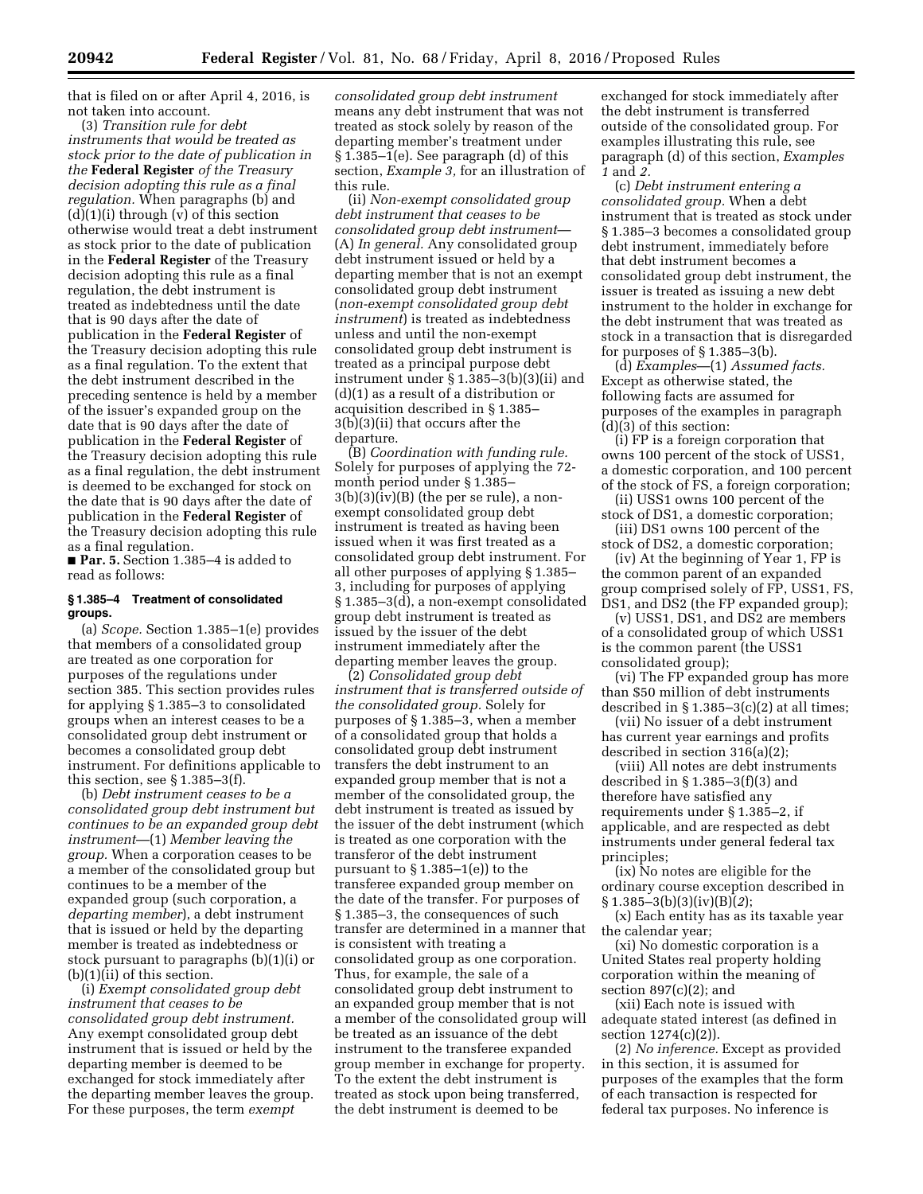that is filed on or after April 4, 2016, is not taken into account.

(3) *Transition rule for debt instruments that would be treated as stock prior to the date of publication in the* **Federal Register** *of the Treasury decision adopting this rule as a final regulation.* When paragraphs (b) and  $(d)(1)(i)$  through  $(v)$  of this section otherwise would treat a debt instrument as stock prior to the date of publication in the **Federal Register** of the Treasury decision adopting this rule as a final regulation, the debt instrument is treated as indebtedness until the date that is 90 days after the date of publication in the **Federal Register** of the Treasury decision adopting this rule as a final regulation. To the extent that the debt instrument described in the preceding sentence is held by a member of the issuer's expanded group on the date that is 90 days after the date of publication in the **Federal Register** of the Treasury decision adopting this rule as a final regulation, the debt instrument is deemed to be exchanged for stock on the date that is 90 days after the date of publication in the **Federal Register** of the Treasury decision adopting this rule as a final regulation.

■ **Par. 5.** Section 1.385–4 is added to read as follows:

#### **§ 1.385–4 Treatment of consolidated groups.**

(a) *Scope.* Section 1.385–1(e) provides that members of a consolidated group are treated as one corporation for purposes of the regulations under section 385. This section provides rules for applying § 1.385–3 to consolidated groups when an interest ceases to be a consolidated group debt instrument or becomes a consolidated group debt instrument. For definitions applicable to this section, see § 1.385–3(f).

(b) *Debt instrument ceases to be a consolidated group debt instrument but continues to be an expanded group debt instrument*—(1) *Member leaving the group.* When a corporation ceases to be a member of the consolidated group but continues to be a member of the expanded group (such corporation, a *departing member*), a debt instrument that is issued or held by the departing member is treated as indebtedness or stock pursuant to paragraphs (b)(1)(i) or (b)(1)(ii) of this section.

(i) *Exempt consolidated group debt instrument that ceases to be consolidated group debt instrument.*  Any exempt consolidated group debt instrument that is issued or held by the departing member is deemed to be exchanged for stock immediately after the departing member leaves the group. For these purposes, the term *exempt* 

*consolidated group debt instrument*  means any debt instrument that was not treated as stock solely by reason of the departing member's treatment under § 1.385–1(e). See paragraph (d) of this section, *Example 3,* for an illustration of this rule.

(ii) *Non-exempt consolidated group debt instrument that ceases to be consolidated group debt instrument*— (A) *In general.* Any consolidated group debt instrument issued or held by a departing member that is not an exempt consolidated group debt instrument (*non-exempt consolidated group debt instrument*) is treated as indebtedness unless and until the non-exempt consolidated group debt instrument is treated as a principal purpose debt instrument under § 1.385–3(b)(3)(ii) and (d)(1) as a result of a distribution or acquisition described in § 1.385– 3(b)(3)(ii) that occurs after the departure.

(B) *Coordination with funding rule.*  Solely for purposes of applying the 72 month period under § 1.385–  $3(b)(3)(iv)(B)$  (the per se rule), a nonexempt consolidated group debt instrument is treated as having been issued when it was first treated as a consolidated group debt instrument. For all other purposes of applying § 1.385– 3, including for purposes of applying § 1.385–3(d), a non-exempt consolidated group debt instrument is treated as issued by the issuer of the debt instrument immediately after the departing member leaves the group.

(2) *Consolidated group debt instrument that is transferred outside of the consolidated group.* Solely for purposes of § 1.385–3, when a member of a consolidated group that holds a consolidated group debt instrument transfers the debt instrument to an expanded group member that is not a member of the consolidated group, the debt instrument is treated as issued by the issuer of the debt instrument (which is treated as one corporation with the transferor of the debt instrument pursuant to  $\S 1.385-1(e)$  to the transferee expanded group member on the date of the transfer. For purposes of § 1.385–3, the consequences of such transfer are determined in a manner that is consistent with treating a consolidated group as one corporation. Thus, for example, the sale of a consolidated group debt instrument to an expanded group member that is not a member of the consolidated group will be treated as an issuance of the debt instrument to the transferee expanded group member in exchange for property. To the extent the debt instrument is treated as stock upon being transferred, the debt instrument is deemed to be

exchanged for stock immediately after the debt instrument is transferred outside of the consolidated group. For examples illustrating this rule, see paragraph (d) of this section, *Examples 1* and *2.* 

(c) *Debt instrument entering a consolidated group.* When a debt instrument that is treated as stock under § 1.385–3 becomes a consolidated group debt instrument, immediately before that debt instrument becomes a consolidated group debt instrument, the issuer is treated as issuing a new debt instrument to the holder in exchange for the debt instrument that was treated as stock in a transaction that is disregarded for purposes of § 1.385–3(b).

(d) *Examples*—(1) *Assumed facts.*  Except as otherwise stated, the following facts are assumed for purposes of the examples in paragraph (d)(3) of this section:

(i) FP is a foreign corporation that owns 100 percent of the stock of USS1, a domestic corporation, and 100 percent of the stock of FS, a foreign corporation;

(ii) USS1 owns 100 percent of the stock of DS1, a domestic corporation;

(iii) DS1 owns 100 percent of the stock of DS2, a domestic corporation;

(iv) At the beginning of Year 1, FP is the common parent of an expanded group comprised solely of FP, USS1, FS, DS1, and DS2 (the FP expanded group);

(v) USS1, DS1, and DS2 are members of a consolidated group of which USS1 is the common parent (the USS1 consolidated group);

(vi) The FP expanded group has more than \$50 million of debt instruments described in  $\S 1.385-3(c)(2)$  at all times;

(vii) No issuer of a debt instrument has current year earnings and profits described in section 316(a)(2);

(viii) All notes are debt instruments described in § 1.385–3(f)(3) and therefore have satisfied any requirements under § 1.385–2, if applicable, and are respected as debt instruments under general federal tax principles;

(ix) No notes are eligible for the ordinary course exception described in § 1.385–3(b)(3)(iv)(B)(*2*);

(x) Each entity has as its taxable year the calendar year;

(xi) No domestic corporation is a United States real property holding corporation within the meaning of section  $897(c)(2)$ ; and

(xii) Each note is issued with adequate stated interest (as defined in section 1274(c)(2)).

(2) *No inference.* Except as provided in this section, it is assumed for purposes of the examples that the form of each transaction is respected for federal tax purposes. No inference is